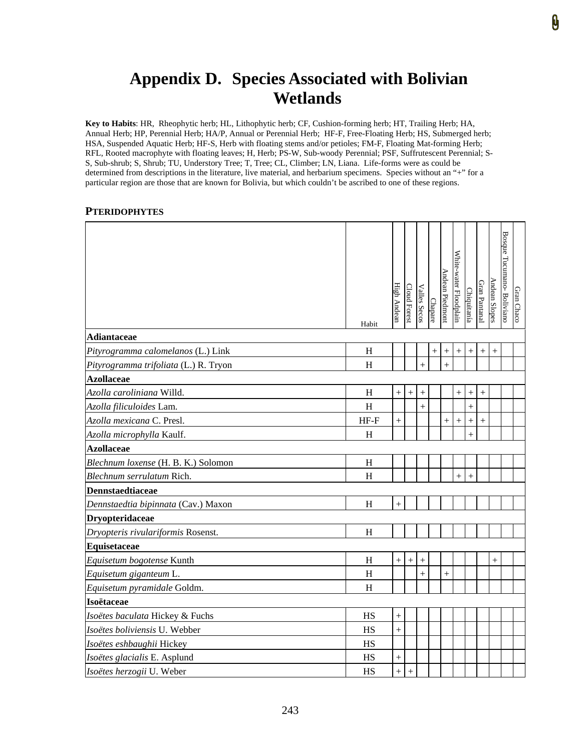## **Appendix D. Species Associated with Bolivian Wetlands**

**Key to Habits**: HR, Rheophytic herb; HL, Lithophytic herb; CF, Cushion-forming herb; HT, Trailing Herb; HA, Annual Herb; HP, Perennial Herb; HA/P, Annual or Perennial Herb; HF-F, Free-Floating Herb; HS, Submerged herb; HSA, Suspended Aquatic Herb; HF-S, Herb with floating stems and/or petioles; FM-F, Floating Mat-forming Herb; RFL, Rooted macrophyte with floating leaves; H, Herb; PS-W, Sub-woody Perennial; PSF, Suffrutescent Perennial; S-S, Sub-shrub; S, Shrub; TU, Understory Tree; T, Tree; CL, Climber; LN, Liana. Life-forms were as could be determined from descriptions in the literature, live material, and herbarium specimens. Species without an "+" for a particular region are those that are known for Bolivia, but which couldn't be ascribed to one of these regions.

## **PTERIDOPHYTES**

|                                       | Habit       | High Andean        | <b>Cloud Forest</b> | <b>Valles Secos</b> | Chapare | Andean Piedmont | White-water Floodplain | Chiquitanía | Gran Pantanal    | Andean Slopes | Bosque Tucumano- Boliviano | Gran Chaco |
|---------------------------------------|-------------|--------------------|---------------------|---------------------|---------|-----------------|------------------------|-------------|------------------|---------------|----------------------------|------------|
| <b>Adiantaceae</b>                    |             |                    |                     |                     |         |                 |                        |             |                  |               |                            |            |
| Pityrogramma calomelanos (L.) Link    | H           |                    |                     |                     | $^{+}$  | $^{+}$          | $^{+}$                 | $^{+}$      | $^{+}$           | $^{+}$        |                            |            |
| Pityrogramma trifoliata (L.) R. Tryon | H           |                    |                     |                     |         | $\ddot{}$       |                        |             |                  |               |                            |            |
| <b>Azollaceae</b>                     |             |                    |                     |                     |         |                 |                        |             |                  |               |                            |            |
| Azolla caroliniana Willd.             | H           | $^{+}$             | $\! +$              | $^{+}$              |         |                 |                        | $^+$        | $^{+}$           |               |                            |            |
| Azolla filiculoides Lam.              | H           |                    |                     | $^{+}$              |         |                 |                        | $^{+}$      |                  |               |                            |            |
| Azolla mexicana C. Presl.             | $HF-F$      | $^{+}$             |                     |                     |         | $^{+}$          | $^{+}$                 | $^{+}$      | $\boldsymbol{+}$ |               |                            |            |
| Azolla microphylla Kaulf.             | H           |                    |                     |                     |         |                 |                        |             |                  |               |                            |            |
| <b>Azollaceae</b>                     |             |                    |                     |                     |         |                 |                        |             |                  |               |                            |            |
| Blechnum loxense (H. B. K.) Solomon   | $\mathbf H$ |                    |                     |                     |         |                 |                        |             |                  |               |                            |            |
| Blechnum serrulatum Rich.             | H           |                    |                     |                     |         |                 | $\ddot{}$              | $^{+}$      |                  |               |                            |            |
| <b>Dennstaedtiaceae</b>               |             |                    |                     |                     |         |                 |                        |             |                  |               |                            |            |
| Dennstaedtia bipinnata (Cav.) Maxon   | H           | $\overline{+}$     |                     |                     |         |                 |                        |             |                  |               |                            |            |
| Dryopteridaceae                       |             |                    |                     |                     |         |                 |                        |             |                  |               |                            |            |
| Dryopteris rivulariformis Rosenst.    | H           |                    |                     |                     |         |                 |                        |             |                  |               |                            |            |
| Equisetaceae                          |             |                    |                     |                     |         |                 |                        |             |                  |               |                            |            |
| Equisetum bogotense Kunth             | H           | $^{+}$             | $^{+}$              | $^+$                |         |                 |                        |             |                  | $^{+}$        |                            |            |
| Equisetum giganteum L.                | H           |                    |                     | $^{+}$              |         | $\ddot{}$       |                        |             |                  |               |                            |            |
| Equisetum pyramidale Goldm.           | $H_{\rm}$   |                    |                     |                     |         |                 |                        |             |                  |               |                            |            |
| Isoëtaceae                            |             |                    |                     |                     |         |                 |                        |             |                  |               |                            |            |
| Isoëtes baculata Hickey & Fuchs       | <b>HS</b>   | $^{+}$             |                     |                     |         |                 |                        |             |                  |               |                            |            |
| Isoëtes boliviensis U. Webber         | <b>HS</b>   | $^{+}$             |                     |                     |         |                 |                        |             |                  |               |                            |            |
| Isoëtes eshbaughii Hickey             | HS          |                    |                     |                     |         |                 |                        |             |                  |               |                            |            |
| Isoëtes glacialis E. Asplund          | HS          | $\hspace{0.1mm} +$ |                     |                     |         |                 |                        |             |                  |               |                            |            |
| Isoëtes herzogii U. Weber             | HS          | $^{+}$             | $^{+}$              |                     |         |                 |                        |             |                  |               |                            |            |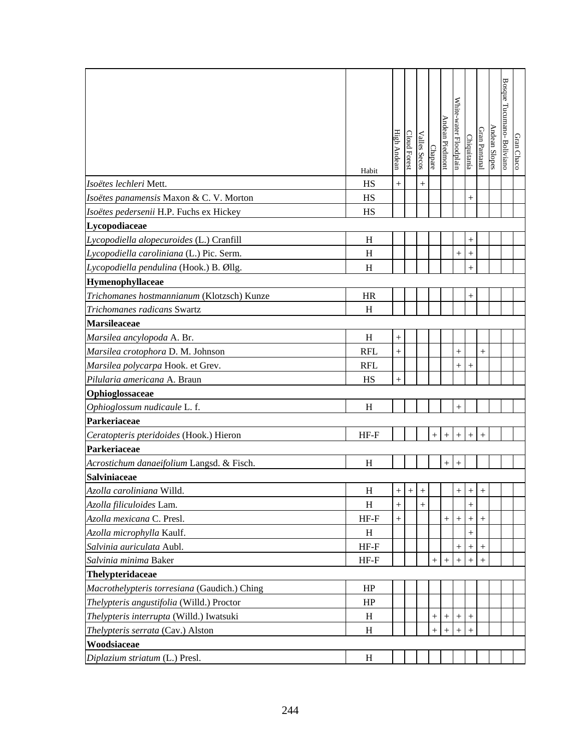|                                              | Habit      | High Andean | <b>Cloud Forest</b> | <b>Valles Secos</b> | Chapare | Andean Piedmont  | White-water Floodplain | Chiquitanía        | Gran Pantanal      | Andean Slopes | <b>Bosque Tucumano- Boliviano</b> | Gran Chaco |
|----------------------------------------------|------------|-------------|---------------------|---------------------|---------|------------------|------------------------|--------------------|--------------------|---------------|-----------------------------------|------------|
| Isoëtes lechleri Mett.                       | HS         | $^{+}$      |                     | $^{+}$              |         |                  |                        |                    |                    |               |                                   |            |
| Isoëtes panamensis Maxon & C. V. Morton      | HS         |             |                     |                     |         |                  |                        | $^{+}$             |                    |               |                                   |            |
| Isoëtes pedersenii H.P. Fuchs ex Hickey      | HS         |             |                     |                     |         |                  |                        |                    |                    |               |                                   |            |
| Lycopodiaceae                                |            |             |                     |                     |         |                  |                        |                    |                    |               |                                   |            |
| Lycopodiella alopecuroides (L.) Cranfill     | H          |             |                     |                     |         |                  |                        | $^{+}$             |                    |               |                                   |            |
| Lycopodiella caroliniana (L.) Pic. Serm.     | H          |             |                     |                     |         |                  | $^+$                   | $^{+}$             |                    |               |                                   |            |
| Lycopodiella pendulina (Hook.) B. Øllg.      | H          |             |                     |                     |         |                  |                        | $^{+}$             |                    |               |                                   |            |
| Hymenophyllaceae                             |            |             |                     |                     |         |                  |                        |                    |                    |               |                                   |            |
| Trichomanes hostmannianum (Klotzsch) Kunze   | <b>HR</b>  |             |                     |                     |         |                  |                        | $^{+}$             |                    |               |                                   |            |
| Trichomanes radicans Swartz                  | H          |             |                     |                     |         |                  |                        |                    |                    |               |                                   |            |
| <b>Marsileaceae</b>                          |            |             |                     |                     |         |                  |                        |                    |                    |               |                                   |            |
| Marsilea ancylopoda A. Br.                   | H          | $^{+}$      |                     |                     |         |                  |                        |                    |                    |               |                                   |            |
| Marsilea crotophora D. M. Johnson            | <b>RFL</b> | $^{+}$      |                     |                     |         |                  | $^{+}$                 |                    | $^{+}$             |               |                                   |            |
| Marsilea polycarpa Hook. et Grev.            | <b>RFL</b> |             |                     |                     |         |                  | $^{+}$                 | $\hspace{0.1mm} +$ |                    |               |                                   |            |
| Pilularia americana A. Braun                 | HS         | $^{+}$      |                     |                     |         |                  |                        |                    |                    |               |                                   |            |
| Ophioglossaceae                              |            |             |                     |                     |         |                  |                        |                    |                    |               |                                   |            |
| Ophioglossum nudicaule L. f.                 | H          |             |                     |                     |         |                  | $\hspace{0.1mm} +$     |                    |                    |               |                                   |            |
| Parkeriaceae                                 |            |             |                     |                     |         |                  |                        |                    |                    |               |                                   |            |
| Ceratopteris pteridoides (Hook.) Hieron      | $HF-F$     |             |                     |                     |         |                  |                        |                    |                    |               |                                   |            |
| Parkeriaceae                                 |            |             |                     |                     |         |                  |                        |                    |                    |               |                                   |            |
| Acrostichum danaeifolium Langsd. & Fisch.    | H          |             |                     |                     |         |                  | $^{+}$                 |                    |                    |               |                                   |            |
| <b>Salviniaceae</b>                          |            |             |                     |                     |         |                  |                        |                    |                    |               |                                   |            |
| Azolla caroliniana Willd.                    | $H_{\rm}$  |             | $+$ $+$             | $+$                 |         |                  | $+$                    | $+$                | $+$                |               |                                   |            |
| Azolla filiculoides Lam.                     | H          | $^{+}$      |                     | $^{+}$              |         |                  |                        | $^{+}$             |                    |               |                                   |            |
| Azolla mexicana C. Presl.                    | $HF-F$     | $^{+}$      |                     |                     |         | $^{+}$           | $^{+}$                 | $^{+}$             | $^{+}$             |               |                                   |            |
| Azolla microphylla Kaulf.                    | H          |             |                     |                     |         |                  |                        | $^{+}$             |                    |               |                                   |            |
| Salvinia auriculata Aubl.                    | $HF-F$     |             |                     |                     |         |                  | $\hspace{0.1mm} +$     | $\hspace{0.1mm} +$ | $\hspace{0.1mm} +$ |               |                                   |            |
| Salvinia minima Baker                        | $HF-F$     |             |                     |                     | $^{+}$  | $^{+}$           |                        |                    |                    |               |                                   |            |
| Thelypteridaceae                             |            |             |                     |                     |         |                  |                        |                    |                    |               |                                   |            |
| Macrothelypteris torresiana (Gaudich.) Ching | HP         |             |                     |                     |         |                  |                        |                    |                    |               |                                   |            |
| Thelypteris angustifolia (Willd.) Proctor    | HP         |             |                     |                     |         |                  |                        |                    |                    |               |                                   |            |
| Thelypteris interrupta (Willd.) Iwatsuki     | H          |             |                     |                     |         | $^{+}$           |                        |                    |                    |               |                                   |            |
| Thelypteris serrata (Cav.) Alston            | H          |             |                     |                     | $^{+}$  | $\boldsymbol{+}$ | $+$                    | $^{+}$             |                    |               |                                   |            |
| Woodsiaceae                                  |            |             |                     |                     |         |                  |                        |                    |                    |               |                                   |            |
| Diplazium striatum (L.) Presl.               | $H_{\rm}$  |             |                     |                     |         |                  |                        |                    |                    |               |                                   |            |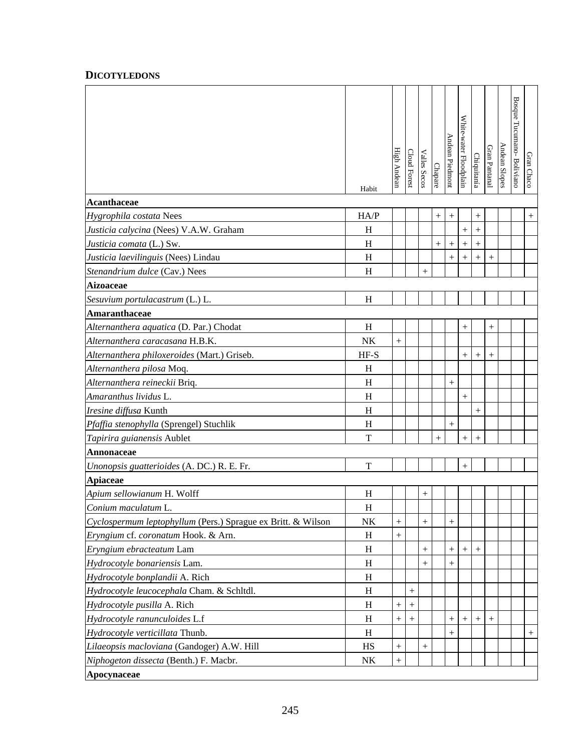## **DICOTYLEDONS**

|                                                              | Habit   | High Andean | Cloud Forest | Valles Secos       | Chapare | Andean Piedmont    | White-water Floodplain | Chiquitanía      | Gran Pantanal      | Andean Slopes | Bosque Tucumano-Boliviano | Gran Chaco |
|--------------------------------------------------------------|---------|-------------|--------------|--------------------|---------|--------------------|------------------------|------------------|--------------------|---------------|---------------------------|------------|
| <b>Acanthaceae</b>                                           |         |             |              |                    |         |                    |                        |                  |                    |               |                           |            |
| Hygrophila costata Nees                                      | HA/P    |             |              |                    | $+$     |                    |                        |                  |                    |               |                           | $^{+}$     |
| Justicia calycina (Nees) V.A.W. Graham                       | H       |             |              |                    |         |                    | $^{+}$                 | $\! + \!$        |                    |               |                           |            |
| Justicia comata (L.) Sw.                                     | H       |             |              |                    | $^{+}$  | $^{+}$             |                        | $^{+}$           |                    |               |                           |            |
| Justicia laevilinguis (Nees) Lindau                          | H       |             |              |                    |         | $^{+}$             | $\! +$                 |                  | $^{+}$             |               |                           |            |
| Stenandrium dulce (Cav.) Nees                                | H       |             |              | $^{+}$             |         |                    |                        |                  |                    |               |                           |            |
| <b>Aizoaceae</b>                                             |         |             |              |                    |         |                    |                        |                  |                    |               |                           |            |
| Sesuvium portulacastrum (L.) L.                              | H       |             |              |                    |         |                    |                        |                  |                    |               |                           |            |
| Amaranthaceae                                                |         |             |              |                    |         |                    |                        |                  |                    |               |                           |            |
| Alternanthera aquatica (D. Par.) Chodat                      | H       |             |              |                    |         |                    | $^{+}$                 |                  | $\hspace{0.1mm} +$ |               |                           |            |
| Alternanthera caracasana H.B.K.                              | NK      | $+$         |              |                    |         |                    |                        |                  |                    |               |                           |            |
| Alternanthera philoxeroides (Mart.) Griseb.                  | $HF-S$  |             |              |                    |         |                    | $^{+}$                 |                  |                    |               |                           |            |
| Alternanthera pilosa Moq.                                    | H       |             |              |                    |         |                    |                        |                  |                    |               |                           |            |
| Alternanthera reineckii Briq.                                | H       |             |              |                    |         | $^{+}$             |                        |                  |                    |               |                           |            |
| Amaranthus lividus L.                                        | H       |             |              |                    |         |                    | $^{+}$                 |                  |                    |               |                           |            |
| Iresine diffusa Kunth                                        | H       |             |              |                    |         |                    |                        | $\boldsymbol{+}$ |                    |               |                           |            |
| Pfaffia stenophylla (Sprengel) Stuchlik                      | H       |             |              |                    |         | $^{+}$             |                        |                  |                    |               |                           |            |
| Tapirira guianensis Aublet                                   | T       |             |              |                    | $^{+}$  |                    | $^{+}$                 | $^{+}$           |                    |               |                           |            |
| <b>Annonaceae</b>                                            |         |             |              |                    |         |                    |                        |                  |                    |               |                           |            |
| Unonopsis guatterioides (A. DC.) R. E. Fr.                   | T       |             |              |                    |         |                    | $^{+}$                 |                  |                    |               |                           |            |
| Apiaceae                                                     |         |             |              |                    |         |                    |                        |                  |                    |               |                           |            |
| Apium sellowianum H. Wolff                                   | H       |             |              | $^{+}$             |         |                    |                        |                  |                    |               |                           |            |
| Conium maculatum L.                                          | $\rm H$ |             |              |                    |         |                    |                        |                  |                    |               |                           |            |
| Cyclospermum leptophyllum (Pers.) Sprague ex Britt. & Wilson | NK      | $+$         |              | $+$                |         | $^{+}$             |                        |                  |                    |               |                           |            |
| Eryngium cf. coronatum Hook. & Arn.                          | H       | $^{+}$      |              |                    |         |                    |                        |                  |                    |               |                           |            |
| Eryngium ebracteatum Lam                                     | H       |             |              | $^{+}$             |         | $^{+}$             | $+$                    | $+$              |                    |               |                           |            |
| Hydrocotyle bonariensis Lam.                                 | H       |             |              | $^+$               |         | $\hspace{0.1mm} +$ |                        |                  |                    |               |                           |            |
| Hydrocotyle bonplandii A. Rich                               | H       |             |              |                    |         |                    |                        |                  |                    |               |                           |            |
| Hydrocotyle leucocephala Cham. & Schltdl.                    | H       |             | $^+$         |                    |         |                    |                        |                  |                    |               |                           |            |
| Hydrocotyle pusilla A. Rich                                  | H       | $^{+}$      |              |                    |         |                    |                        |                  |                    |               |                           |            |
| Hydrocotyle ranunculoides L.f                                | H       | $^{+}$      | $^{+}$       |                    |         | $^{+}$             | $^{+}$                 | $^{+}$           | $^{+}$             |               |                           |            |
| Hydrocotyle verticillata Thunb.                              | H       |             |              |                    |         | $^{+}$             |                        |                  |                    |               |                           | $+$        |
| Lilaeopsis macloviana (Gandoger) A.W. Hill                   | HS      | $^{+}$      |              | $\hspace{0.1mm} +$ |         |                    |                        |                  |                    |               |                           |            |
| Niphogeton dissecta (Benth.) F. Macbr.                       | NK      | $+$         |              |                    |         |                    |                        |                  |                    |               |                           |            |
| Apocynaceae                                                  |         |             |              |                    |         |                    |                        |                  |                    |               |                           |            |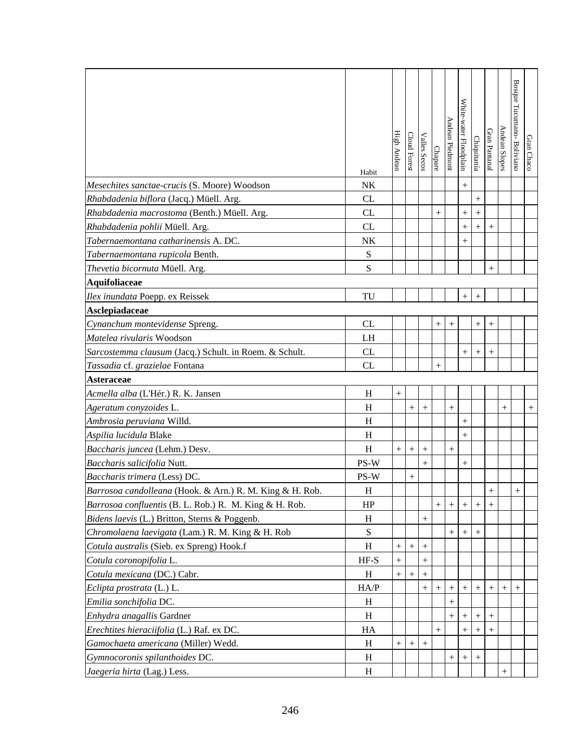|                                                          | Habit       | <b>High Andean</b> | Cloud Forest | Valles Secos | Chapare | Andean Piedmon     | White-water Floodplain | Chiquitanía      | Gran Pantanal | Andean Slopes | Bosque Tucumano- Boliviano | Gran Chaco |
|----------------------------------------------------------|-------------|--------------------|--------------|--------------|---------|--------------------|------------------------|------------------|---------------|---------------|----------------------------|------------|
| Mesechites sanctae-crucis (S. Moore) Woodson             | NK          |                    |              |              |         |                    |                        |                  |               |               |                            |            |
| Rhabdadenia biflora (Jacq.) Müell. Arg.                  | <b>CL</b>   |                    |              |              |         |                    |                        | $\boldsymbol{+}$ |               |               |                            |            |
| Rhabdadenia macrostoma (Benth.) Müell. Arg.              | CL          |                    |              |              | $^{+}$  |                    | $^{+}$                 |                  |               |               |                            |            |
| Rhabdadenia pohlii Müell. Arg.                           | CL          |                    |              |              |         |                    | $^{+}$                 | $^{+}$           | $^{+}$        |               |                            |            |
| Tabernaemontana catharinensis A. DC.                     | NK          |                    |              |              |         |                    | $^{+}$                 |                  |               |               |                            |            |
| Tabernaemontana rupicola Benth.                          | ${\bf S}$   |                    |              |              |         |                    |                        |                  |               |               |                            |            |
| Thevetia bicornuta Müell. Arg.                           | S           |                    |              |              |         |                    |                        |                  | $^{+}$        |               |                            |            |
| <b>Aquifoliaceae</b>                                     |             |                    |              |              |         |                    |                        |                  |               |               |                            |            |
| Ilex inundata Poepp. ex Reissek                          | TU          |                    |              |              |         |                    | $^{+}$                 |                  |               |               |                            |            |
| Asclepiadaceae                                           |             |                    |              |              |         |                    |                        |                  |               |               |                            |            |
| Cynanchum montevidense Spreng.                           | CL          |                    |              |              | $^{+}$  | $^+$               |                        | $^{+}$           | $^+$          |               |                            |            |
| Matelea rivularis Woodson                                | LH          |                    |              |              |         |                    |                        |                  |               |               |                            |            |
| Sarcostemma clausum (Jacq.) Schult. in Roem. & Schult.   | CL          |                    |              |              |         |                    | $^{+}$                 |                  | $^{+}$        |               |                            |            |
| Tassadia cf. grazielae Fontana                           | CL          |                    |              |              | $^{+}$  |                    |                        |                  |               |               |                            |            |
| <b>Asteraceae</b>                                        |             |                    |              |              |         |                    |                        |                  |               |               |                            |            |
| Acmella alba (L'Hér.) R. K. Jansen                       | H           |                    |              |              |         |                    |                        |                  |               |               |                            |            |
| Ageratum conyzoides L.                                   | H           |                    | $^{+}$       | $^{+}$       |         | $^{+}$             |                        |                  |               | $^{+}$        |                            | $+$        |
| Ambrosia peruviana Willd.                                | H           |                    |              |              |         |                    | $^{+}$                 |                  |               |               |                            |            |
| Aspilia lucidula Blake                                   | H           |                    |              |              |         |                    | $^{+}$                 |                  |               |               |                            |            |
| Baccharis juncea (Lehm.) Desv.                           | H           | $\! + \!$          | $^{+}$       | $^{+}$       |         | $\hspace{0.1mm} +$ |                        |                  |               |               |                            |            |
| Baccharis salicifolia Nutt.                              | PS-W        |                    |              | $+$          |         |                    | $^{+}$                 |                  |               |               |                            |            |
| Baccharis trimera (Less) DC.                             | PS-W        |                    | $^{+}$       |              |         |                    |                        |                  |               |               |                            |            |
| Barrosoa candolleana (Hook. & Arn.) R. M. King & H. Rob. | $H_{\rm}$   |                    |              |              |         |                    |                        |                  | $\pm$         |               | $+$                        |            |
| Barrosoa confluentis (B. L. Rob.) R. M. King & H. Rob.   | HP          |                    |              |              | $^{+}$  | $+$                | $+$                    | $^{+}$           |               |               |                            |            |
| Bidens laevis (L.) Britton, Sterns & Poggenb.            | H           |                    |              | $^{+}$       |         |                    |                        |                  |               |               |                            |            |
| Chromolaena laevigata (Lam.) R. M. King & H. Rob         | $\mathbf S$ |                    |              |              |         | $^{+}$             | $^{+}$                 | $^{+}$           |               |               |                            |            |
| Cotula australis (Sieb. ex Spreng) Hook.f                | H           | $^{+}$             | $^{+}$       | $^{+}$       |         |                    |                        |                  |               |               |                            |            |
| Cotula coronopifolia L.                                  | $HF-S$      |                    |              |              |         |                    |                        |                  |               |               |                            |            |
| Cotula mexicana (DC.) Cabr.                              | H           | $^{+}$             | $^+$         |              |         |                    |                        |                  |               |               |                            |            |
| Eclipta prostrata (L.) L.                                | HA/P        |                    |              |              | $^{+}$  | $^{+}$             |                        |                  |               |               | $^{+}$                     |            |
| Emilia sonchifolia DC.                                   | H           |                    |              |              |         | $^{+}$             |                        |                  |               |               |                            |            |
| Enhydra anagallis Gardner                                | H           |                    |              |              |         | $^{+}$             |                        | $^{+}$           |               |               |                            |            |
| Erechtites hieraciifolia (L.) Raf. ex DC.                | HA          |                    |              |              | $^{+}$  |                    | $^{+}$                 | $^{+}$           |               |               |                            |            |
| Gamochaeta americana (Miller) Wedd.                      | H           | $^{+}$             | $^{+}$       |              |         |                    |                        |                  |               |               |                            |            |
| Gymnocoronis spilanthoides DC.                           | H           |                    |              |              |         | $\hspace{0.1mm} +$ |                        | $^{+}$           |               |               |                            |            |
| Jaegeria hirta (Lag.) Less.                              | H           |                    |              |              |         |                    |                        |                  |               | $\! +$        |                            |            |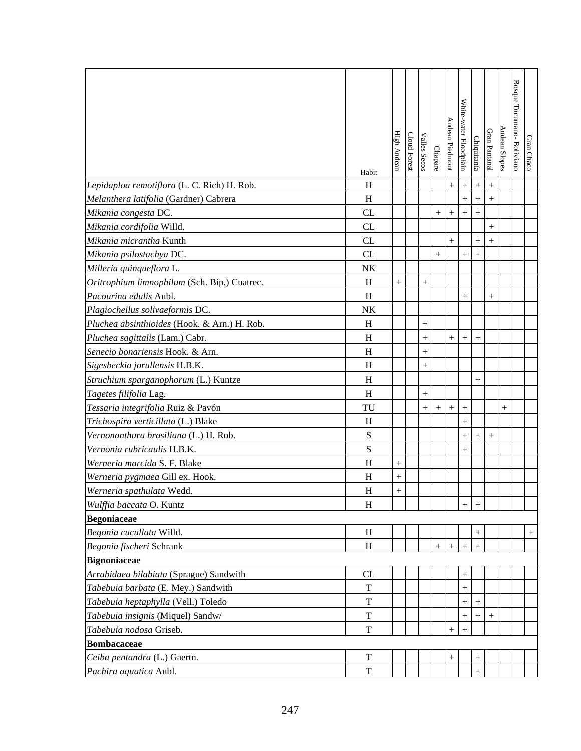|                                              | Habit       | High Andear    | Cloud Forest | Valles Secos | Chapare | Andean Piedmont  | White-water Floodplain | Chiquitanía       | Gran Pantanal | Andean Slopes | Bosque Tucumano-Boliviano | Gran Chaco |
|----------------------------------------------|-------------|----------------|--------------|--------------|---------|------------------|------------------------|-------------------|---------------|---------------|---------------------------|------------|
| Lepidaploa remotiflora (L. C. Rich) H. Rob.  | H           |                |              |              |         | $\ddot{}$        | $+$                    | $\qquad \qquad +$ | $^{+}$        |               |                           |            |
| Melanthera latifolia (Gardner) Cabrera       | H           |                |              |              |         |                  | $^{+}$                 |                   | $^{+}$        |               |                           |            |
| Mikania congesta DC.                         | CL          |                |              |              | $^{+}$  | $\boldsymbol{+}$ |                        | $\ddot{}$         |               |               |                           |            |
| Mikania cordifolia Willd.                    | CL          |                |              |              |         |                  |                        |                   | $^{+}$        |               |                           |            |
| Mikania micrantha Kunth                      | CL          |                |              |              |         | $^{+}$           |                        | $^{+}$            | $^{+}$        |               |                           |            |
| Mikania psilostachya DC.                     | CL          |                |              |              | $+$     |                  | $^{+}$                 | $^{+}$            |               |               |                           |            |
| Milleria quinqueflora L.                     | NK          |                |              |              |         |                  |                        |                   |               |               |                           |            |
| Oritrophium limnophilum (Sch. Bip.) Cuatrec. | H           | $+$            |              | $^{+}$       |         |                  |                        |                   |               |               |                           |            |
| Pacourina edulis Aubl.                       | H           |                |              |              |         |                  | $^{+}$                 |                   | $^{+}$        |               |                           |            |
| Plagiocheilus solivaeformis DC.              | NK          |                |              |              |         |                  |                        |                   |               |               |                           |            |
| Pluchea absinthioides (Hook. & Arn.) H. Rob. | H           |                |              | $^{+}$       |         |                  |                        |                   |               |               |                           |            |
| Pluchea sagittalis (Lam.) Cabr.              | H           |                |              | $^{+}$       |         | $^{+}$           | $\boldsymbol{+}$       |                   |               |               |                           |            |
| Senecio bonariensis Hook. & Arn.             | H           |                |              | $^{+}$       |         |                  |                        |                   |               |               |                           |            |
| Sigesbeckia jorullensis H.B.K.               | H           |                |              | $^{+}$       |         |                  |                        |                   |               |               |                           |            |
| Struchium sparganophorum (L.) Kuntze         | H           |                |              |              |         |                  |                        | $^{+}$            |               |               |                           |            |
| Tagetes filifolia Lag.                       | H           |                |              | $^{+}$       |         |                  |                        |                   |               |               |                           |            |
| Tessaria integrifolia Ruiz & Pavón           | TU          |                |              | $^{+}$       | $^{+}$  | $^{+}$           | $^{+}$                 |                   |               | $^{+}$        |                           |            |
| Trichospira verticillata (L.) Blake          | H           |                |              |              |         |                  | $^{+}$                 |                   |               |               |                           |            |
| Vernonanthura brasiliana (L.) H. Rob.        | $\mathbf S$ |                |              |              |         |                  | $^{+}$                 | $^{+}$            | $^{+}$        |               |                           |            |
| Vernonia rubricaulis H.B.K.                  | $\mathbf S$ |                |              |              |         |                  | $^+$                   |                   |               |               |                           |            |
| Werneria marcida S. F. Blake                 | H           |                |              |              |         |                  |                        |                   |               |               |                           |            |
| Werneria pygmaea Gill ex. Hook.              | H           | $^{+}$         |              |              |         |                  |                        |                   |               |               |                           |            |
| Werneria spathulata Wedd.                    | H           | $\overline{+}$ |              |              |         |                  |                        |                   |               |               |                           |            |
| Wulffia baccata O. Kuntz                     | H           |                |              |              |         |                  | $\, +$                 |                   |               |               |                           |            |
| <b>Begoniaceae</b>                           |             |                |              |              |         |                  |                        |                   |               |               |                           |            |
| Begonia cucullata Willd.                     | H           |                |              |              |         |                  |                        | $^{+}$            |               |               |                           | $^{+}$     |
| Begonia fischeri Schrank                     | H           |                |              |              | $^{+}$  | $^{+}$           | $\hspace{0.1mm} +$     | $^{+}$            |               |               |                           |            |
| <b>Bignoniaceae</b>                          |             |                |              |              |         |                  |                        |                   |               |               |                           |            |
| Arrabidaea bilabiata (Sprague) Sandwith      | CL          |                |              |              |         |                  | $^{+}$                 |                   |               |               |                           |            |
| Tabebuia barbata (E. Mey.) Sandwith          | T           |                |              |              |         |                  | $^{+}$                 |                   |               |               |                           |            |
| Tabebuia heptaphylla (Vell.) Toledo          | T           |                |              |              |         |                  | $^{+}$                 | $^{+}$            |               |               |                           |            |
| Tabebuia insignis (Miquel) Sandw/            | T           |                |              |              |         |                  | $^+$                   | $\! + \!\!\!\!$   |               |               |                           |            |
| Tabebuia nodosa Griseb.                      | $\mathbf T$ |                |              |              |         | $^{+}$           | $^{+}$                 |                   |               |               |                           |            |
| <b>Bombacaceae</b>                           |             |                |              |              |         |                  |                        |                   |               |               |                           |            |
| Ceiba pentandra (L.) Gaertn.                 | $\mathbf T$ |                |              |              |         |                  |                        | $^{+}$            |               |               |                           |            |
| Pachira aquatica Aubl.                       | T           |                |              |              |         |                  |                        | $^{+}$            |               |               |                           |            |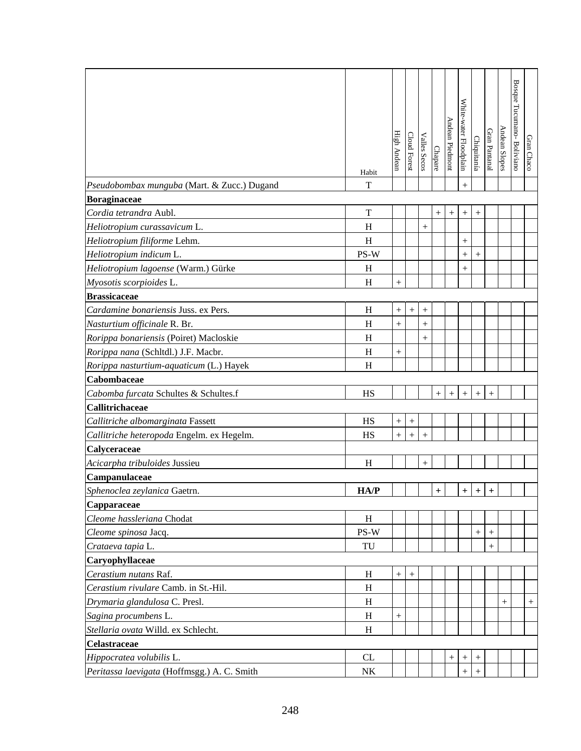|                                             |                           |                  |                  |              |           |                  |                        |                  |               |               | Bosque Tucumano-Boliviano |            |
|---------------------------------------------|---------------------------|------------------|------------------|--------------|-----------|------------------|------------------------|------------------|---------------|---------------|---------------------------|------------|
|                                             |                           |                  |                  |              |           |                  | White-water Floodplain |                  |               |               |                           |            |
|                                             |                           |                  |                  |              |           | Andean Piedmont  |                        |                  | Gran Pantanal | Andean Slopes |                           |            |
|                                             |                           | High Andean      | Cloud Forest     | Valles Secos | Chapare   |                  |                        | Chiquitanía      |               |               |                           | Gran Chaco |
|                                             | Habit                     |                  |                  |              |           |                  |                        |                  |               |               |                           |            |
| Pseudobombax munguba (Mart. & Zucc.) Dugand | T                         |                  |                  |              |           |                  | $+$                    |                  |               |               |                           |            |
| <b>Boraginaceae</b>                         |                           |                  |                  |              |           |                  |                        |                  |               |               |                           |            |
| Cordia tetrandra Aubl.                      | T                         |                  |                  |              | $^{+}$    | $^+$             | $^{+}$                 | $^{+}$           |               |               |                           |            |
| Heliotropium curassavicum L.                | H                         |                  |                  | $^{+}$       |           |                  |                        |                  |               |               |                           |            |
| Heliotropium filiforme Lehm.                | H                         |                  |                  |              |           |                  | $^{+}$                 |                  |               |               |                           |            |
| Heliotropium indicum L.                     | PS-W                      |                  |                  |              |           |                  | $^{+}$                 | $+$              |               |               |                           |            |
| Heliotropium lagoense (Warm.) Gürke         | H                         |                  |                  |              |           |                  | $^{+}$                 |                  |               |               |                           |            |
| Myosotis scorpioides L.                     | H                         | $+$              |                  |              |           |                  |                        |                  |               |               |                           |            |
| <b>Brassicaceae</b>                         |                           |                  |                  |              |           |                  |                        |                  |               |               |                           |            |
| Cardamine bonariensis Juss. ex Pers.        | H                         |                  | $\boldsymbol{+}$ | $^{+}$       |           |                  |                        |                  |               |               |                           |            |
| Nasturtium officinale R. Br.                | H                         | $^{+}$           |                  | $^{+}$       |           |                  |                        |                  |               |               |                           |            |
| Rorippa bonariensis (Poiret) Macloskie      | H                         |                  |                  | $^{+}$       |           |                  |                        |                  |               |               |                           |            |
| Rorippa nana (Schltdl.) J.F. Macbr.         | H                         |                  |                  |              |           |                  |                        |                  |               |               |                           |            |
| Rorippa nasturtium-aquaticum (L.) Hayek     | $\boldsymbol{\mathrm{H}}$ |                  |                  |              |           |                  |                        |                  |               |               |                           |            |
| Cabombaceae                                 |                           |                  |                  |              |           |                  |                        |                  |               |               |                           |            |
| Cabomba furcata Schultes & Schultes.f       | HS                        |                  |                  |              | $\ddot{}$ | $\boldsymbol{+}$ |                        | $\boldsymbol{+}$ | $^{+}$        |               |                           |            |
| Callitrichaceae                             |                           |                  |                  |              |           |                  |                        |                  |               |               |                           |            |
| Callitriche albomarginata Fassett           | HS                        | $^{+}$           |                  |              |           |                  |                        |                  |               |               |                           |            |
| Callitriche heteropoda Engelm. ex Hegelm.   | HS                        | $^{+}$           | $^{+}$           | $^{+}$       |           |                  |                        |                  |               |               |                           |            |
| Calyceraceae                                |                           |                  |                  |              |           |                  |                        |                  |               |               |                           |            |
| Acicarpha tribuloides Jussieu               | H                         |                  |                  | $\! +$       |           |                  |                        |                  |               |               |                           |            |
| Campanulaceae                               |                           |                  |                  |              |           |                  |                        |                  |               |               |                           |            |
| Sphenoclea zeylanica Gaetrn.                | HA/P                      |                  |                  |              | $\ddot{}$ |                  | $+$                    | $\ddot{}$        | $\pm$         |               |                           |            |
| <b>Capparaceae</b>                          |                           |                  |                  |              |           |                  |                        |                  |               |               |                           |            |
| Cleome hassleriana Chodat                   | H                         |                  |                  |              |           |                  |                        |                  |               |               |                           |            |
| Cleome spinosa Jacq.                        | PS-W                      |                  |                  |              |           |                  |                        | $\boldsymbol{+}$ | $^{+}$        |               |                           |            |
| Crataeva tapia L.                           | TU                        |                  |                  |              |           |                  |                        |                  | $^{+}$        |               |                           |            |
| Caryophyllaceae                             |                           |                  |                  |              |           |                  |                        |                  |               |               |                           |            |
| Cerastium nutans Raf.                       | H                         | $+$              | $^{+}$           |              |           |                  |                        |                  |               |               |                           |            |
| Cerastium rivulare Camb. in St.-Hil.        | H                         |                  |                  |              |           |                  |                        |                  |               |               |                           |            |
| Drymaria glandulosa C. Presl.               | H                         |                  |                  |              |           |                  |                        |                  |               | $^{+}$        |                           | $^{+}$     |
| Sagina procumbens L.                        | $\, {\rm H}$              | $\boldsymbol{+}$ |                  |              |           |                  |                        |                  |               |               |                           |            |
| Stellaria ovata Willd. ex Schlecht.         | H                         |                  |                  |              |           |                  |                        |                  |               |               |                           |            |
| <b>Celastraceae</b>                         |                           |                  |                  |              |           |                  |                        |                  |               |               |                           |            |
| Hippocratea volubilis L.                    | CL                        |                  |                  |              |           | $^{+}$           | $^{+}$                 | $^{+}$           |               |               |                           |            |
| Peritassa laevigata (Hoffmsgg.) A. C. Smith | NK                        |                  |                  |              |           |                  | $^{+}$                 | $^{+}$           |               |               |                           |            |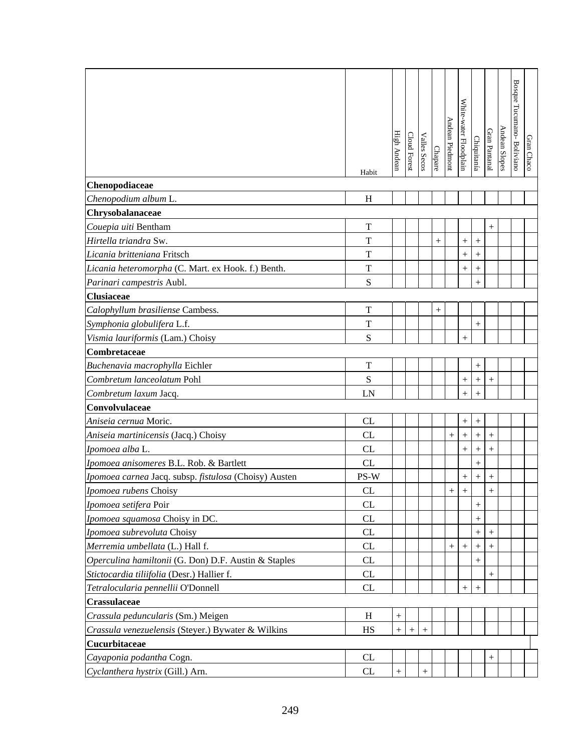|                                                                |                            | <b>High Andear</b> | <b>Cloud Forest</b> | <b>Valles Secos</b> |         | Andean Piedmont    | White-water Floodplain | Chiquitanía      | Gran Pantanal      | Andean Slopes | Bosque Tucumano-Boliviano | Gran Chaco |
|----------------------------------------------------------------|----------------------------|--------------------|---------------------|---------------------|---------|--------------------|------------------------|------------------|--------------------|---------------|---------------------------|------------|
|                                                                |                            |                    |                     |                     | Chapare |                    |                        |                  |                    |               |                           |            |
|                                                                | Habit                      |                    |                     |                     |         |                    |                        |                  |                    |               |                           |            |
| Chenopodiaceae                                                 |                            |                    |                     |                     |         |                    |                        |                  |                    |               |                           |            |
| Chenopodium album L.                                           | H                          |                    |                     |                     |         |                    |                        |                  |                    |               |                           |            |
| Chrysobalanaceae                                               |                            |                    |                     |                     |         |                    |                        |                  |                    |               |                           |            |
| Couepia uiti Bentham<br>Hirtella triandra Sw.                  | $\mathbf T$<br>T           |                    |                     |                     |         |                    |                        |                  | $^{+}$             |               |                           |            |
|                                                                |                            |                    |                     |                     | $^{+}$  |                    | $^{+}$                 | $^{+}$           |                    |               |                           |            |
| Licania britteniana Fritsch                                    | $\mathbf T$<br>$\mathbf T$ |                    |                     |                     |         |                    | $^{+}$                 | $^{+}$           |                    |               |                           |            |
| Licania heteromorpha (C. Mart. ex Hook. f.) Benth.             | S                          |                    |                     |                     |         |                    | $^{+}$                 | $^{+}$           |                    |               |                           |            |
| Parinari campestris Aubl.<br><b>Clusiaceae</b>                 |                            |                    |                     |                     |         |                    |                        | $^{+}$           |                    |               |                           |            |
| Calophyllum brasiliense Cambess.                               | $\mathbf T$                |                    |                     |                     |         |                    |                        |                  |                    |               |                           |            |
|                                                                | $\mathbf T$                |                    |                     |                     | $^{+}$  |                    |                        |                  |                    |               |                           |            |
| Symphonia globulifera L.f.<br>Vismia lauriformis (Lam.) Choisy | S                          |                    |                     |                     |         |                    |                        | $\! + \!$        |                    |               |                           |            |
| Combretaceae                                                   |                            |                    |                     |                     |         |                    | $^{+}$                 |                  |                    |               |                           |            |
| Buchenavia macrophylla Eichler                                 | $\mathbf T$                |                    |                     |                     |         |                    |                        | $^{+}$           |                    |               |                           |            |
| Combretum lanceolatum Pohl                                     | S                          |                    |                     |                     |         |                    |                        | $^{+}$           | $^{+}$             |               |                           |            |
| Combretum laxum Jacq.                                          | LN                         |                    |                     |                     |         |                    | $^{+}$<br>$^{+}$       | $\overline{+}$   |                    |               |                           |            |
| Convolvulaceae                                                 |                            |                    |                     |                     |         |                    |                        |                  |                    |               |                           |            |
| Aniseia cernua Moric.                                          | CL                         |                    |                     |                     |         |                    | $\boldsymbol{+}$       | $\boldsymbol{+}$ |                    |               |                           |            |
| Aniseia martinicensis (Jacq.) Choisy                           | CL                         |                    |                     |                     |         | $^{+}$             | $^{+}$                 | $^{+}$           | $^{+}$             |               |                           |            |
| Ipomoea alba L.                                                | CL                         |                    |                     |                     |         |                    | $^{+}$                 | $^{+}$           | $^{+}$             |               |                           |            |
| Ipomoea anisomeres B.L. Rob. & Bartlett                        | CL                         |                    |                     |                     |         |                    |                        | $^{+}$           |                    |               |                           |            |
| Ipomoea carnea Jacq. subsp. fistulosa (Choisy) Austen          | PS-W                       |                    |                     |                     |         |                    | $\! +$                 | $^{+}$           | $^{+}$             |               |                           |            |
| Ipomoea rubens Choisy                                          | CL                         |                    |                     |                     |         | $+$                | $\ddot{+}$             |                  | $\perp$            |               |                           |            |
| Ipomoea setifera Poir                                          | <b>CL</b>                  |                    |                     |                     |         |                    |                        | $^{+}$           |                    |               |                           |            |
| Ipomoea squamosa Choisy in DC.                                 | CL                         |                    |                     |                     |         |                    |                        | $^{+}$           |                    |               |                           |            |
| Ipomoea subrevoluta Choisy                                     | CL                         |                    |                     |                     |         |                    |                        | $^{+}$           |                    |               |                           |            |
| Merremia umbellata (L.) Hall f.                                | CL                         |                    |                     |                     |         | $\hspace{0.1mm} +$ | $^{+}$                 | $^+$             |                    |               |                           |            |
| Operculina hamiltonii (G. Don) D.F. Austin & Staples           | CL                         |                    |                     |                     |         |                    |                        | $^{+}$           |                    |               |                           |            |
| Stictocardia tiliifolia (Desr.) Hallier f.                     | CL                         |                    |                     |                     |         |                    |                        |                  | $\hspace{0.1mm} +$ |               |                           |            |
| Tetralocularia pennellii O'Donnell                             | CL                         |                    |                     |                     |         |                    | $^{+}$                 | $^{+}$           |                    |               |                           |            |
| <b>Crassulaceae</b>                                            |                            |                    |                     |                     |         |                    |                        |                  |                    |               |                           |            |
| Crassula peduncularis (Sm.) Meigen                             | H                          | $\hspace{0.1mm} +$ |                     |                     |         |                    |                        |                  |                    |               |                           |            |
| Crassula venezuelensis (Steyer.) Bywater & Wilkins             | HS                         |                    |                     | $+$                 |         |                    |                        |                  |                    |               |                           |            |
| Cucurbitaceae                                                  |                            |                    |                     |                     |         |                    |                        |                  |                    |               |                           |            |
| Cayaponia podantha Cogn.                                       | CL                         |                    |                     |                     |         |                    |                        |                  | $^{+}$             |               |                           |            |
| Cyclanthera hystrix (Gill.) Arn.                               | CL                         |                    |                     | $+$                 |         |                    |                        |                  |                    |               |                           |            |
|                                                                |                            |                    |                     |                     |         |                    |                        |                  |                    |               |                           |            |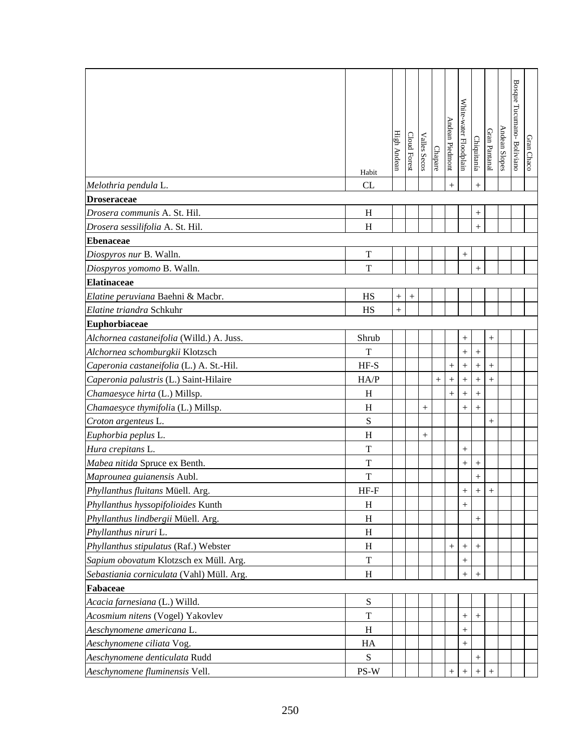|                                           | Habit                     | High Andear | Cloud Forest | <b>Valles Secos</b> | Chapare   | Andean Piedmont    | White-water Floodplain | Chiquitanía | Gran Pantanal      | Andean Slopes | Bosque Tucumano- Boliviano | Gran Chaco |
|-------------------------------------------|---------------------------|-------------|--------------|---------------------|-----------|--------------------|------------------------|-------------|--------------------|---------------|----------------------------|------------|
| Melothria pendula L.                      | CL                        |             |              |                     |           | $+$                |                        | $^{+}$      |                    |               |                            |            |
| <b>Droseraceae</b>                        |                           |             |              |                     |           |                    |                        |             |                    |               |                            |            |
| Drosera communis A. St. Hil.              | H                         |             |              |                     |           |                    |                        | $^+$        |                    |               |                            |            |
| Drosera sessilifolia A. St. Hil.          | H                         |             |              |                     |           |                    |                        | $^{+}$      |                    |               |                            |            |
| <b>Ebenaceae</b>                          |                           |             |              |                     |           |                    |                        |             |                    |               |                            |            |
| Diospyros nur B. Walln.                   | $\mathbf T$               |             |              |                     |           |                    | $\! + \!$              |             |                    |               |                            |            |
| Diospyros yomomo B. Walln.                | T                         |             |              |                     |           |                    |                        | $+$         |                    |               |                            |            |
| <b>Elatinaceae</b>                        |                           |             |              |                     |           |                    |                        |             |                    |               |                            |            |
| Elatine peruviana Baehni & Macbr.         | HS                        | $^{+}$      | $^{+}$       |                     |           |                    |                        |             |                    |               |                            |            |
| Elatine triandra Schkuhr                  | HS                        | $\ddot{}$   |              |                     |           |                    |                        |             |                    |               |                            |            |
| <b>Euphorbiaceae</b>                      |                           |             |              |                     |           |                    |                        |             |                    |               |                            |            |
| Alchornea castaneifolia (Willd.) A. Juss. | Shrub                     |             |              |                     |           |                    | $\hspace{0.1mm} +$     |             | $^+$               |               |                            |            |
| Alchornea schomburgkii Klotzsch           | T                         |             |              |                     |           |                    | $^{+}$                 | $^{+}$      |                    |               |                            |            |
| Caperonia castaneifolia (L.) A. St.-Hil.  | $HF-S$                    |             |              |                     |           | $^{+}$             | $\! + \!$              | $^{+}$      | $^{+}$             |               |                            |            |
| Caperonia palustris (L.) Saint-Hilaire    | HA/P                      |             |              |                     | $\! + \!$ | $+$                | $^{+}$                 | $\ddot{}$   | $^{+}$             |               |                            |            |
| Chamaesyce hirta (L.) Millsp.             | H                         |             |              |                     |           | $+$                | $^{+}$                 | $^{+}$      |                    |               |                            |            |
| Chamaesyce thymifolia (L.) Millsp.        | H                         |             |              | $+$                 |           |                    | $^{+}$                 | $\ddot{}$   |                    |               |                            |            |
| Croton argenteus L.                       | ${\bf S}$                 |             |              |                     |           |                    |                        |             | $\hspace{0.1mm} +$ |               |                            |            |
| Euphorbia peplus L.                       | $\boldsymbol{\mathrm{H}}$ |             |              | $^{+}$              |           |                    |                        |             |                    |               |                            |            |
| Hura crepitans L.                         | T                         |             |              |                     |           |                    |                        |             |                    |               |                            |            |
| Mabea nitida Spruce ex Benth.             | $\mathbf T$               |             |              |                     |           |                    | $^{+}$                 | $\! + \!$   |                    |               |                            |            |
| Maprounea guianensis Aubl.                | $\mathbf T$               |             |              |                     |           |                    |                        | $^{+}$      |                    |               |                            |            |
| Phyllanthus fluitans Müell. Arg.          | $HF-F$                    |             |              |                     |           |                    | $^{+}$                 | $\ddot{+}$  | $\ddot{}$          |               |                            |            |
| Phyllanthus hyssopifolioides Kunth        | H                         |             |              |                     |           |                    | $+$                    |             |                    |               |                            |            |
| Phyllanthus lindbergii Müell. Arg.        | H                         |             |              |                     |           |                    |                        | $^{+}$      |                    |               |                            |            |
| Phyllanthus niruri L.                     | H                         |             |              |                     |           |                    |                        |             |                    |               |                            |            |
| Phyllanthus stipulatus (Raf.) Webster     | H                         |             |              |                     |           | $^{+}$             | $\hspace{0.1mm} +$     | $^{+}$      |                    |               |                            |            |
| Sapium obovatum Klotzsch ex Müll. Arg.    | $\mathbf T$               |             |              |                     |           |                    |                        |             |                    |               |                            |            |
| Sebastiania corniculata (Vahl) Müll. Arg. | H                         |             |              |                     |           |                    | $^{+}$                 | $^{+}$      |                    |               |                            |            |
| Fabaceae                                  |                           |             |              |                     |           |                    |                        |             |                    |               |                            |            |
| Acacia farnesiana (L.) Willd.             | S                         |             |              |                     |           |                    |                        |             |                    |               |                            |            |
| Acosmium nitens (Vogel) Yakovlev          | T                         |             |              |                     |           |                    | $^{+}$                 |             |                    |               |                            |            |
| Aeschynomene americana L.                 | H                         |             |              |                     |           |                    | $^{+}$                 |             |                    |               |                            |            |
| Aeschynomene ciliata Vog.                 | HA                        |             |              |                     |           |                    | $^{+}$                 |             |                    |               |                            |            |
| Aeschynomene denticulata Rudd             | ${\bf S}$                 |             |              |                     |           |                    |                        |             |                    |               |                            |            |
| Aeschynomene fluminensis Vell.            | PS-W                      |             |              |                     |           | $\hspace{0.1mm} +$ | $^{+}$                 | $^{+}$      |                    |               |                            |            |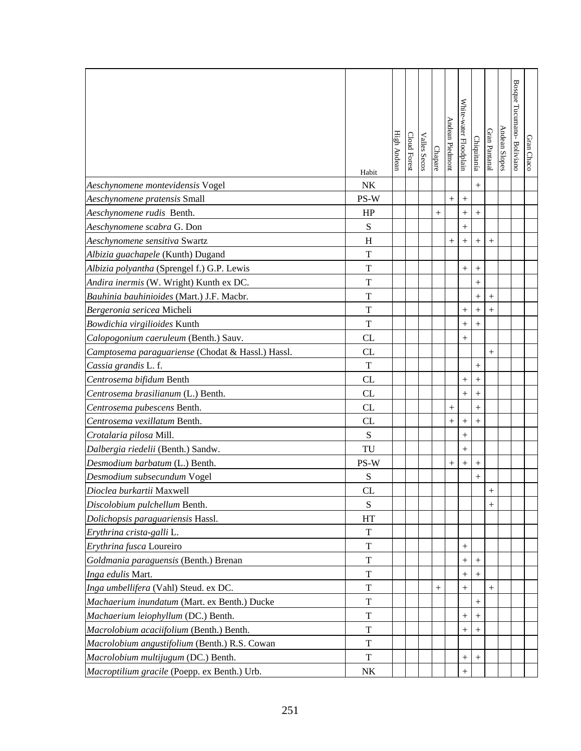|                                                   |             | High Andean | Cloud Forest | Valles Secos |         | Andean Piedmont | White-water Floodplain |                  | Gran Pantanal | Andean Slopes | Bosque Tucumano-Boliviano |            |
|---------------------------------------------------|-------------|-------------|--------------|--------------|---------|-----------------|------------------------|------------------|---------------|---------------|---------------------------|------------|
|                                                   |             |             |              |              | Chapare |                 |                        | Chiquitanía      |               |               |                           | Gran Chaco |
|                                                   | Habit       |             |              |              |         |                 |                        |                  |               |               |                           |            |
| Aeschynomene montevidensis Vogel                  | NK          |             |              |              |         |                 |                        | $^{+}$           |               |               |                           |            |
| Aeschynomene pratensis Small                      | PS-W        |             |              |              |         | $+$             | $^{+}$                 |                  |               |               |                           |            |
| Aeschynomene rudis Benth.                         | HP          |             |              |              | $^{+}$  |                 | $^{+}$                 | $^{+}$           |               |               |                           |            |
| Aeschynomene scabra G. Don                        | ${\bf S}$   |             |              |              |         |                 | $^{+}$                 |                  |               |               |                           |            |
| Aeschynomene sensitiva Swartz                     | H           |             |              |              |         | $^{+}$          | $^{+}$                 |                  |               |               |                           |            |
| Albizia guachapele (Kunth) Dugand                 | T           |             |              |              |         |                 |                        |                  |               |               |                           |            |
| Albizia polyantha (Sprengel f.) G.P. Lewis        | $\mathbf T$ |             |              |              |         |                 | $^{+}$                 | $^{+}$           |               |               |                           |            |
| Andira inermis (W. Wright) Kunth ex DC.           | $\mathbf T$ |             |              |              |         |                 |                        | $\ddot{}$        |               |               |                           |            |
| Bauhinia bauhinioides (Mart.) J.F. Macbr.         | $\mathbf T$ |             |              |              |         |                 |                        | $^{+}$           | $^{+}$        |               |                           |            |
| Bergeronia sericea Micheli                        | T           |             |              |              |         |                 | $^{+}$                 | $+$              | $+$           |               |                           |            |
| Bowdichia virgilioides Kunth                      | T           |             |              |              |         |                 | $\hspace{0.1mm} +$     | $^{+}$           |               |               |                           |            |
| Calopogonium caeruleum (Benth.) Sauv.             | CL          |             |              |              |         |                 | $\hspace{0.1mm} +$     |                  |               |               |                           |            |
| Camptosema paraguariense (Chodat & Hassl.) Hassl. | CL          |             |              |              |         |                 |                        |                  | $^{+}$        |               |                           |            |
| Cassia grandis L. f.                              | T           |             |              |              |         |                 |                        | $^{+}$           |               |               |                           |            |
| Centrosema bifidum Benth                          | CL          |             |              |              |         |                 | $^{+}$                 | $+$              |               |               |                           |            |
| Centrosema brasilianum (L.) Benth.                | CL          |             |              |              |         |                 | $^{+}$                 | $\boldsymbol{+}$ |               |               |                           |            |
| Centrosema pubescens Benth.                       | CL          |             |              |              |         | $^{+}$          |                        | $+$              |               |               |                           |            |
| Centrosema vexillatum Benth.                      | CL          |             |              |              |         | $^{+}$          | $^{+}$                 |                  |               |               |                           |            |
| Crotalaria pilosa Mill.                           | S           |             |              |              |         |                 | $^{+}$                 |                  |               |               |                           |            |
| Dalbergia riedelii (Benth.) Sandw.                | TU          |             |              |              |         |                 | $^{+}$                 |                  |               |               |                           |            |
| Desmodium barbatum (L.) Benth.                    | PS-W        |             |              |              |         | $^{+}$          |                        | $^{+}$           |               |               |                           |            |
| Desmodium subsecundum Vogel                       | S           |             |              |              |         |                 |                        | $^{+}$           |               |               |                           |            |
| Dioclea burkartii Maxwell                         | CL          |             |              |              |         |                 |                        |                  |               |               |                           |            |
| Discolobium pulchellum Benth.                     | S           |             |              |              |         |                 |                        |                  |               |               |                           |            |
| Dolichopsis paraguariensis Hassl.                 | HT          |             |              |              |         |                 |                        |                  |               |               |                           |            |
| Erythrina crista-galli L.                         | T           |             |              |              |         |                 |                        |                  |               |               |                           |            |
| Erythrina fusca Loureiro                          | T           |             |              |              |         |                 | $^{+}$                 |                  |               |               |                           |            |
| Goldmania paraguensis (Benth.) Brenan             | T           |             |              |              |         |                 | $\hspace{0.1mm} +$     | $^{+}$           |               |               |                           |            |
| Inga edulis Mart.                                 | T           |             |              |              |         |                 | $\hspace{0.1mm} +$     | $^{+}$           |               |               |                           |            |
| Inga umbellifera (Vahl) Steud. ex DC.             | T           |             |              |              | $^{+}$  |                 | $\! +$                 |                  |               |               |                           |            |
| Machaerium inundatum (Mart. ex Benth.) Ducke      | T           |             |              |              |         |                 |                        | $^{+}$           |               |               |                           |            |
| Machaerium leiophyllum (DC.) Benth.               | T           |             |              |              |         |                 | $^{+}$                 |                  |               |               |                           |            |
| Macrolobium acaciifolium (Benth.) Benth.          | T           |             |              |              |         |                 | $^+$                   | $^{+}$           |               |               |                           |            |
| Macrolobium angustifolium (Benth.) R.S. Cowan     | $\mathbf T$ |             |              |              |         |                 |                        |                  |               |               |                           |            |
| Macrolobium multijugum (DC.) Benth.               | T           |             |              |              |         |                 | $^{+}$                 | $\boldsymbol{+}$ |               |               |                           |            |
| Macroptilium gracile (Poepp. ex Benth.) Urb.      | NK          |             |              |              |         |                 | $^{+}$                 |                  |               |               |                           |            |
|                                                   |             |             |              |              |         |                 |                        |                  |               |               |                           |            |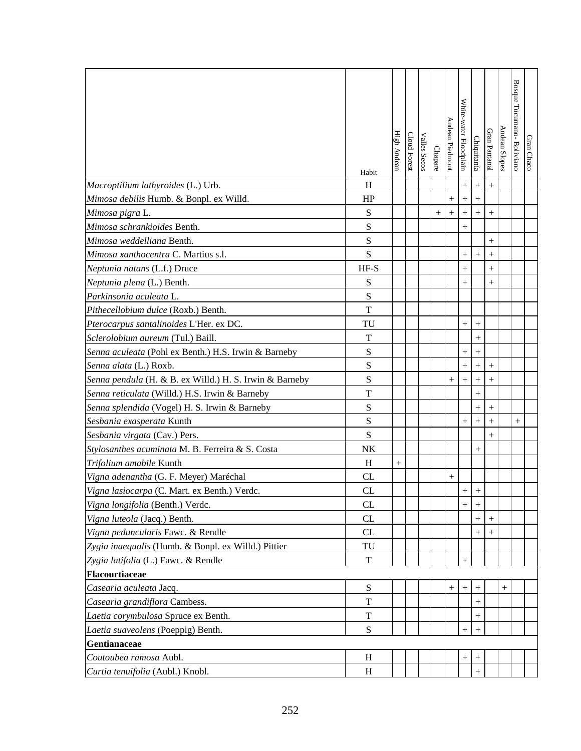|                                                         | Habit       | High Andear | Cloud Forest | Valles Secos | <b>Chapare</b> | Andean Piedmon     | White-water Floodplain | Chiquitanía      | Gran Pantanal | Andean Slopes | Bosque Tucumano- Boliviano | Gran Chaco |
|---------------------------------------------------------|-------------|-------------|--------------|--------------|----------------|--------------------|------------------------|------------------|---------------|---------------|----------------------------|------------|
| Macroptilium lathyroides (L.) Urb.                      | H           |             |              |              |                |                    | $\boldsymbol{+}$       | $\boldsymbol{+}$ | $+$           |               |                            |            |
| Mimosa debilis Humb. & Bonpl. ex Willd.                 | HP          |             |              |              |                | $^{+}$             | $^{+}$                 | $+$              |               |               |                            |            |
| Mimosa pigra L.                                         | ${\bf S}$   |             |              |              | $^{+}$         |                    | $\! +$                 |                  | $^{+}$        |               |                            |            |
| Mimosa schrankioides Benth.                             | ${\bf S}$   |             |              |              |                |                    | $^{+}$                 |                  |               |               |                            |            |
| Mimosa weddelliana Benth.                               | $\mathbf S$ |             |              |              |                |                    |                        |                  |               |               |                            |            |
| Mimosa xanthocentra C. Martius s.l.                     | S           |             |              |              |                |                    | $^{+}$                 | $^{+}$           | $^{+}$        |               |                            |            |
| Neptunia natans (L.f.) Druce                            | $HF-S$      |             |              |              |                |                    | $^{+}$                 |                  | $^{+}$        |               |                            |            |
| Neptunia plena (L.) Benth.                              | S           |             |              |              |                |                    | $^{+}$                 |                  | $^{+}$        |               |                            |            |
| Parkinsonia aculeata L.                                 | S           |             |              |              |                |                    |                        |                  |               |               |                            |            |
| Pithecellobium dulce (Roxb.) Benth.                     | T           |             |              |              |                |                    |                        |                  |               |               |                            |            |
| Pterocarpus santalinoides L'Her. ex DC.                 | TU          |             |              |              |                |                    | $^+$                   | $^{+}$           |               |               |                            |            |
| Sclerolobium aureum (Tul.) Baill.                       | T           |             |              |              |                |                    |                        | $^{+}$           |               |               |                            |            |
| Senna aculeata (Pohl ex Benth.) H.S. Irwin & Barneby    | $\mathbf S$ |             |              |              |                |                    | $^{+}$                 |                  |               |               |                            |            |
| Senna alata (L.) Roxb.                                  | $\mathbf S$ |             |              |              |                |                    | $^{+}$                 | $\! + \!$        |               |               |                            |            |
| Senna pendula (H. & B. ex Willd.) H. S. Irwin & Barneby | S           |             |              |              |                | $^+$               | $^{+}$                 | $^{+}$           | $^{+}$        |               |                            |            |
| Senna reticulata (Willd.) H.S. Irwin & Barneby          | $\mathbf T$ |             |              |              |                |                    |                        | $^{+}$           |               |               |                            |            |
| Senna splendida (Vogel) H. S. Irwin & Barneby           | S           |             |              |              |                |                    |                        | $\boldsymbol{+}$ | $+$           |               |                            |            |
| Sesbania exasperata Kunth                               | S           |             |              |              |                |                    | $^{+}$                 |                  | $^{+}$        |               | $^{+}$                     |            |
| Sesbania virgata (Cav.) Pers.                           | S           |             |              |              |                |                    |                        |                  | $^{+}$        |               |                            |            |
| Stylosanthes acuminata M. B. Ferreira & S. Costa        | NK          |             |              |              |                |                    |                        | $^{+}$           |               |               |                            |            |
| Trifolium amabile Kunth                                 | H           | $^{+}$      |              |              |                |                    |                        |                  |               |               |                            |            |
| Vigna adenantha (G. F. Meyer) Maréchal                  | <b>CL</b>   |             |              |              |                | $\hspace{0.1mm} +$ |                        |                  |               |               |                            |            |
| Vigna lasiocarpa (C. Mart. ex Benth.) Verdc.            | CL          |             |              |              |                |                    |                        |                  |               |               |                            |            |
| Vigna longifolia (Benth.) Verdc.                        | <b>CL</b>   |             |              |              |                |                    | $+$                    | $^{+}$           |               |               |                            |            |
| Vigna luteola (Jacq.) Benth.                            | CL          |             |              |              |                |                    |                        |                  |               |               |                            |            |
| Vigna peduncularis Fawc. & Rendle                       | CL          |             |              |              |                |                    |                        | $^{+}$           |               |               |                            |            |
| Zygia inaequalis (Humb. & Bonpl. ex Willd.) Pittier     | TU          |             |              |              |                |                    |                        |                  |               |               |                            |            |
| Zygia latifolia (L.) Fawc. & Rendle                     | $\mathbf T$ |             |              |              |                |                    | $^{+}$                 |                  |               |               |                            |            |
| Flacourtiaceae                                          |             |             |              |              |                |                    |                        |                  |               |               |                            |            |
| Casearia aculeata Jacq.                                 | ${\bf S}$   |             |              |              |                | $\! + \!$          | $^{+}$                 | $^+$             |               |               |                            |            |
| Casearia grandiflora Cambess.                           | T           |             |              |              |                |                    |                        | $^+$             |               |               |                            |            |
| Laetia corymbulosa Spruce ex Benth.                     | $\mathbf T$ |             |              |              |                |                    |                        |                  |               |               |                            |            |
| Laetia suaveolens (Poeppig) Benth.                      | ${\bf S}$   |             |              |              |                |                    | $^{+}$                 | $^{+}$           |               |               |                            |            |
| Gentianaceae                                            |             |             |              |              |                |                    |                        |                  |               |               |                            |            |
| Coutoubea ramosa Aubl.                                  | H           |             |              |              |                |                    |                        | $^{+}$           |               |               |                            |            |
| Curtia tenuifolia (Aubl.) Knobl.                        | H           |             |              |              |                |                    |                        | $^{+}$           |               |               |                            |            |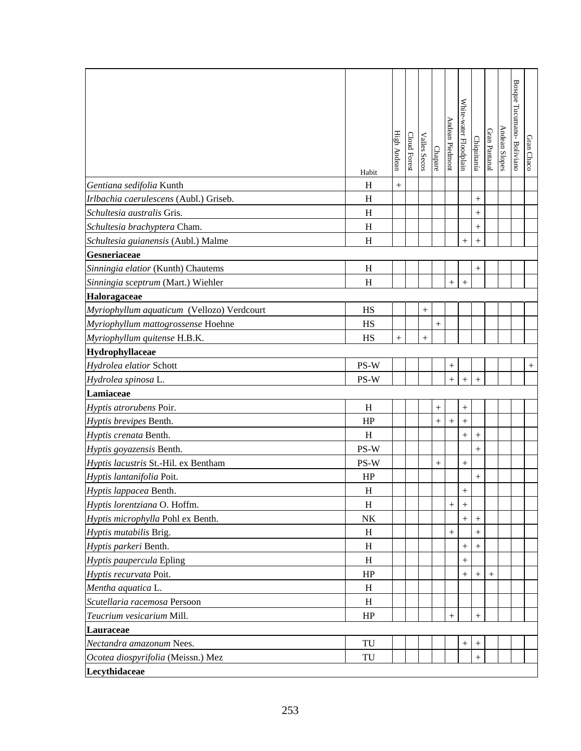|                                            | Habit        | High Andean | Cloud Forest | Valles Secos | Chapare         | Andean Piedmont | White-water Floodplain | Chiquitanía      | Gran Pantanal | Andean Slopes | Bosque Tucumano- Boliviano | Gran Chaco |
|--------------------------------------------|--------------|-------------|--------------|--------------|-----------------|-----------------|------------------------|------------------|---------------|---------------|----------------------------|------------|
| Gentiana sedifolia Kunth                   | H            | $^{+}$      |              |              |                 |                 |                        |                  |               |               |                            |            |
| Irlbachia caerulescens (Aubl.) Griseb.     | H            |             |              |              |                 |                 |                        | $+$              |               |               |                            |            |
| Schultesia australis Gris.                 | H            |             |              |              |                 |                 |                        | $^{+}$           |               |               |                            |            |
| Schultesia brachyptera Cham.               | H            |             |              |              |                 |                 |                        | $^{+}$           |               |               |                            |            |
| Schultesia guianensis (Aubl.) Malme        | H            |             |              |              |                 |                 | $^{+}$                 | $^{+}$           |               |               |                            |            |
| Gesneriaceae                               |              |             |              |              |                 |                 |                        |                  |               |               |                            |            |
| Sinningia elatior (Kunth) Chautems         | H            |             |              |              |                 |                 |                        | $^{+}$           |               |               |                            |            |
| Sinningia sceptrum (Mart.) Wiehler         | H            |             |              |              |                 | $+$             | $^{+}$                 |                  |               |               |                            |            |
| Haloragaceae                               |              |             |              |              |                 |                 |                        |                  |               |               |                            |            |
| Myriophyllum aquaticum (Vellozo) Verdcourt | HS           |             |              | $\! + \!$    |                 |                 |                        |                  |               |               |                            |            |
| Myriophyllum mattogrossense Hoehne         | HS           |             |              |              | $\! + \!\!\!\!$ |                 |                        |                  |               |               |                            |            |
| Myriophyllum quitense H.B.K.               | HS           | $^{+}$      |              | $^{+}$       |                 |                 |                        |                  |               |               |                            |            |
| Hydrophyllaceae                            |              |             |              |              |                 |                 |                        |                  |               |               |                            |            |
| Hydrolea elatior Schott                    | PS-W         |             |              |              |                 |                 |                        |                  |               |               |                            | $^{+}$     |
| Hydrolea spinosa L.                        | PS-W         |             |              |              |                 | $\ddot{}$       | $\ddot{}$              | $+$              |               |               |                            |            |
| Lamiaceae                                  |              |             |              |              |                 |                 |                        |                  |               |               |                            |            |
| Hyptis atrorubens Poir.                    | H            |             |              |              |                 |                 | $^{+}$                 |                  |               |               |                            |            |
| Hyptis brevipes Benth.                     | HP           |             |              |              | $^{+}$          | $^{+}$          | $^{+}$                 |                  |               |               |                            |            |
| Hyptis crenata Benth.                      | $\, {\rm H}$ |             |              |              |                 |                 | $^{+}$                 |                  |               |               |                            |            |
| Hyptis goyazensis Benth.                   | PS-W         |             |              |              |                 |                 |                        | $+$              |               |               |                            |            |
| Hyptis lacustris St.-Hil. ex Bentham       | PS-W         |             |              |              | $^{+}$          |                 | $^{+}$                 |                  |               |               |                            |            |
| Hyptis lantanifolia Poit.                  | HP           |             |              |              |                 |                 |                        | $+$              |               |               |                            |            |
| Hyptis lappacea Benth.                     | $H_{\rm}$    |             |              |              |                 |                 | $\pm$                  |                  |               |               |                            |            |
| Hyptis lorentziana O. Hoffm.               | H            |             |              |              |                 | $^{+}$          | $+$                    |                  |               |               |                            |            |
| Hyptis microphylla Pohl ex Benth.          | NK           |             |              |              |                 |                 | $^{+}$                 | $^{+}$           |               |               |                            |            |
| Hyptis mutabilis Brig.                     | H            |             |              |              |                 | $^{+}$          |                        | $^{+}$           |               |               |                            |            |
| Hyptis parkeri Benth.                      | H            |             |              |              |                 |                 | $^{+}$                 | $^{+}$           |               |               |                            |            |
| Hyptis paupercula Epling                   | H            |             |              |              |                 |                 | $^{+}$                 |                  |               |               |                            |            |
| Hyptis recurvata Poit.                     | HP           |             |              |              |                 |                 | $^{+}$                 | $^{+}$           | $^{+}$        |               |                            |            |
| Mentha aquatica L.                         | H            |             |              |              |                 |                 |                        |                  |               |               |                            |            |
| Scutellaria racemosa Persoon               | H            |             |              |              |                 |                 |                        |                  |               |               |                            |            |
| Teucrium vesicarium Mill.                  | HP           |             |              |              |                 | $^{+}$          |                        | $+$              |               |               |                            |            |
| Lauraceae                                  |              |             |              |              |                 |                 |                        |                  |               |               |                            |            |
| Nectandra amazonum Nees.                   | TU           |             |              |              |                 |                 | $^{+}$                 | $\boldsymbol{+}$ |               |               |                            |            |
| Ocotea diospyrifolia (Meissn.) Mez         | TU           |             |              |              |                 |                 |                        | $+$              |               |               |                            |            |
| Lecythidaceae                              |              |             |              |              |                 |                 |                        |                  |               |               |                            |            |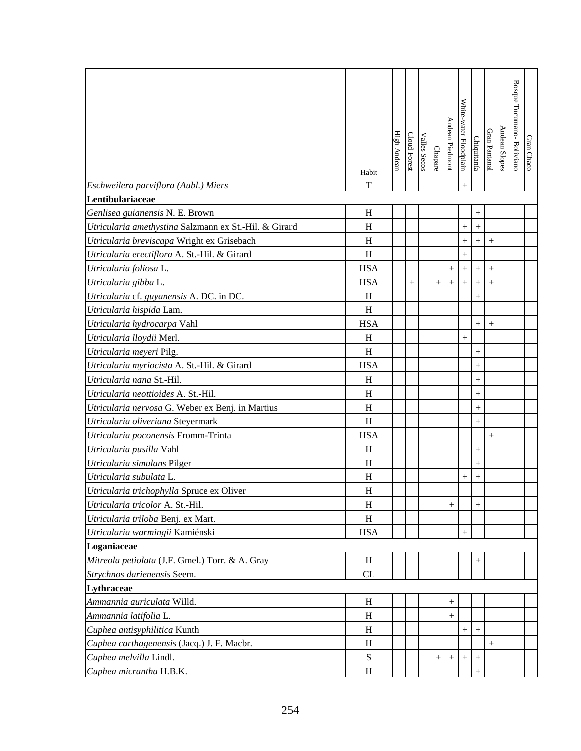|                                                       | Habit      | High Andear | Cloud Forest | <b>Valles Secos</b> | Chapare | Andean Piedmont | White-water Floodplain | Chiquitanía       | Gran Pantanal | Andean Slopes | Bosque Tucumano- Boliviano | Gran Chacc |
|-------------------------------------------------------|------------|-------------|--------------|---------------------|---------|-----------------|------------------------|-------------------|---------------|---------------|----------------------------|------------|
| Eschweilera parviflora (Aubl.) Miers                  | T          |             |              |                     |         |                 | $^{+}$                 |                   |               |               |                            |            |
| Lentibulariaceae                                      |            |             |              |                     |         |                 |                        |                   |               |               |                            |            |
| Genlisea guianensis N. E. Brown                       | H          |             |              |                     |         |                 |                        | $^{+}$            |               |               |                            |            |
| Utricularia amethystina Salzmann ex St.-Hil. & Girard | H          |             |              |                     |         |                 | $^{+}$                 | $\boldsymbol{+}$  |               |               |                            |            |
| Utricularia breviscapa Wright ex Grisebach            | H          |             |              |                     |         |                 | $^{+}$                 | $\boldsymbol{+}$  | $^{+}$        |               |                            |            |
| Utricularia erectiflora A. St.-Hil. & Girard          | H          |             |              |                     |         |                 | $^{+}$                 |                   |               |               |                            |            |
| Utricularia foliosa L.                                | <b>HSA</b> |             |              |                     |         | $^{+}$          | $^{+}$                 | $\boldsymbol{+}$  | $^{+}$        |               |                            |            |
| Utricularia gibba L.                                  | <b>HSA</b> |             | $^{+}$       |                     |         | $^{+}$          | $^{+}$                 | $\qquad \qquad +$ | $^{+}$        |               |                            |            |
| Utricularia cf. guyanensis A. DC. in DC.              | H          |             |              |                     |         |                 |                        | $\boldsymbol{+}$  |               |               |                            |            |
| Utricularia hispida Lam.                              | H          |             |              |                     |         |                 |                        |                   |               |               |                            |            |
| Utricularia hydrocarpa Vahl                           | <b>HSA</b> |             |              |                     |         |                 |                        | $^{+}$            | $^{+}$        |               |                            |            |
| Utricularia lloydii Merl.                             | H          |             |              |                     |         |                 | $^{+}$                 |                   |               |               |                            |            |
| Utricularia meyeri Pilg.                              | H          |             |              |                     |         |                 |                        | $\boldsymbol{+}$  |               |               |                            |            |
| Utricularia myriocista A. St.-Hil. & Girard           | <b>HSA</b> |             |              |                     |         |                 |                        | $^{+}$            |               |               |                            |            |
| Utricularia nana St.-Hil.                             | H          |             |              |                     |         |                 |                        | $^{+}$            |               |               |                            |            |
| Utricularia neottioides A. St.-Hil.                   | H          |             |              |                     |         |                 |                        | $^{+}$            |               |               |                            |            |
| Utricularia nervosa G. Weber ex Benj. in Martius      | H          |             |              |                     |         |                 |                        |                   |               |               |                            |            |
| Utricularia oliveriana Steyermark                     | H          |             |              |                     |         |                 |                        | $\boldsymbol{+}$  |               |               |                            |            |
| Utricularia poconensis Fromm-Trinta                   | <b>HSA</b> |             |              |                     |         |                 |                        |                   | $^{+}$        |               |                            |            |
| Utricularia pusilla Vahl                              | H          |             |              |                     |         |                 |                        | $^{+}$            |               |               |                            |            |
| Utricularia simulans Pilger                           | H          |             |              |                     |         |                 |                        | $^{+}$            |               |               |                            |            |
| Utricularia subulata L.                               | H          |             |              |                     |         |                 | $^+$                   | $^{+}$            |               |               |                            |            |
| Utricularia trichophylla Spruce ex Oliver             | $H_{\rm}$  |             |              |                     |         |                 |                        |                   |               |               |                            |            |
| Utricularia tricolor A. St.-Hil.                      | H          |             |              |                     |         | $^{+}$          |                        | $^{+}$            |               |               |                            |            |
| Utricularia triloba Benj. ex Mart.                    | H          |             |              |                     |         |                 |                        |                   |               |               |                            |            |
| Utricularia warmingii Kamiénski                       | <b>HSA</b> |             |              |                     |         |                 | $+$                    |                   |               |               |                            |            |
| Loganiaceae                                           |            |             |              |                     |         |                 |                        |                   |               |               |                            |            |
| Mitreola petiolata (J.F. Gmel.) Torr. & A. Gray       | H          |             |              |                     |         |                 |                        | $^{+}$            |               |               |                            |            |
| Strychnos darienensis Seem.                           | CL         |             |              |                     |         |                 |                        |                   |               |               |                            |            |
| Lythraceae                                            |            |             |              |                     |         |                 |                        |                   |               |               |                            |            |
| Ammannia auriculata Willd.                            | H          |             |              |                     |         | $^{+}$          |                        |                   |               |               |                            |            |
| Ammannia latifolia L.                                 | H          |             |              |                     |         | $^{+}$          |                        |                   |               |               |                            |            |
| Cuphea antisyphilitica Kunth                          | H          |             |              |                     |         |                 | $^{+}$                 |                   |               |               |                            |            |
| Cuphea carthagenensis (Jacq.) J. F. Macbr.            | H          |             |              |                     |         |                 |                        |                   | $^{+}$        |               |                            |            |
| Cuphea melvilla Lindl.                                | S          |             |              |                     |         | $^{+}$          |                        | $^{+}$            |               |               |                            |            |
| Cuphea micrantha H.B.K.                               | H          |             |              |                     |         |                 |                        | $^{+}$            |               |               |                            |            |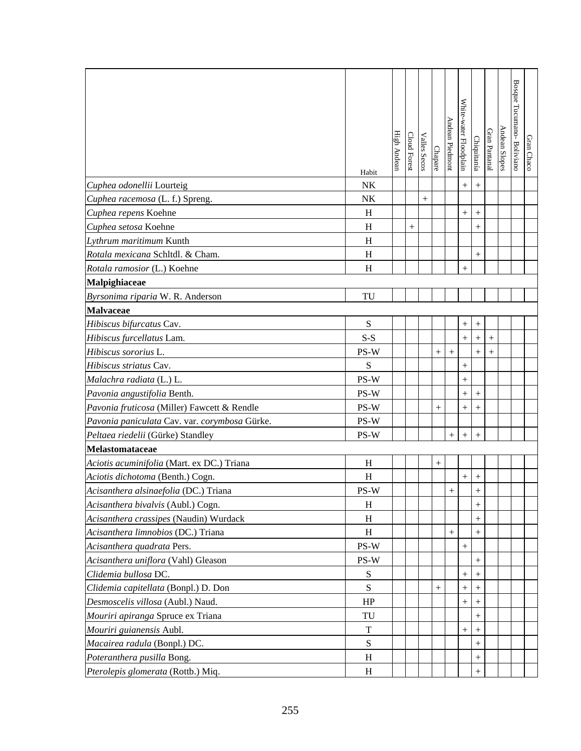|                                               | Habit                           | High Andear | <b>Cloud Forest</b> | Valles Secos | Chapare | Andean Piedmont | White-water Floodplain | Chiquitanía      | Gran Pantanal | Andean Slopes | Bosque Tucumano-Bolivianc | Gran Chaco |
|-----------------------------------------------|---------------------------------|-------------|---------------------|--------------|---------|-----------------|------------------------|------------------|---------------|---------------|---------------------------|------------|
| Cuphea odonellii Lourteig                     | NK                              |             |                     |              |         |                 |                        | $+$              |               |               |                           |            |
| Cuphea racemosa (L. f.) Spreng.               | NK                              |             |                     | $^{+}$       |         |                 |                        |                  |               |               |                           |            |
| Cuphea repens Koehne                          | H                               |             |                     |              |         |                 | $^{+}$                 | $^{+}$           |               |               |                           |            |
| Cuphea setosa Koehne                          | H                               |             | $^{+}$              |              |         |                 |                        | $^{+}$           |               |               |                           |            |
| Lythrum maritimum Kunth                       | H                               |             |                     |              |         |                 |                        |                  |               |               |                           |            |
| Rotala mexicana Schltdl. & Cham.              | H                               |             |                     |              |         |                 |                        | $^{+}$           |               |               |                           |            |
| Rotala ramosior (L.) Koehne                   | H                               |             |                     |              |         |                 | $^{+}$                 |                  |               |               |                           |            |
| Malpighiaceae                                 |                                 |             |                     |              |         |                 |                        |                  |               |               |                           |            |
| Byrsonima riparia W. R. Anderson              | TU                              |             |                     |              |         |                 |                        |                  |               |               |                           |            |
| Malvaceae                                     |                                 |             |                     |              |         |                 |                        |                  |               |               |                           |            |
| Hibiscus bifurcatus Cav.                      | S                               |             |                     |              |         |                 | $^{+}$                 | $^{+}$           |               |               |                           |            |
| Hibiscus furcellatus Lam.                     | $S-S$                           |             |                     |              |         |                 | $^{+}$                 | $\boldsymbol{+}$ | $^{+}$        |               |                           |            |
| Hibiscus sororius L.                          | PS-W                            |             |                     |              | $^{+}$  | $^{+}$          |                        | $^{+}$           | $^{+}$        |               |                           |            |
| Hibiscus striatus Cav.                        | S                               |             |                     |              |         |                 | $^{+}$                 |                  |               |               |                           |            |
| Malachra radiata (L.) L.                      | PS-W                            |             |                     |              |         |                 | $^{+}$                 |                  |               |               |                           |            |
| Pavonia angustifolia Benth.                   | PS-W                            |             |                     |              |         |                 | $^{+}$                 | $^{+}$           |               |               |                           |            |
| Pavonia fruticosa (Miller) Fawcett & Rendle   | PS-W                            |             |                     |              | $^{+}$  |                 | $^{+}$                 | $^{+}$           |               |               |                           |            |
| Pavonia paniculata Cav. var. corymbosa Gürke. | PS-W                            |             |                     |              |         |                 |                        |                  |               |               |                           |            |
| Peltaea riedelii (Gürke) Standley             | PS-W                            |             |                     |              |         | $^{+}$          | $^{+}$                 | $^{+}$           |               |               |                           |            |
| Melastomataceae                               |                                 |             |                     |              |         |                 |                        |                  |               |               |                           |            |
| Aciotis acuminifolia (Mart. ex DC.) Triana    | H                               |             |                     |              | $^{+}$  |                 |                        |                  |               |               |                           |            |
| Aciotis dichotoma (Benth.) Cogn.              | H                               |             |                     |              |         |                 | $^{+}$                 |                  |               |               |                           |            |
| Acisanthera alsinaefolia (DC.) Triana         | $\mathbf{PS}\text{-}\mathbf{W}$ |             |                     |              |         |                 |                        | $\perp$          |               |               |                           |            |
| Acisanthera bivalvis (Aubl.) Cogn.            | H                               |             |                     |              |         |                 |                        | $^{+}$           |               |               |                           |            |
| Acisanthera crassipes (Naudin) Wurdack        | H                               |             |                     |              |         |                 |                        | $^{+}$           |               |               |                           |            |
| Acisanthera limnobios (DC.) Triana            | H                               |             |                     |              |         |                 |                        | $^{+}$           |               |               |                           |            |
| Acisanthera quadrata Pers.                    | PS-W                            |             |                     |              |         |                 | $^{+}$                 |                  |               |               |                           |            |
| Acisanthera uniflora (Vahl) Gleason           | PS-W                            |             |                     |              |         |                 |                        | $^{+}$           |               |               |                           |            |
| Clidemia bullosa DC.                          | S                               |             |                     |              |         |                 | $\! + \!\!\!\!$        | $^{+}$           |               |               |                           |            |
| Clidemia capitellata (Bonpl.) D. Don          | S                               |             |                     |              |         |                 | $^+$                   | $^{+}$           |               |               |                           |            |
| Desmoscelis villosa (Aubl.) Naud.             | HP                              |             |                     |              |         |                 | $^{+}$                 | $^+$             |               |               |                           |            |
| Mouriri apiranga Spruce ex Triana             | TU                              |             |                     |              |         |                 |                        |                  |               |               |                           |            |
| Mouriri guianensis Aubl.                      | T                               |             |                     |              |         |                 | $\! + \!\!\!\!$        | $^{+}$           |               |               |                           |            |
| Macairea radula (Bonpl.) DC.                  | S                               |             |                     |              |         |                 |                        | $^{+}$           |               |               |                           |            |
| Poteranthera pusilla Bong.                    | H                               |             |                     |              |         |                 |                        | $^{+}$           |               |               |                           |            |
| Pterolepis glomerata (Rottb.) Miq.            | H                               |             |                     |              |         |                 |                        | $^{+}$           |               |               |                           |            |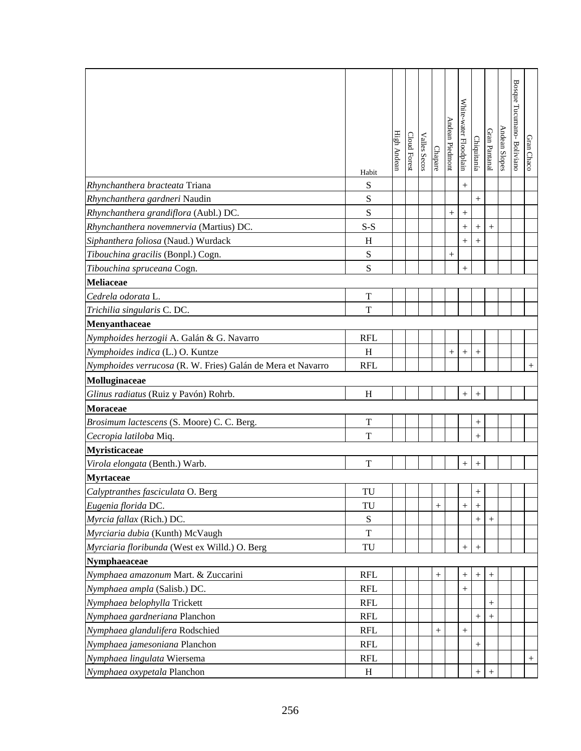|                                                             | Habit                  | High Andean | Cloud Forest | Valles Secos | Chapare          | Andean Piedmont | White-water Floodplain | Chiquitanía                      | Gran Pantanal | Andean Slopes | Bosque Tucumano-Boliviano | Gran Chaco |
|-------------------------------------------------------------|------------------------|-------------|--------------|--------------|------------------|-----------------|------------------------|----------------------------------|---------------|---------------|---------------------------|------------|
| Rhynchanthera bracteata Triana                              | S                      |             |              |              |                  |                 | $+$                    |                                  |               |               |                           |            |
| Rhynchanthera gardneri Naudin                               | S                      |             |              |              |                  |                 |                        | $+$                              |               |               |                           |            |
| Rhynchanthera grandiflora (Aubl.) DC.                       | $\mathbf S$            |             |              |              |                  | $^{+}$          | $^{+}$                 |                                  |               |               |                           |            |
| Rhynchanthera novemnervia (Martius) DC.                     | $S-S$                  |             |              |              |                  |                 | $^{+}$                 | $^{+}$                           | $^{+}$        |               |                           |            |
| Siphanthera foliosa (Naud.) Wurdack                         | H                      |             |              |              |                  |                 | $^{+}$                 |                                  |               |               |                           |            |
| Tibouchina gracilis (Bonpl.) Cogn.                          | ${\bf S}$              |             |              |              |                  | $^{+}$          |                        |                                  |               |               |                           |            |
| Tibouchina spruceana Cogn.                                  | S                      |             |              |              |                  |                 | $^{+}$                 |                                  |               |               |                           |            |
| <b>Meliaceae</b>                                            |                        |             |              |              |                  |                 |                        |                                  |               |               |                           |            |
| Cedrela odorata L.                                          | T                      |             |              |              |                  |                 |                        |                                  |               |               |                           |            |
| Trichilia singularis C. DC.                                 | T                      |             |              |              |                  |                 |                        |                                  |               |               |                           |            |
| Menyanthaceae                                               |                        |             |              |              |                  |                 |                        |                                  |               |               |                           |            |
| Nymphoides herzogii A. Galán & G. Navarro                   | <b>RFL</b>             |             |              |              |                  |                 |                        |                                  |               |               |                           |            |
| Nymphoides indica (L.) O. Kuntze                            | H                      |             |              |              |                  | $^{+}$          | $^+$                   | $\! + \!\!\!\!$                  |               |               |                           |            |
| Nymphoides verrucosa (R. W. Fries) Galán de Mera et Navarro | <b>RFL</b>             |             |              |              |                  |                 |                        |                                  |               |               |                           | $^{+}$     |
| Molluginaceae                                               |                        |             |              |              |                  |                 |                        |                                  |               |               |                           |            |
| Glinus radiatus (Ruiz y Pavón) Rohrb.                       | H                      |             |              |              |                  |                 |                        | $^{+}$                           |               |               |                           |            |
| <b>Moraceae</b>                                             |                        |             |              |              |                  |                 |                        |                                  |               |               |                           |            |
| Brosimum lactescens (S. Moore) C. C. Berg.                  | $\mathbf T$            |             |              |              |                  |                 |                        |                                  |               |               |                           |            |
| Cecropia latiloba Miq.                                      | T                      |             |              |              |                  |                 |                        | $\ddot{}$                        |               |               |                           |            |
| Myristicaceae                                               |                        |             |              |              |                  |                 |                        |                                  |               |               |                           |            |
| Virola elongata (Benth.) Warb.                              | T                      |             |              |              |                  |                 | $+$                    | $^{+}$                           |               |               |                           |            |
| Myrtaceae                                                   |                        |             |              |              |                  |                 |                        |                                  |               |               |                           |            |
| Calyptranthes fasciculata O. Berg                           | $\mathrm{T}\mathrm{U}$ |             |              |              |                  |                 |                        |                                  |               |               |                           |            |
| Eugenia florida DC.                                         | TU                     |             |              |              | $^{+}$           |                 | $^{+}$                 | $^{+}$                           |               |               |                           |            |
| Myrcia fallax (Rich.) DC.                                   | ${\bf S}$              |             |              |              |                  |                 |                        | $^{+}$                           |               |               |                           |            |
| Myrciaria dubia (Kunth) McVaugh                             | T                      |             |              |              |                  |                 |                        |                                  |               |               |                           |            |
| Myrciaria floribunda (West ex Willd.) O. Berg               | TU                     |             |              |              |                  |                 | $^{+}$                 | $^{+}$                           |               |               |                           |            |
| Nymphaeaceae                                                |                        |             |              |              |                  |                 |                        |                                  |               |               |                           |            |
| Nymphaea amazonum Mart. & Zuccarini                         | <b>RFL</b>             |             |              |              | $\boldsymbol{+}$ |                 | $^{+}$                 | $+$                              | $^{+}$        |               |                           |            |
| Nymphaea ampla (Salisb.) DC.                                | <b>RFL</b>             |             |              |              |                  |                 | $+$                    |                                  |               |               |                           |            |
| Nymphaea belophylla Trickett                                | <b>RFL</b>             |             |              |              |                  |                 |                        |                                  | $^+$          |               |                           |            |
| Nymphaea gardneriana Planchon                               | <b>RFL</b>             |             |              |              |                  |                 |                        |                                  |               |               |                           |            |
| Nymphaea glandulifera Rodschied                             | <b>RFL</b>             |             |              |              |                  |                 | $\! + \!\!\!\!$        |                                  |               |               |                           |            |
| Nymphaea jamesoniana Planchon                               | <b>RFL</b>             |             |              |              |                  |                 |                        |                                  |               |               |                           |            |
| Nymphaea lingulata Wiersema                                 | <b>RFL</b>             |             |              |              |                  |                 |                        |                                  |               |               |                           | $^{+}$     |
| Nymphaea oxypetala Planchon                                 | H                      |             |              |              |                  |                 |                        | $\begin{array}{c} + \end{array}$ |               |               |                           |            |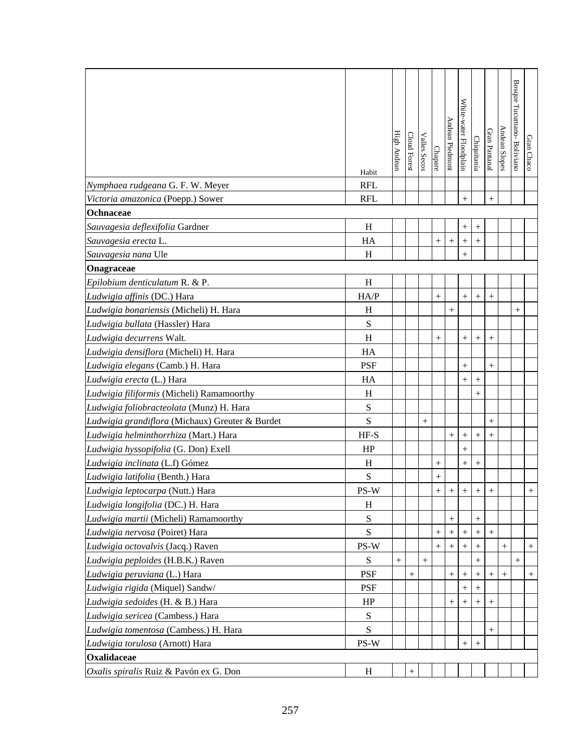|                                                 | Habit                     | High Andear | Cloud Forest | Valles Secos       | Chapare    | Andean Piedmont | White-water Floodplain | Chiquitanía        | Gran Pantanal | Andean Slopes | Bosque Tucumano-Bolivianc | Gran Chaco |
|-------------------------------------------------|---------------------------|-------------|--------------|--------------------|------------|-----------------|------------------------|--------------------|---------------|---------------|---------------------------|------------|
| Nymphaea rudgeana G. F. W. Meyer                | <b>RFL</b>                |             |              |                    |            |                 |                        |                    |               |               |                           |            |
| Victoria amazonica (Poepp.) Sower               | <b>RFL</b>                |             |              |                    |            |                 | $^{+}$                 |                    | $^{+}$        |               |                           |            |
| Ochnaceae                                       |                           |             |              |                    |            |                 |                        |                    |               |               |                           |            |
| Sauvagesia deflexifolia Gardner                 | H                         |             |              |                    |            |                 | $^{+}$                 | $^{+}$             |               |               |                           |            |
| Sauvagesia erecta L.                            | HA                        |             |              |                    | $\! + \!$  | $+$             | $^{+}$                 | $^{+}$             |               |               |                           |            |
| Sauvagesia nana Ule                             | H                         |             |              |                    |            |                 | $\ddot{}$              |                    |               |               |                           |            |
| Onagraceae                                      |                           |             |              |                    |            |                 |                        |                    |               |               |                           |            |
| Epilobium denticulatum R. & P.                  | H                         |             |              |                    |            |                 |                        |                    |               |               |                           |            |
| Ludwigia affinis (DC.) Hara                     | HA/P                      |             |              |                    | $^{+}$     |                 | $^{+}$                 | $^{+}$             | $^{+}$        |               |                           |            |
| Ludwigia bonariensis (Micheli) H. Hara          | H                         |             |              |                    |            | $+$             |                        |                    |               |               | $^{+}$                    |            |
| Ludwigia bullata (Hassler) Hara                 | S                         |             |              |                    |            |                 |                        |                    |               |               |                           |            |
| Ludwigia decurrens Walt.                        | $\boldsymbol{\mathrm{H}}$ |             |              |                    | $^{+}$     |                 | $^{+}$                 | $^{+}$             | $^{+}$        |               |                           |            |
| Ludwigia densiflora (Micheli) H. Hara           | HA                        |             |              |                    |            |                 |                        |                    |               |               |                           |            |
| Ludwigia elegans (Camb.) H. Hara                | <b>PSF</b>                |             |              |                    |            |                 | $+$                    |                    | $+$           |               |                           |            |
| Ludwigia erecta (L.) Hara                       | HA                        |             |              |                    |            |                 | $^{+}$                 | $^{+}$             |               |               |                           |            |
| Ludwigia filiformis (Micheli) Ramamoorthy       | H                         |             |              |                    |            |                 |                        | $^{+}$             |               |               |                           |            |
| Ludwigia foliobracteolata (Munz) H. Hara        | ${\bf S}$                 |             |              |                    |            |                 |                        |                    |               |               |                           |            |
| Ludwigia grandiflora (Michaux) Greuter & Burdet | ${\bf S}$                 |             |              | $\hspace{0.1mm} +$ |            |                 |                        |                    | $^{+}$        |               |                           |            |
| Ludwigia helminthorrhiza (Mart.) Hara           | $HF-S$                    |             |              |                    |            |                 | $^{+}$                 | $^{+}$             | $^{+}$        |               |                           |            |
| Ludwigia hyssopifolia (G. Don) Exell            | HP                        |             |              |                    |            |                 | $^{+}$                 |                    |               |               |                           |            |
| Ludwigia inclinata (L.f) Gómez                  | H                         |             |              |                    | $^{+}$     |                 | $^{+}$                 | $^{+}$             |               |               |                           |            |
| Ludwigia latifolia (Benth.) Hara                | S                         |             |              |                    | $^{+}$     |                 |                        |                    |               |               |                           |            |
| Ludwigia leptocarpa (Nutt.) Hara                | $PS-W$                    |             |              |                    | $\ddot{+}$ | $+$             | $+$                    | $+$                | $\ddot{+}$    |               |                           | $+$        |
| Ludwigia longifolia (DC.) H. Hara               | H                         |             |              |                    |            |                 |                        |                    |               |               |                           |            |
| Ludwigia martii (Micheli) Ramamoorthy           | S                         |             |              |                    |            | $^{+}$          |                        | $^{+}$             |               |               |                           |            |
| Ludwigia nervosa (Poiret) Hara                  | ${\bf S}$                 |             |              |                    | $^{+}$     |                 |                        | $\hspace{0.1mm} +$ |               |               |                           |            |
| Ludwigia octovalvis (Jacq.) Raven               | PS-W                      |             |              |                    | $^+$       |                 | $^+$                   |                    |               | $^{+}$        |                           | $^{+}$     |
| Ludwigia peploides (H.B.K.) Raven               | S                         | $^{+}$      |              | $\hspace{0.1mm} +$ |            |                 |                        | $^{+}$             |               |               | $^{+}$                    |            |
| Ludwigia peruviana (L.) Hara                    | <b>PSF</b>                |             |              |                    |            | $^{+}$          | $^+$                   | $^+$               | $^+$          | $^{+}$        |                           | $^{+}$     |
| Ludwigia rigida (Miquel) Sandw/                 | <b>PSF</b>                |             |              |                    |            |                 | $^{+}$                 | $^{+}$             |               |               |                           |            |
| Ludwigia sedoides (H. & B.) Hara                | HP                        |             |              |                    |            | $^{+}$          |                        | $^+$               | $^+$          |               |                           |            |
| Ludwigia sericea (Cambess.) Hara                | S                         |             |              |                    |            |                 |                        |                    |               |               |                           |            |
| Ludwigia tomentosa (Cambess.) H. Hara           | S                         |             |              |                    |            |                 |                        |                    | $^{+}$        |               |                           |            |
| Ludwigia torulosa (Arnott) Hara                 | PS-W                      |             |              |                    |            |                 | $^{+}$                 | $^{+}$             |               |               |                           |            |
| <b>Oxalidaceae</b>                              |                           |             |              |                    |            |                 |                        |                    |               |               |                           |            |
| Oxalis spiralis Ruiz & Pavón ex G. Don          | H                         |             |              |                    |            |                 |                        |                    |               |               |                           |            |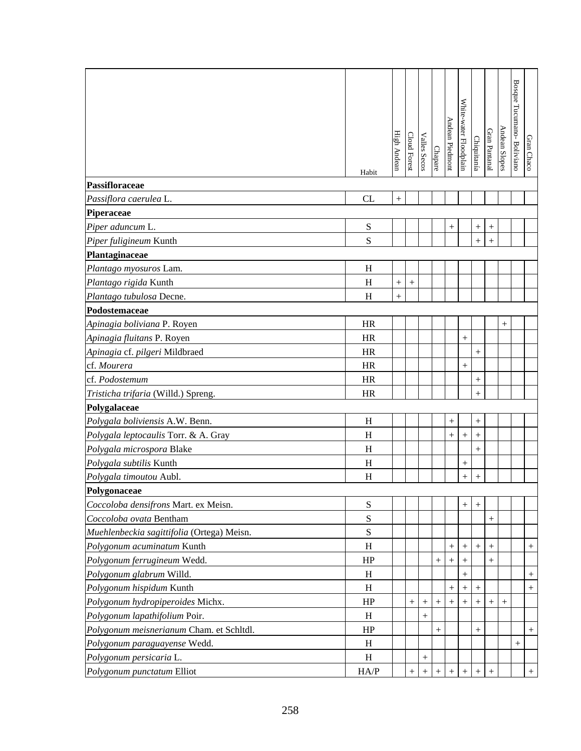|                                            | Habit     | High Andean | <b>Cloud Forest</b> | <b>Valles Secos</b> | Chapare | Andean Piedmont    | White-water Floodplain | Chiquitanía                      | Gran Pantanal | Andean Slopes | Bosque Tucumano- Boliviano | Gran Chaco |
|--------------------------------------------|-----------|-------------|---------------------|---------------------|---------|--------------------|------------------------|----------------------------------|---------------|---------------|----------------------------|------------|
| Passifloraceae                             |           |             |                     |                     |         |                    |                        |                                  |               |               |                            |            |
| Passiflora caerulea L.                     | CL        | $^{+}$      |                     |                     |         |                    |                        |                                  |               |               |                            |            |
| Piperaceae                                 |           |             |                     |                     |         |                    |                        |                                  |               |               |                            |            |
| Piper aduncum L.                           | ${\bf S}$ |             |                     |                     |         | $^{+}$             |                        | $\begin{array}{c} + \end{array}$ | $^{+}$        |               |                            |            |
| Piper fuligineum Kunth                     | S         |             |                     |                     |         |                    |                        | $^{+}$                           | $^{+}$        |               |                            |            |
| Plantaginaceae                             |           |             |                     |                     |         |                    |                        |                                  |               |               |                            |            |
| Plantago myosuros Lam.                     | H         |             |                     |                     |         |                    |                        |                                  |               |               |                            |            |
| Plantago rigida Kunth                      | H         | $^{+}$      | $+$                 |                     |         |                    |                        |                                  |               |               |                            |            |
| Plantago tubulosa Decne.                   | H         | $^{+}$      |                     |                     |         |                    |                        |                                  |               |               |                            |            |
| Podostemaceae                              |           |             |                     |                     |         |                    |                        |                                  |               |               |                            |            |
| Apinagia boliviana P. Royen                | <b>HR</b> |             |                     |                     |         |                    |                        |                                  |               | $^{+}$        |                            |            |
| Apinagia fluitans P. Royen                 | <b>HR</b> |             |                     |                     |         |                    |                        |                                  |               |               |                            |            |
| Apinagia cf. pilgeri Mildbraed             | <b>HR</b> |             |                     |                     |         |                    |                        | $^{+}$                           |               |               |                            |            |
| cf. Mourera                                | <b>HR</b> |             |                     |                     |         |                    | $\ddot{}$              |                                  |               |               |                            |            |
| cf. Podostemum                             | <b>HR</b> |             |                     |                     |         |                    |                        | $^{+}$                           |               |               |                            |            |
| Tristicha trifaria (Willd.) Spreng.        | <b>HR</b> |             |                     |                     |         |                    |                        | $^{+}$                           |               |               |                            |            |
| Polygalaceae                               |           |             |                     |                     |         |                    |                        |                                  |               |               |                            |            |
| Polygala boliviensis A.W. Benn.            | H         |             |                     |                     |         | $\boldsymbol{+}$   |                        | $+$                              |               |               |                            |            |
| Polygala leptocaulis Torr. & A. Gray       | H         |             |                     |                     |         | $\boldsymbol{+}$   | $\ddot{}$              | $^{+}$                           |               |               |                            |            |
| Polygala microspora Blake                  | H         |             |                     |                     |         |                    |                        | $^{+}$                           |               |               |                            |            |
| Polygala subtilis Kunth                    | H         |             |                     |                     |         |                    | $^{+}$                 |                                  |               |               |                            |            |
| Polygala timoutou Aubl.                    | H         |             |                     |                     |         |                    | $^{+}$                 | $^{+}$                           |               |               |                            |            |
| Polygonaceae                               |           |             |                     |                     |         |                    |                        |                                  |               |               |                            |            |
| Coccoloba densifrons Mart. ex Meisn.       | S         |             |                     |                     |         |                    | $^{+}$                 | $^{+}$                           |               |               |                            |            |
| Coccoloba ovata Bentham                    | ${\bf S}$ |             |                     |                     |         |                    |                        |                                  | $^{+}$        |               |                            |            |
| Muehlenbeckia sagittifolia (Ortega) Meisn. | ${\bf S}$ |             |                     |                     |         |                    |                        |                                  |               |               |                            |            |
| Polygonum acuminatum Kunth                 | H         |             |                     |                     |         | $^{+}$             | $^{+}$                 | $^{+}$                           | $^{+}$        |               |                            | $+$        |
| Polygonum ferrugineum Wedd.                | HP        |             |                     |                     | $^{+}$  | $^{+}$             | $^{+}$                 |                                  |               |               |                            |            |
| Polygonum glabrum Willd.                   | H         |             |                     |                     |         |                    | $^{+}$                 |                                  |               |               |                            | $^{+}$     |
| Polygonum hispidum Kunth                   | H         |             |                     |                     |         | $^{+}$             | $^{+}$                 | $^{+}$                           |               |               |                            | $+$        |
| Polygonum hydropiperoides Michx.           | HP        |             | $^{+}$              | $^{+}$              | $^{+}$  | $\hspace{0.1mm} +$ |                        | $^{+}$                           | $^{+}$        | $^{+}$        |                            |            |
| Polygonum lapathifolium Poir.              | H         |             |                     | $^{+}$              |         |                    |                        |                                  |               |               |                            |            |
| Polygonum meisnerianum Cham. et Schltdl.   | HP        |             |                     |                     | $^{+}$  |                    |                        |                                  |               |               |                            | $+$        |
| Polygonum paraguayense Wedd.               | H         |             |                     |                     |         |                    |                        |                                  |               |               | $^{+}$                     |            |
| Polygonum persicaria L.                    | H         |             |                     | $^{+}$              |         |                    |                        |                                  |               |               |                            |            |
| Polygonum punctatum Elliot                 | HA/P      |             | $^{+}$              |                     |         | $^{+}$             | $^{+}$                 | $^{+}$                           | $^{+}$        |               |                            | $+$        |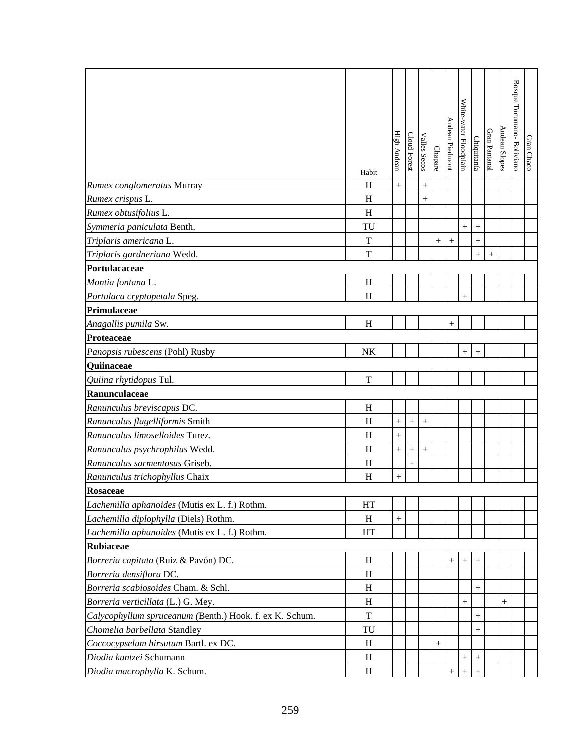|                                                         | Habit        | High Andean | Cloud Forest | <b>Valles Secos</b> | Chapare | Andean Piedmont    | White-water Floodplain | Chiquitanía        | Gran Pantanal | Andean Slopes | Bosque Tucumano- Boliviano | Gran Chaco |
|---------------------------------------------------------|--------------|-------------|--------------|---------------------|---------|--------------------|------------------------|--------------------|---------------|---------------|----------------------------|------------|
| Rumex conglomeratus Murray                              | H            | $^{+}$      |              |                     |         |                    |                        |                    |               |               |                            |            |
| Rumex crispus L.                                        | H            |             |              | $^{+}$              |         |                    |                        |                    |               |               |                            |            |
| Rumex obtusifolius L.                                   | H            |             |              |                     |         |                    |                        |                    |               |               |                            |            |
| Symmeria paniculata Benth.                              | TU           |             |              |                     |         |                    | $\! +$                 |                    |               |               |                            |            |
| Triplaris americana L.                                  | $\mathbf T$  |             |              |                     | $^{+}$  | $^{+}$             |                        | $\ddot{}$          |               |               |                            |            |
| Triplaris gardneriana Wedd.                             | $\mathbf T$  |             |              |                     |         |                    |                        | $^{+}$             | $^{+}$        |               |                            |            |
| Portulacaceae                                           |              |             |              |                     |         |                    |                        |                    |               |               |                            |            |
| Montia fontana L.                                       | H            |             |              |                     |         |                    |                        |                    |               |               |                            |            |
| Portulaca cryptopetala Speg.                            | H            |             |              |                     |         |                    | $^{+}$                 |                    |               |               |                            |            |
| Primulaceae                                             |              |             |              |                     |         |                    |                        |                    |               |               |                            |            |
| Anagallis pumila Sw.                                    | H            |             |              |                     |         | $^{+}$             |                        |                    |               |               |                            |            |
| Proteaceae                                              |              |             |              |                     |         |                    |                        |                    |               |               |                            |            |
| Panopsis rubescens (Pohl) Rusby                         | NK           |             |              |                     |         |                    | $\hspace{0.1mm} +$     | $^{+}$             |               |               |                            |            |
| Quiinaceae                                              |              |             |              |                     |         |                    |                        |                    |               |               |                            |            |
| Quiina rhytidopus Tul.                                  | T            |             |              |                     |         |                    |                        |                    |               |               |                            |            |
| Ranunculaceae                                           |              |             |              |                     |         |                    |                        |                    |               |               |                            |            |
| Ranunculus breviscapus DC.                              | H            |             |              |                     |         |                    |                        |                    |               |               |                            |            |
| Ranunculus flagelliformis Smith                         | H            | $^{+}$      | $^{+}$       | $^{+}$              |         |                    |                        |                    |               |               |                            |            |
| Ranunculus limoselloides Turez.                         | H            | $^{+}$      |              |                     |         |                    |                        |                    |               |               |                            |            |
| Ranunculus psychrophilus Wedd.                          | H            | $^{+}$      |              | $^{+}$              |         |                    |                        |                    |               |               |                            |            |
| Ranunculus sarmentosus Griseb.                          | $\, {\rm H}$ |             | $^{+}$       |                     |         |                    |                        |                    |               |               |                            |            |
| Ranunculus trichophyllus Chaix                          | H            | $^{+}$      |              |                     |         |                    |                        |                    |               |               |                            |            |
| Rosaceae                                                |              |             |              |                     |         |                    |                        |                    |               |               |                            |            |
| Lachemilla aphanoides (Mutis ex L. f.) Rothm.           | HT           |             |              |                     |         |                    |                        |                    |               |               |                            |            |
| Lachemilla diplophylla (Diels) Rothm.                   | H            | $^{+}$      |              |                     |         |                    |                        |                    |               |               |                            |            |
| Lachemilla aphanoides (Mutis ex L. f.) Rothm.           | HT           |             |              |                     |         |                    |                        |                    |               |               |                            |            |
| <b>Rubiaceae</b>                                        |              |             |              |                     |         |                    |                        |                    |               |               |                            |            |
| Borreria capitata (Ruiz & Pavón) DC.                    | H            |             |              |                     |         | $^{+}$             | $^{+}$                 | $\hspace{0.1mm} +$ |               |               |                            |            |
| Borreria densiflora DC.                                 | H            |             |              |                     |         |                    |                        |                    |               |               |                            |            |
| Borreria scabiosoides Cham. & Schl.                     | H            |             |              |                     |         |                    |                        | $^{+}$             |               |               |                            |            |
| Borreria verticillata (L.) G. Mey.                      | H            |             |              |                     |         |                    | $\! +$                 |                    |               | $^{+}$        |                            |            |
| Calycophyllum spruceanum (Benth.) Hook. f. ex K. Schum. | T            |             |              |                     |         |                    |                        | $^{+}$             |               |               |                            |            |
| Chomelia barbellata Standley                            | TU           |             |              |                     |         |                    |                        | $^{+}$             |               |               |                            |            |
| Coccocypselum hirsutum Bartl. ex DC.                    | H            |             |              |                     | $^{+}$  |                    |                        |                    |               |               |                            |            |
| Diodia kuntzei Schumann                                 | H            |             |              |                     |         |                    | $^{+}$                 | $^{+}$             |               |               |                            |            |
| Diodia macrophylla K. Schum.                            | H            |             |              |                     |         | $\hspace{0.1mm} +$ | $\hspace{0.1mm} +$     | $^{+}$             |               |               |                            |            |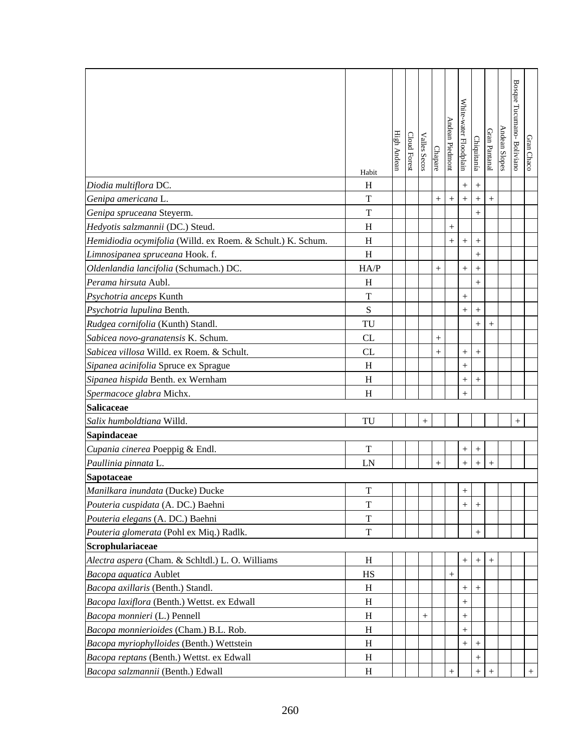|                                                             | Habit       | High Andean | Cloud Forest | Valles Secos | Chapare   | Andean Piedmont    | White-water Floodplain | Chiquitanía      | Gran Pantanal | Andean Slopes | Bosque Tucumano- Bolivianc | Gran Chaco |
|-------------------------------------------------------------|-------------|-------------|--------------|--------------|-----------|--------------------|------------------------|------------------|---------------|---------------|----------------------------|------------|
| Diodia multiflora DC.                                       | H           |             |              |              |           |                    | $^{+}$                 | $\boldsymbol{+}$ |               |               |                            |            |
| Genipa americana L.                                         | T           |             |              |              | $^{+}$    | $^{+}$             | $^{+}$                 |                  | $^{+}$        |               |                            |            |
| Genipa spruceana Steyerm.                                   | T           |             |              |              |           |                    |                        |                  |               |               |                            |            |
| Hedyotis salzmannii (DC.) Steud.                            | H           |             |              |              |           | $^{+}$             |                        |                  |               |               |                            |            |
| Hemidiodia ocymifolia (Willd. ex Roem. & Schult.) K. Schum. | H           |             |              |              |           | $^{+}$             | $^{+}$                 | $\boldsymbol{+}$ |               |               |                            |            |
| Limnosipanea spruceana Hook. f.                             | H           |             |              |              |           |                    |                        | $^{+}$           |               |               |                            |            |
| Oldenlandia lancifolia (Schumach.) DC.                      | HA/P        |             |              |              |           |                    | $^{+}$                 |                  |               |               |                            |            |
| Perama hirsuta Aubl.                                        | H           |             |              |              |           |                    |                        | $^{+}$           |               |               |                            |            |
| Psychotria anceps Kunth                                     | T           |             |              |              |           |                    | $\! +$                 |                  |               |               |                            |            |
| Psychotria lupulina Benth.                                  | S           |             |              |              |           |                    |                        | $^{+}$           |               |               |                            |            |
| Rudgea cornifolia (Kunth) Standl.                           | TU          |             |              |              |           |                    |                        | $^{+}$           | $^{+}$        |               |                            |            |
| Sabicea novo-granatensis K. Schum.                          | CL          |             |              |              | $^{+}$    |                    |                        |                  |               |               |                            |            |
| Sabicea villosa Willd. ex Roem. & Schult.                   | CL          |             |              |              | $^{+}$    |                    | $^{+}$                 |                  |               |               |                            |            |
| Sipanea acinifolia Spruce ex Sprague                        | H           |             |              |              |           |                    | $^{+}$                 |                  |               |               |                            |            |
| Sipanea hispida Benth. ex Wernham                           | H           |             |              |              |           |                    | $^{+}$                 | $^{+}$           |               |               |                            |            |
| Spermacoce glabra Michx.                                    | H           |             |              |              |           |                    | $^{+}$                 |                  |               |               |                            |            |
| <b>Salicaceae</b>                                           |             |             |              |              |           |                    |                        |                  |               |               |                            |            |
| Salix humboldtiana Willd.                                   | TU          |             |              | $^{+}$       |           |                    |                        |                  |               |               | $^{+}$                     |            |
| Sapindaceae                                                 |             |             |              |              |           |                    |                        |                  |               |               |                            |            |
| Cupania cinerea Poeppig & Endl.                             | T           |             |              |              |           |                    | $^+$                   | $^{+}$           |               |               |                            |            |
| Paullinia pinnata L.                                        | LN          |             |              |              | $\ddot{}$ |                    | $^{+}$                 | $^{+}$           |               |               |                            |            |
| Sapotaceae                                                  |             |             |              |              |           |                    |                        |                  |               |               |                            |            |
| Manilkara inundata (Ducke) Ducke                            | T           |             |              |              |           |                    | $+$                    |                  |               |               |                            |            |
| Pouteria cuspidata (A. DC.) Baehni                          | T           |             |              |              |           |                    | $^{+}$                 | $^{+}$           |               |               |                            |            |
| Pouteria elegans (A. DC.) Baehni                            | T           |             |              |              |           |                    |                        |                  |               |               |                            |            |
| Pouteria glomerata (Pohl ex Miq.) Radlk.                    | $\mathbf T$ |             |              |              |           |                    |                        | $+$              |               |               |                            |            |
| Scrophulariaceae                                            |             |             |              |              |           |                    |                        |                  |               |               |                            |            |
| Alectra aspera (Cham. & Schltdl.) L. O. Williams            | H           |             |              |              |           |                    |                        | $^{+}$           |               |               |                            |            |
| Bacopa aquatica Aublet                                      | HS          |             |              |              |           | $\hspace{0.1mm} +$ |                        |                  |               |               |                            |            |
| Bacopa axillaris (Benth.) Standl.                           | H           |             |              |              |           |                    | $^{+}$                 |                  |               |               |                            |            |
| Bacopa laxiflora (Benth.) Wettst. ex Edwall                 | H           |             |              |              |           |                    | $^{+}$                 |                  |               |               |                            |            |
| Bacopa monnieri (L.) Pennell                                | H           |             |              | $^+$         |           |                    | $^{+}$                 |                  |               |               |                            |            |
| Bacopa monnierioides (Cham.) B.L. Rob.                      | H           |             |              |              |           |                    | $^{+}$                 |                  |               |               |                            |            |
| Bacopa myriophylloides (Benth.) Wettstein                   | H           |             |              |              |           |                    | $^{+}$                 | $^{+}$           |               |               |                            |            |
| Bacopa reptans (Benth.) Wettst. ex Edwall                   | H           |             |              |              |           |                    |                        |                  |               |               |                            |            |
| Bacopa salzmannii (Benth.) Edwall                           | H           |             |              |              |           | $\! + \!$          |                        | $^{+}$           | $^+$          |               |                            | $+$        |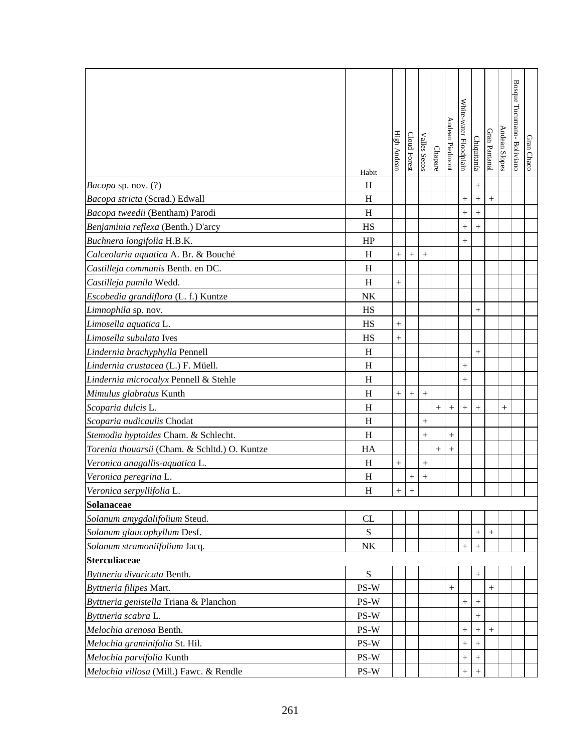|                                               | Habit                     | High Andear | Cloud Fores        | <b>Valles Secos</b> | Chapare | Andean Piedmon | White-water Floodplain | Chiquitanía      | Gran Pantanal | Andean Slopes | Bosque Tucumano-Boliviano | Gran Chaco |
|-----------------------------------------------|---------------------------|-------------|--------------------|---------------------|---------|----------------|------------------------|------------------|---------------|---------------|---------------------------|------------|
| Bacopa sp. nov. (?)                           | H                         |             |                    |                     |         |                |                        | $^{+}$           |               |               |                           |            |
| Bacopa stricta (Scrad.) Edwall                | H                         |             |                    |                     |         |                | $^{+}$                 |                  | $^{+}$        |               |                           |            |
| Bacopa tweedii (Bentham) Parodi               | $\boldsymbol{\mathrm{H}}$ |             |                    |                     |         |                | $^{+}$                 | $\ddot{}$        |               |               |                           |            |
| Benjaminia reflexa (Benth.) D'arcy            | HS                        |             |                    |                     |         |                | $\! +$                 |                  |               |               |                           |            |
| Buchnera longifolia H.B.K.                    | HP                        |             |                    |                     |         |                | $^{+}$                 |                  |               |               |                           |            |
| Calceolaria aquatica A. Br. & Bouché          | H                         | $+$         | $^{+}$             | $^{+}$              |         |                |                        |                  |               |               |                           |            |
| Castilleja communis Benth. en DC.             | H                         |             |                    |                     |         |                |                        |                  |               |               |                           |            |
| Castilleja pumila Wedd.                       | H                         | $^{+}$      |                    |                     |         |                |                        |                  |               |               |                           |            |
| Escobedia grandiflora (L. f.) Kuntze          | NK                        |             |                    |                     |         |                |                        |                  |               |               |                           |            |
| Limnophila sp. nov.                           | HS                        |             |                    |                     |         |                |                        | $^{+}$           |               |               |                           |            |
| Limosella aquatica L.                         | HS                        | $^{+}$      |                    |                     |         |                |                        |                  |               |               |                           |            |
| Limosella subulata Ives                       | HS                        | $^{+}$      |                    |                     |         |                |                        |                  |               |               |                           |            |
| Lindernia brachyphylla Pennell                | H                         |             |                    |                     |         |                |                        | $^{+}$           |               |               |                           |            |
| Lindernia crustacea (L.) F. Müell.            | H                         |             |                    |                     |         |                | $^{+}$                 |                  |               |               |                           |            |
| Lindernia microcalyx Pennell & Stehle         | H                         |             |                    |                     |         |                | $^{+}$                 |                  |               |               |                           |            |
| Mimulus glabratus Kunth                       | H                         | $+$         | $+$                | $^{+}$              |         |                |                        |                  |               |               |                           |            |
| Scoparia dulcis L.                            | H                         |             |                    |                     | $+$     | $^{+}$         | $^{+}$                 |                  |               | $^{+}$        |                           |            |
| Scoparia nudicaulis Chodat                    | H                         |             |                    | $^{+}$              |         |                |                        |                  |               |               |                           |            |
| Stemodia hyptoides Cham. & Schlecht.          | H                         |             |                    | $^{+}$              |         | $^{+}$         |                        |                  |               |               |                           |            |
| Torenia thouarsii (Cham. & Schltd.) O. Kuntze | HA                        |             |                    |                     | $^{+}$  | $^{+}$         |                        |                  |               |               |                           |            |
| Veronica anagallis-aquatica L.                | H                         |             |                    | $^{+}$              |         |                |                        |                  |               |               |                           |            |
| Veronica peregrina L.                         | H                         |             | $\hspace{0.1mm} +$ | $^{+}$              |         |                |                        |                  |               |               |                           |            |
| Veronica serpyllifolia L.                     | H                         | $\pm$       | $\ddot{}$          |                     |         |                |                        |                  |               |               |                           |            |
| <b>Solanaceae</b>                             |                           |             |                    |                     |         |                |                        |                  |               |               |                           |            |
| Solanum amygdalifolium Steud.                 | CL                        |             |                    |                     |         |                |                        |                  |               |               |                           |            |
| Solanum glaucophyllum Desf.                   | ${\bf S}$                 |             |                    |                     |         |                |                        | $+$              | $+$           |               |                           |            |
| Solanum stramoniifolium Jacq.                 | NK                        |             |                    |                     |         |                | $^+$                   | $^{+}$           |               |               |                           |            |
| <b>Sterculiaceae</b>                          |                           |             |                    |                     |         |                |                        |                  |               |               |                           |            |
| Byttneria divaricata Benth.                   | ${\bf S}$                 |             |                    |                     |         |                |                        | $^{+}$           |               |               |                           |            |
| Byttneria filipes Mart.                       | $PS-W$                    |             |                    |                     |         |                |                        |                  |               |               |                           |            |
| Byttneria genistella Triana & Planchon        | PS-W                      |             |                    |                     |         |                | $^{+}$                 |                  |               |               |                           |            |
| Byttneria scabra L.                           | PS-W                      |             |                    |                     |         |                |                        | $\boldsymbol{+}$ |               |               |                           |            |
| Melochia arenosa Benth.                       | PS-W                      |             |                    |                     |         |                | $^{+}$                 |                  | $+$           |               |                           |            |
| Melochia graminifolia St. Hil.                | PS-W                      |             |                    |                     |         |                | $^{+}$                 | $\boldsymbol{+}$ |               |               |                           |            |
| Melochia parvifolia Kunth                     | PS-W                      |             |                    |                     |         |                | $^{+}$                 |                  |               |               |                           |            |
| Melochia villosa (Mill.) Fawc. & Rendle       | PS-W                      |             |                    |                     |         |                | $^+$                   |                  |               |               |                           |            |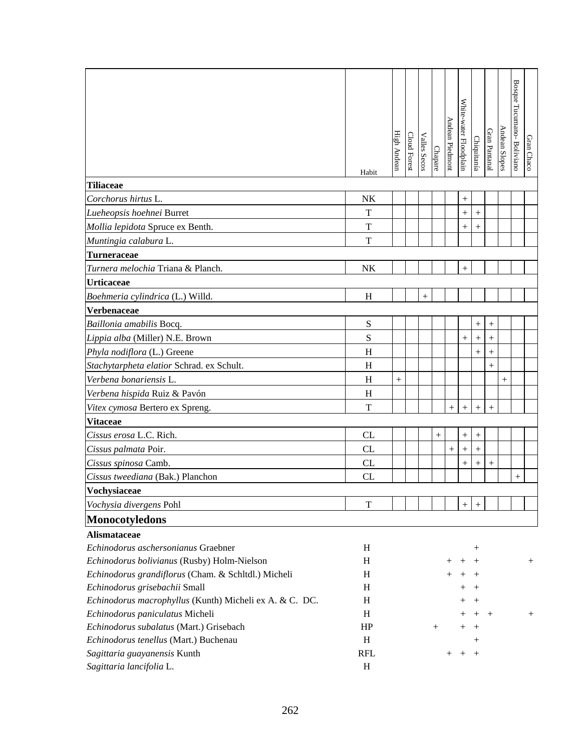|                                                         | Habit                     | High Andean | Cloud Forest | Valles Secos | Chapare | Andean Piedmont | White-water Floodplain | Chiquitanía        | Gran Pantanal | <b>Andean Slopes</b> | Bosque Tucumano- Boliviano | Gran Chaco |
|---------------------------------------------------------|---------------------------|-------------|--------------|--------------|---------|-----------------|------------------------|--------------------|---------------|----------------------|----------------------------|------------|
| <b>Tiliaceae</b>                                        |                           |             |              |              |         |                 |                        |                    |               |                      |                            |            |
| Corchorus hirtus L.                                     | NK                        |             |              |              |         |                 | $^{+}$                 |                    |               |                      |                            |            |
| Lueheopsis hoehnei Burret                               | $\mathbf T$               |             |              |              |         |                 | $^{+}$                 | $^{+}$             |               |                      |                            |            |
| Mollia lepidota Spruce ex Benth.                        | T                         |             |              |              |         |                 | $^{+}$                 | $^{+}$             |               |                      |                            |            |
| Muntingia calabura L.                                   | T                         |             |              |              |         |                 |                        |                    |               |                      |                            |            |
| <b>Turneraceae</b>                                      |                           |             |              |              |         |                 |                        |                    |               |                      |                            |            |
| Turnera melochia Triana & Planch.                       | NK                        |             |              |              |         |                 | $^{+}$                 |                    |               |                      |                            |            |
| <b>Urticaceae</b>                                       |                           |             |              |              |         |                 |                        |                    |               |                      |                            |            |
| Boehmeria cylindrica (L.) Willd.                        | H                         |             |              | $+$          |         |                 |                        |                    |               |                      |                            |            |
| Verbenaceae                                             |                           |             |              |              |         |                 |                        |                    |               |                      |                            |            |
| Baillonia amabilis Bocq.                                | ${\bf S}$                 |             |              |              |         |                 |                        | $^{+}$             | $^{+}$        |                      |                            |            |
| Lippia alba (Miller) N.E. Brown                         | ${\bf S}$                 |             |              |              |         |                 | $^{+}$                 | $^{+}$             | $^{+}$        |                      |                            |            |
| Phyla nodiflora (L.) Greene                             | H                         |             |              |              |         |                 |                        | $^{+}$             | $+$           |                      |                            |            |
| Stachytarpheta elatior Schrad. ex Schult.               | H                         |             |              |              |         |                 |                        |                    | $^{+}$        |                      |                            |            |
| Verbena bonariensis L.                                  | H                         | $^{+}$      |              |              |         |                 |                        |                    |               | $^{+}$               |                            |            |
| Verbena hispida Ruiz & Pavón                            | $H_{\rm}$                 |             |              |              |         |                 |                        |                    |               |                      |                            |            |
| Vitex cymosa Bertero ex Spreng.                         | T                         |             |              |              |         | $^{+}$          | $+$                    | $^{+}$             | $^{+}$        |                      |                            |            |
| <b>Vitaceae</b>                                         |                           |             |              |              |         |                 |                        |                    |               |                      |                            |            |
| Cissus erosa L.C. Rich.                                 | <b>CL</b>                 |             |              |              | $^{+}$  |                 |                        | $^{+}$             |               |                      |                            |            |
| Cissus palmata Poir.                                    | CL                        |             |              |              |         | $^{+}$          | $^{+}$                 | $^{+}$             |               |                      |                            |            |
| Cissus spinosa Camb.                                    | CL                        |             |              |              |         |                 | $^{+}$                 | $^{+}$             | $+$           |                      |                            |            |
| Cissus tweediana (Bak.) Planchon                        | CL                        |             |              |              |         |                 |                        |                    |               |                      | $^{+}$                     |            |
| Vochysiaceae                                            |                           |             |              |              |         |                 |                        |                    |               |                      |                            |            |
| Vochysia divergens Pohl                                 | T                         |             |              |              |         |                 | $^{+}$                 | $^+$               |               |                      |                            |            |
| <b>Monocotyledons</b>                                   |                           |             |              |              |         |                 |                        |                    |               |                      |                            |            |
| <b>Alismataceae</b>                                     |                           |             |              |              |         |                 |                        |                    |               |                      |                            |            |
| Echinodorus aschersonianus Graebner                     | H                         |             |              |              |         |                 |                        | $\hspace{0.1mm} +$ |               |                      |                            |            |
| Echinodorus bolivianus (Rusby) Holm-Nielson             | H                         |             |              |              |         |                 | $^+$                   | $^{+}$             |               |                      |                            | $^{+}$     |
| Echinodorus grandiflorus (Cham. & Schltdl.) Micheli     | H                         |             |              |              |         |                 |                        |                    |               |                      |                            |            |
| Echinodorus grisebachii Small                           | H                         |             |              |              |         |                 |                        | $^+$               |               |                      |                            |            |
| Echinodorus macrophyllus (Kunth) Micheli ex A. & C. DC. | H                         |             |              |              |         |                 |                        |                    |               |                      |                            |            |
| Echinodorus paniculatus Micheli                         | $\boldsymbol{\mathrm{H}}$ |             |              |              |         |                 |                        |                    |               |                      |                            | $^{+}$     |
| Echinodorus subalatus (Mart.) Grisebach                 | HP                        |             |              |              | $^{+}$  |                 |                        | $^+$               |               |                      |                            |            |
| Echinodorus tenellus (Mart.) Buchenau                   | H                         |             |              |              |         |                 |                        | $\, +$             |               |                      |                            |            |
| Sagittaria guayanensis Kunth                            | <b>RFL</b>                |             |              |              |         |                 |                        |                    |               |                      |                            |            |
| Sagittaria lancifolia L.                                | H                         |             |              |              |         |                 |                        |                    |               |                      |                            |            |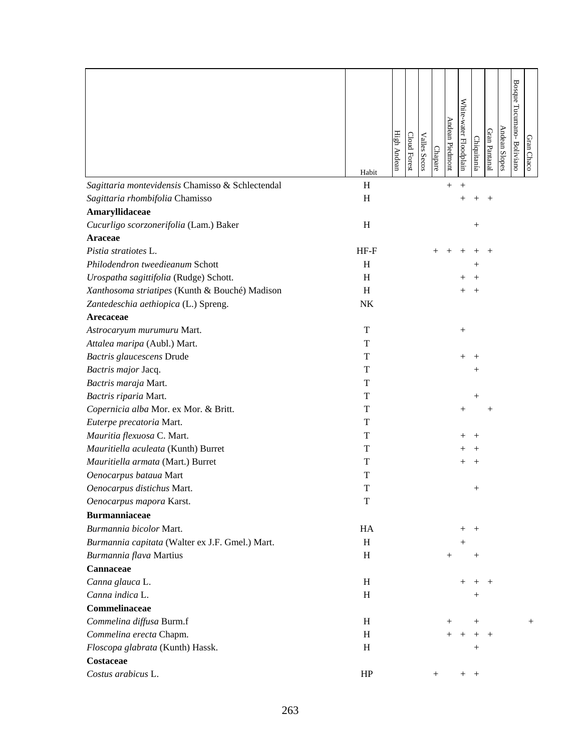| Sagittaria montevidensis Chamisso & Schlectendal<br>H<br>$^{+}$<br>$^{+}$<br>H<br>Sagittaria rhombifolia Chamisso<br>$^+$<br>Amaryllidaceae<br>$\, {\rm H}$<br>Cucurligo scorzonerifolia (Lam.) Baker<br>$\hspace{0.1mm} +$<br><b>Araceae</b><br>Pistia stratiotes L.<br>$HF-F$<br>Philodendron tweedieanum Schott<br>H<br>Urospatha sagittifolia (Rudge) Schott.<br>H<br>Xanthosoma striatipes (Kunth & Bouché) Madison<br>H<br>Zantedeschia aethiopica (L.) Spreng.<br>NK<br>Arecaceae<br>T<br>Astrocaryum murumuru Mart.<br>$^{+}$<br>T<br>Attalea maripa (Aubl.) Mart.<br>Bactris glaucescens Drude<br>T<br>Bactris major Jacq.<br>T<br>$^+$<br>Bactris maraja Mart.<br>T<br>Bactris riparia Mart.<br>T<br>Copernicia alba Mor. ex Mor. & Britt.<br>T<br>$^{+}$<br>T<br>Euterpe precatoria Mart.<br>Mauritia flexuosa C. Mart.<br>T<br>Mauritiella aculeata (Kunth) Burret<br>T<br>Mauritiella armata (Mart.) Burret<br>T<br>Oenocarpus bataua Mart<br>T<br>T<br>Oenocarpus distichus Mart.<br>$\mathbf T$<br>Oenocarpus mapora Karst.<br><b>Burmanniaceae</b><br>Burmannia bicolor Mart.<br>HA<br>$^+$<br>$^{+}$<br>Burmannia capitata (Walter ex J.F. Gmel.) Mart.<br>H<br>$^{+}$<br>Burmannia flava Martius<br>H<br>$^{+}$<br>$^{+}$<br>Cannaceae<br>Canna glauca L.<br>H<br>Canna indica L.<br>H<br>$\hspace{0.1mm} +$<br>Commelinaceae<br>Commelina diffusa Burm.f<br>H<br>$^{+}$<br>$\hspace{0.1mm} +$<br>$^{+}$<br>Commelina erecta Chapm.<br>H<br>$+$<br>Floscopa glabrata (Kunth) Hassk.<br>H<br>$\, +$<br>Costaceae<br>Costus arabicus L.<br>HP<br>$^{+}$<br>$^{+}$<br>$+$ |       | High Andean | Cloud Forest | <b>Valles Secos</b> | Chapare | Andean Piedmont | White-water Floodplain | Chiquitanía | Gran Pantanal | Andean Slopes | <b>Bosque</b><br>Tucumano-Boliviano | Gran Chaco |
|------------------------------------------------------------------------------------------------------------------------------------------------------------------------------------------------------------------------------------------------------------------------------------------------------------------------------------------------------------------------------------------------------------------------------------------------------------------------------------------------------------------------------------------------------------------------------------------------------------------------------------------------------------------------------------------------------------------------------------------------------------------------------------------------------------------------------------------------------------------------------------------------------------------------------------------------------------------------------------------------------------------------------------------------------------------------------------------------------------------------------------------------------------------------------------------------------------------------------------------------------------------------------------------------------------------------------------------------------------------------------------------------------------------------------------------------------------------------------------------------------------------------------------------------------------------------------------------|-------|-------------|--------------|---------------------|---------|-----------------|------------------------|-------------|---------------|---------------|-------------------------------------|------------|
|                                                                                                                                                                                                                                                                                                                                                                                                                                                                                                                                                                                                                                                                                                                                                                                                                                                                                                                                                                                                                                                                                                                                                                                                                                                                                                                                                                                                                                                                                                                                                                                          | Habit |             |              |                     |         |                 |                        |             |               |               |                                     |            |
|                                                                                                                                                                                                                                                                                                                                                                                                                                                                                                                                                                                                                                                                                                                                                                                                                                                                                                                                                                                                                                                                                                                                                                                                                                                                                                                                                                                                                                                                                                                                                                                          |       |             |              |                     |         |                 |                        |             |               |               |                                     |            |
|                                                                                                                                                                                                                                                                                                                                                                                                                                                                                                                                                                                                                                                                                                                                                                                                                                                                                                                                                                                                                                                                                                                                                                                                                                                                                                                                                                                                                                                                                                                                                                                          |       |             |              |                     |         |                 |                        |             |               |               |                                     |            |
|                                                                                                                                                                                                                                                                                                                                                                                                                                                                                                                                                                                                                                                                                                                                                                                                                                                                                                                                                                                                                                                                                                                                                                                                                                                                                                                                                                                                                                                                                                                                                                                          |       |             |              |                     |         |                 |                        |             |               |               |                                     |            |
|                                                                                                                                                                                                                                                                                                                                                                                                                                                                                                                                                                                                                                                                                                                                                                                                                                                                                                                                                                                                                                                                                                                                                                                                                                                                                                                                                                                                                                                                                                                                                                                          |       |             |              |                     |         |                 |                        |             |               |               |                                     |            |
|                                                                                                                                                                                                                                                                                                                                                                                                                                                                                                                                                                                                                                                                                                                                                                                                                                                                                                                                                                                                                                                                                                                                                                                                                                                                                                                                                                                                                                                                                                                                                                                          |       |             |              |                     |         |                 |                        |             |               |               |                                     |            |
|                                                                                                                                                                                                                                                                                                                                                                                                                                                                                                                                                                                                                                                                                                                                                                                                                                                                                                                                                                                                                                                                                                                                                                                                                                                                                                                                                                                                                                                                                                                                                                                          |       |             |              |                     |         |                 |                        |             |               |               |                                     |            |
|                                                                                                                                                                                                                                                                                                                                                                                                                                                                                                                                                                                                                                                                                                                                                                                                                                                                                                                                                                                                                                                                                                                                                                                                                                                                                                                                                                                                                                                                                                                                                                                          |       |             |              |                     |         |                 |                        |             |               |               |                                     |            |
|                                                                                                                                                                                                                                                                                                                                                                                                                                                                                                                                                                                                                                                                                                                                                                                                                                                                                                                                                                                                                                                                                                                                                                                                                                                                                                                                                                                                                                                                                                                                                                                          |       |             |              |                     |         |                 |                        |             |               |               |                                     |            |
|                                                                                                                                                                                                                                                                                                                                                                                                                                                                                                                                                                                                                                                                                                                                                                                                                                                                                                                                                                                                                                                                                                                                                                                                                                                                                                                                                                                                                                                                                                                                                                                          |       |             |              |                     |         |                 |                        |             |               |               |                                     |            |
|                                                                                                                                                                                                                                                                                                                                                                                                                                                                                                                                                                                                                                                                                                                                                                                                                                                                                                                                                                                                                                                                                                                                                                                                                                                                                                                                                                                                                                                                                                                                                                                          |       |             |              |                     |         |                 |                        |             |               |               |                                     |            |
|                                                                                                                                                                                                                                                                                                                                                                                                                                                                                                                                                                                                                                                                                                                                                                                                                                                                                                                                                                                                                                                                                                                                                                                                                                                                                                                                                                                                                                                                                                                                                                                          |       |             |              |                     |         |                 |                        |             |               |               |                                     |            |
|                                                                                                                                                                                                                                                                                                                                                                                                                                                                                                                                                                                                                                                                                                                                                                                                                                                                                                                                                                                                                                                                                                                                                                                                                                                                                                                                                                                                                                                                                                                                                                                          |       |             |              |                     |         |                 |                        |             |               |               |                                     |            |
|                                                                                                                                                                                                                                                                                                                                                                                                                                                                                                                                                                                                                                                                                                                                                                                                                                                                                                                                                                                                                                                                                                                                                                                                                                                                                                                                                                                                                                                                                                                                                                                          |       |             |              |                     |         |                 |                        |             |               |               |                                     |            |
|                                                                                                                                                                                                                                                                                                                                                                                                                                                                                                                                                                                                                                                                                                                                                                                                                                                                                                                                                                                                                                                                                                                                                                                                                                                                                                                                                                                                                                                                                                                                                                                          |       |             |              |                     |         |                 |                        |             |               |               |                                     |            |
|                                                                                                                                                                                                                                                                                                                                                                                                                                                                                                                                                                                                                                                                                                                                                                                                                                                                                                                                                                                                                                                                                                                                                                                                                                                                                                                                                                                                                                                                                                                                                                                          |       |             |              |                     |         |                 |                        |             |               |               |                                     |            |
|                                                                                                                                                                                                                                                                                                                                                                                                                                                                                                                                                                                                                                                                                                                                                                                                                                                                                                                                                                                                                                                                                                                                                                                                                                                                                                                                                                                                                                                                                                                                                                                          |       |             |              |                     |         |                 |                        |             |               |               |                                     |            |
|                                                                                                                                                                                                                                                                                                                                                                                                                                                                                                                                                                                                                                                                                                                                                                                                                                                                                                                                                                                                                                                                                                                                                                                                                                                                                                                                                                                                                                                                                                                                                                                          |       |             |              |                     |         |                 |                        |             |               |               |                                     |            |
|                                                                                                                                                                                                                                                                                                                                                                                                                                                                                                                                                                                                                                                                                                                                                                                                                                                                                                                                                                                                                                                                                                                                                                                                                                                                                                                                                                                                                                                                                                                                                                                          |       |             |              |                     |         |                 |                        |             |               |               |                                     |            |
|                                                                                                                                                                                                                                                                                                                                                                                                                                                                                                                                                                                                                                                                                                                                                                                                                                                                                                                                                                                                                                                                                                                                                                                                                                                                                                                                                                                                                                                                                                                                                                                          |       |             |              |                     |         |                 |                        |             |               |               |                                     |            |
|                                                                                                                                                                                                                                                                                                                                                                                                                                                                                                                                                                                                                                                                                                                                                                                                                                                                                                                                                                                                                                                                                                                                                                                                                                                                                                                                                                                                                                                                                                                                                                                          |       |             |              |                     |         |                 |                        |             |               |               |                                     |            |
|                                                                                                                                                                                                                                                                                                                                                                                                                                                                                                                                                                                                                                                                                                                                                                                                                                                                                                                                                                                                                                                                                                                                                                                                                                                                                                                                                                                                                                                                                                                                                                                          |       |             |              |                     |         |                 |                        |             |               |               |                                     |            |
|                                                                                                                                                                                                                                                                                                                                                                                                                                                                                                                                                                                                                                                                                                                                                                                                                                                                                                                                                                                                                                                                                                                                                                                                                                                                                                                                                                                                                                                                                                                                                                                          |       |             |              |                     |         |                 |                        |             |               |               |                                     |            |
|                                                                                                                                                                                                                                                                                                                                                                                                                                                                                                                                                                                                                                                                                                                                                                                                                                                                                                                                                                                                                                                                                                                                                                                                                                                                                                                                                                                                                                                                                                                                                                                          |       |             |              |                     |         |                 |                        |             |               |               |                                     |            |
|                                                                                                                                                                                                                                                                                                                                                                                                                                                                                                                                                                                                                                                                                                                                                                                                                                                                                                                                                                                                                                                                                                                                                                                                                                                                                                                                                                                                                                                                                                                                                                                          |       |             |              |                     |         |                 |                        |             |               |               |                                     |            |
|                                                                                                                                                                                                                                                                                                                                                                                                                                                                                                                                                                                                                                                                                                                                                                                                                                                                                                                                                                                                                                                                                                                                                                                                                                                                                                                                                                                                                                                                                                                                                                                          |       |             |              |                     |         |                 |                        |             |               |               |                                     |            |
|                                                                                                                                                                                                                                                                                                                                                                                                                                                                                                                                                                                                                                                                                                                                                                                                                                                                                                                                                                                                                                                                                                                                                                                                                                                                                                                                                                                                                                                                                                                                                                                          |       |             |              |                     |         |                 |                        |             |               |               |                                     |            |
|                                                                                                                                                                                                                                                                                                                                                                                                                                                                                                                                                                                                                                                                                                                                                                                                                                                                                                                                                                                                                                                                                                                                                                                                                                                                                                                                                                                                                                                                                                                                                                                          |       |             |              |                     |         |                 |                        |             |               |               |                                     |            |
|                                                                                                                                                                                                                                                                                                                                                                                                                                                                                                                                                                                                                                                                                                                                                                                                                                                                                                                                                                                                                                                                                                                                                                                                                                                                                                                                                                                                                                                                                                                                                                                          |       |             |              |                     |         |                 |                        |             |               |               |                                     |            |
|                                                                                                                                                                                                                                                                                                                                                                                                                                                                                                                                                                                                                                                                                                                                                                                                                                                                                                                                                                                                                                                                                                                                                                                                                                                                                                                                                                                                                                                                                                                                                                                          |       |             |              |                     |         |                 |                        |             |               |               |                                     |            |
|                                                                                                                                                                                                                                                                                                                                                                                                                                                                                                                                                                                                                                                                                                                                                                                                                                                                                                                                                                                                                                                                                                                                                                                                                                                                                                                                                                                                                                                                                                                                                                                          |       |             |              |                     |         |                 |                        |             |               |               |                                     |            |
|                                                                                                                                                                                                                                                                                                                                                                                                                                                                                                                                                                                                                                                                                                                                                                                                                                                                                                                                                                                                                                                                                                                                                                                                                                                                                                                                                                                                                                                                                                                                                                                          |       |             |              |                     |         |                 |                        |             |               |               |                                     |            |
|                                                                                                                                                                                                                                                                                                                                                                                                                                                                                                                                                                                                                                                                                                                                                                                                                                                                                                                                                                                                                                                                                                                                                                                                                                                                                                                                                                                                                                                                                                                                                                                          |       |             |              |                     |         |                 |                        |             |               |               |                                     |            |
|                                                                                                                                                                                                                                                                                                                                                                                                                                                                                                                                                                                                                                                                                                                                                                                                                                                                                                                                                                                                                                                                                                                                                                                                                                                                                                                                                                                                                                                                                                                                                                                          |       |             |              |                     |         |                 |                        |             |               |               |                                     |            |
|                                                                                                                                                                                                                                                                                                                                                                                                                                                                                                                                                                                                                                                                                                                                                                                                                                                                                                                                                                                                                                                                                                                                                                                                                                                                                                                                                                                                                                                                                                                                                                                          |       |             |              |                     |         |                 |                        |             |               |               |                                     |            |
|                                                                                                                                                                                                                                                                                                                                                                                                                                                                                                                                                                                                                                                                                                                                                                                                                                                                                                                                                                                                                                                                                                                                                                                                                                                                                                                                                                                                                                                                                                                                                                                          |       |             |              |                     |         |                 |                        |             |               |               |                                     |            |
|                                                                                                                                                                                                                                                                                                                                                                                                                                                                                                                                                                                                                                                                                                                                                                                                                                                                                                                                                                                                                                                                                                                                                                                                                                                                                                                                                                                                                                                                                                                                                                                          |       |             |              |                     |         |                 |                        |             |               |               |                                     |            |
|                                                                                                                                                                                                                                                                                                                                                                                                                                                                                                                                                                                                                                                                                                                                                                                                                                                                                                                                                                                                                                                                                                                                                                                                                                                                                                                                                                                                                                                                                                                                                                                          |       |             |              |                     |         |                 |                        |             |               |               |                                     |            |
|                                                                                                                                                                                                                                                                                                                                                                                                                                                                                                                                                                                                                                                                                                                                                                                                                                                                                                                                                                                                                                                                                                                                                                                                                                                                                                                                                                                                                                                                                                                                                                                          |       |             |              |                     |         |                 |                        |             |               |               |                                     |            |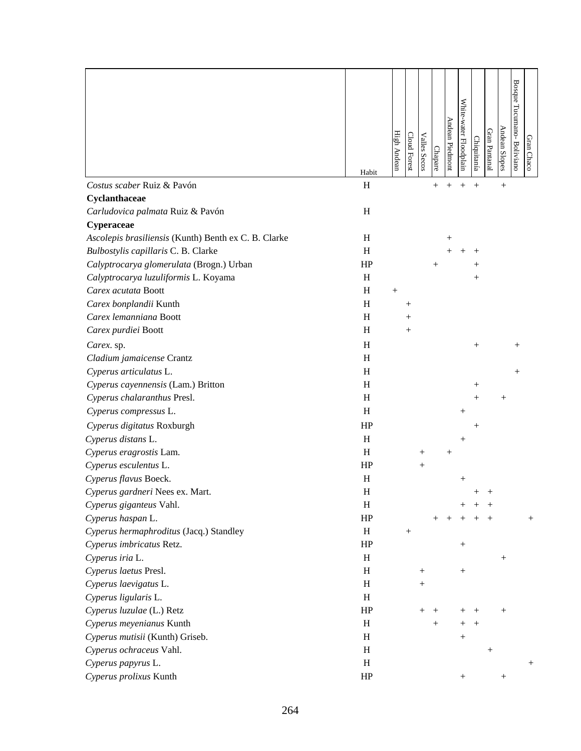|                                                      | Habit     | High Andean | Cloud Forest       | <b>Valles Secos</b> | Chapare      | Andean Piedmont | White-water Floodplain | Chiquitanía        | Gran Pantanal | Andean Slopes | <b>Bosque</b><br>Tucumano-Boliviano | Gran Chaco |
|------------------------------------------------------|-----------|-------------|--------------------|---------------------|--------------|-----------------|------------------------|--------------------|---------------|---------------|-------------------------------------|------------|
| Costus scaber Ruiz & Pavón                           | H         |             |                    |                     | $\mathrm{+}$ |                 |                        | $^{+}$             |               | $^{+}$        |                                     |            |
| Cyclanthaceae                                        |           |             |                    |                     |              |                 |                        |                    |               |               |                                     |            |
| Carludovica palmata Ruiz & Pavón                     | H         |             |                    |                     |              |                 |                        |                    |               |               |                                     |            |
| Cyperaceae                                           |           |             |                    |                     |              |                 |                        |                    |               |               |                                     |            |
| Ascolepis brasiliensis (Kunth) Benth ex C. B. Clarke | H         |             |                    |                     |              | $^+$            |                        |                    |               |               |                                     |            |
| Bulbostylis capillaris C. B. Clarke                  | H         |             |                    |                     |              |                 |                        |                    |               |               |                                     |            |
| Calyptrocarya glomerulata (Brogn.) Urban             | HP        |             |                    |                     | $\mathrm{+}$ |                 |                        |                    |               |               |                                     |            |
| Calyptrocarya luzuliformis L. Koyama                 | H         |             |                    |                     |              |                 |                        | $^{+}$             |               |               |                                     |            |
| Carex acutata Boott                                  | H         | $^{+}$      |                    |                     |              |                 |                        |                    |               |               |                                     |            |
| Carex bonplandii Kunth                               | H         |             | $\hspace{0.1mm} +$ |                     |              |                 |                        |                    |               |               |                                     |            |
| Carex lemanniana Boott                               | H         |             | $^{+}$             |                     |              |                 |                        |                    |               |               |                                     |            |
| Carex purdiei Boott                                  | H         |             | $^{+}$             |                     |              |                 |                        |                    |               |               |                                     |            |
| Carex. sp.                                           | H         |             |                    |                     |              |                 |                        | $^{+}$             |               |               | $^+$                                |            |
| Cladium jamaicense Crantz                            | H         |             |                    |                     |              |                 |                        |                    |               |               |                                     |            |
| Cyperus articulatus L.                               | H         |             |                    |                     |              |                 |                        |                    |               |               | $^{+}$                              |            |
| Cyperus cayennensis (Lam.) Britton                   | H         |             |                    |                     |              |                 |                        | $\hspace{0.1mm} +$ |               |               |                                     |            |
| Cyperus chalaranthus Presl.                          | H         |             |                    |                     |              |                 |                        | $^+$               |               | $^+$          |                                     |            |
| Cyperus compressus L.                                | H         |             |                    |                     |              |                 | $^+$                   |                    |               |               |                                     |            |
| Cyperus digitatus Roxburgh                           | HP        |             |                    |                     |              |                 |                        | $^{+}$             |               |               |                                     |            |
| Cyperus distans L.                                   | H         |             |                    |                     |              |                 | $^{+}$                 |                    |               |               |                                     |            |
| Cyperus eragrostis Lam.                              | H         |             |                    | $\hspace{0.1mm} +$  |              | $^{+}$          |                        |                    |               |               |                                     |            |
| Cyperus esculentus L.                                | HP        |             |                    | $\hspace{0.1mm} +$  |              |                 |                        |                    |               |               |                                     |            |
| Cyperus flavus Boeck.                                | H         |             |                    |                     |              |                 | $^{+}$                 |                    |               |               |                                     |            |
| Cyperus gardneri Nees ex. Mart.                      | $H_{\rm}$ |             |                    |                     |              |                 |                        |                    |               |               |                                     |            |
| Cyperus giganteus Vahl.                              | H         |             |                    |                     |              |                 |                        |                    |               |               |                                     |            |
| Cyperus haspan L.                                    | HP        |             |                    |                     |              |                 |                        |                    |               |               |                                     | $^{+}$     |
| Cyperus hermaphroditus (Jacq.) Standley              | H         |             |                    |                     |              |                 |                        |                    |               |               |                                     |            |
| Cyperus imbricatus Retz.                             | HP        |             |                    |                     |              |                 |                        |                    |               |               |                                     |            |
| Cyperus iria L.                                      | H         |             |                    |                     |              |                 |                        |                    |               | $^{+}$        |                                     |            |
| Cyperus laetus Presl.                                | H         |             |                    | $^{+}$              |              |                 | $^{+}$                 |                    |               |               |                                     |            |
| Cyperus laevigatus L.                                | H         |             |                    | $\hspace{0.1mm} +$  |              |                 |                        |                    |               |               |                                     |            |
| Cyperus ligularis L.                                 | H         |             |                    |                     |              |                 |                        |                    |               |               |                                     |            |
| Cyperus luzulae (L.) Retz                            | HP        |             |                    | $^{+}$              | $^+$         |                 |                        |                    |               | $^{+}$        |                                     |            |
| Cyperus meyenianus Kunth                             | H         |             |                    |                     | $^{+}$       |                 |                        |                    |               |               |                                     |            |
| Cyperus mutisii (Kunth) Griseb.                      | H         |             |                    |                     |              |                 | $^{+}$                 |                    |               |               |                                     |            |
| Cyperus ochraceus Vahl.                              | H         |             |                    |                     |              |                 |                        |                    | $^{+}$        |               |                                     |            |
| Cyperus papyrus L.                                   | H         |             |                    |                     |              |                 |                        |                    |               |               |                                     | $^{+}$     |
| Cyperus prolixus Kunth                               | HP        |             |                    |                     |              |                 | $^+$                   |                    |               |               |                                     |            |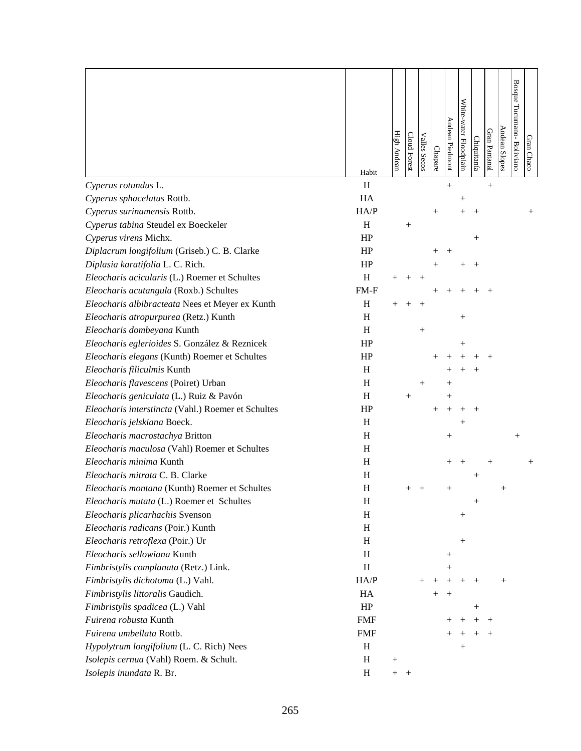|                                                    |            |                    |                    |                     |                    | Andean Piedmont    | White-water Floodplain |             |               | Andean Slopes | <b>Bosque</b><br>Tucumano-Bolivianc |            |
|----------------------------------------------------|------------|--------------------|--------------------|---------------------|--------------------|--------------------|------------------------|-------------|---------------|---------------|-------------------------------------|------------|
|                                                    |            | <b>High Andean</b> | Cloud Forest       | <b>Valles Secos</b> | Chapare            |                    |                        | Chiquitanía | Gran Pantanal |               |                                     | Gran Chaco |
|                                                    | Habit      |                    |                    |                     |                    |                    |                        |             |               |               |                                     |            |
| Cyperus rotundus L.                                | H          |                    |                    |                     |                    | $^{+}$             |                        |             | $^{+}$        |               |                                     |            |
| Cyperus sphacelatus Rottb.                         | HA         |                    |                    |                     |                    |                    | $^+$                   |             |               |               |                                     |            |
| Cyperus surinamensis Rottb.                        | HA/P       |                    |                    |                     | $\hspace{0.1mm} +$ |                    |                        |             |               |               |                                     |            |
| Cyperus tabina Steudel ex Boeckeler                | H          |                    | $\hspace{0.1mm} +$ |                     |                    |                    |                        |             |               |               |                                     |            |
| Cyperus virens Michx.                              | HP         |                    |                    |                     |                    |                    |                        | $^{+}$      |               |               |                                     |            |
| Diplacrum longifolium (Griseb.) C. B. Clarke       | HP         |                    |                    |                     |                    | $\,+\,$            |                        |             |               |               |                                     |            |
| Diplasia karatifolia L. C. Rich.                   | HP         |                    |                    |                     |                    |                    |                        |             |               |               |                                     |            |
| Eleocharis acicularis (L.) Roemer et Schultes      | H          |                    |                    |                     |                    |                    |                        |             |               |               |                                     |            |
| Eleocharis acutangula (Roxb.) Schultes             | $FM-F$     |                    |                    |                     |                    |                    |                        |             |               |               |                                     |            |
| Eleocharis albibracteata Nees et Meyer ex Kunth    | H          |                    |                    |                     |                    |                    |                        |             |               |               |                                     |            |
| Eleocharis atropurpurea (Retz.) Kunth              | H          |                    |                    |                     |                    |                    | $^+$                   |             |               |               |                                     |            |
| Eleocharis dombeyana Kunth                         | H          |                    |                    |                     |                    |                    |                        |             |               |               |                                     |            |
| Eleocharis eglerioides S. González & Reznicek      | HP         |                    |                    |                     |                    |                    |                        |             |               |               |                                     |            |
| Eleocharis elegans (Kunth) Roemer et Schultes      | HP         |                    |                    |                     |                    |                    |                        |             |               |               |                                     |            |
| Eleocharis filiculmis Kunth                        | H          |                    |                    |                     |                    |                    |                        |             |               |               |                                     |            |
| Eleocharis flavescens (Poiret) Urban               | H          |                    |                    | $^+$                |                    |                    |                        |             |               |               |                                     |            |
| Eleocharis geniculata (L.) Ruiz & Pavón            | H          |                    | $^{+}$             |                     |                    |                    |                        |             |               |               |                                     |            |
| Eleocharis interstincta (Vahl.) Roemer et Schultes | HP         |                    |                    |                     |                    |                    |                        |             |               |               |                                     |            |
| Eleocharis jelskiana Boeck.                        | H          |                    |                    |                     |                    |                    |                        |             |               |               |                                     |            |
| Eleocharis macrostachya Britton                    | H          |                    |                    |                     |                    | $^+$               |                        |             |               |               |                                     |            |
| Eleocharis maculosa (Vahl) Roemer et Schultes      | H          |                    |                    |                     |                    |                    |                        |             |               |               |                                     |            |
| Eleocharis minima Kunth                            | H          |                    |                    |                     |                    | $\hspace{0.1mm} +$ |                        |             |               |               |                                     |            |
| Eleocharis mitrata C. B. Clarke                    | H          |                    |                    |                     |                    |                    |                        |             |               |               |                                     |            |
| Eleocharis montana (Kunth) Roemer et Schultes      | H          |                    |                    |                     |                    |                    |                        |             |               |               |                                     |            |
| Eleocharis mutata (L.) Roemer et Schultes          | H          |                    |                    |                     |                    |                    |                        | $^{+}$      |               |               |                                     |            |
| Eleocharis plicarhachis Svenson                    | H          |                    |                    |                     |                    |                    | $^+$                   |             |               |               |                                     |            |
| Eleocharis radicans (Poir.) Kunth                  | H          |                    |                    |                     |                    |                    |                        |             |               |               |                                     |            |
| Eleocharis retroflexa (Poir.) Ur                   | H          |                    |                    |                     |                    |                    | $^+$                   |             |               |               |                                     |            |
| Eleocharis sellowiana Kunth                        | H          |                    |                    |                     |                    | $^+$               |                        |             |               |               |                                     |            |
| Fimbristylis complanata (Retz.) Link.              | H          |                    |                    |                     |                    |                    |                        |             |               |               |                                     |            |
| Fimbristylis dichotoma (L.) Vahl.                  | HA/P       |                    |                    |                     |                    |                    |                        |             |               | $^{+}$        |                                     |            |
| Fimbristylis littoralis Gaudich.                   | HA         |                    |                    |                     | $^{+}$             | $\hspace{0.1mm} +$ |                        |             |               |               |                                     |            |
| Fimbristylis spadicea (L.) Vahl                    | HP         |                    |                    |                     |                    |                    |                        | $^+$        |               |               |                                     |            |
| Fuirena robusta Kunth                              | <b>FMF</b> |                    |                    |                     |                    |                    |                        |             |               |               |                                     |            |
| Fuirena umbellata Rottb.                           | <b>FMF</b> |                    |                    |                     |                    |                    |                        |             |               |               |                                     |            |
| Hypolytrum longifolium (L. C. Rich) Nees           | H          |                    |                    |                     |                    |                    | $^+$                   |             |               |               |                                     |            |
| Isolepis cernua (Vahl) Roem. & Schult.             | H          | $^{+}$             |                    |                     |                    |                    |                        |             |               |               |                                     |            |
| Isolepis inundata R. Br.                           | H          | $^{+}$             | $^{+}$             |                     |                    |                    |                        |             |               |               |                                     |            |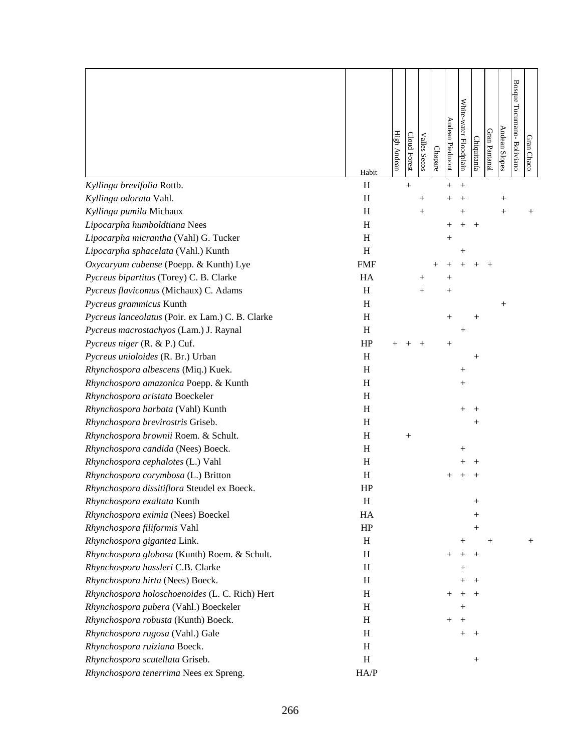|                                                  | Habit      | <b>High Andean</b> | Cloud Forest | <b>Valles Secos</b> | Chapare | Andean Piedmont    | White-water Floodplain | <u>Chiquitanía</u> | Gran Pantanal      | Andean Slopes      | Bosque Tucumano-Boliviano | Gran Chaco |
|--------------------------------------------------|------------|--------------------|--------------|---------------------|---------|--------------------|------------------------|--------------------|--------------------|--------------------|---------------------------|------------|
| Kyllinga brevifolia Rottb.                       | H          |                    | $^{+}$       |                     |         | $+$                | $^{+}$                 |                    |                    |                    |                           |            |
| Kyllinga odorata Vahl.                           | H          |                    |              | $\hspace{0.1mm} +$  |         |                    |                        |                    |                    | $\hspace{0.1mm} +$ |                           |            |
| Kyllinga pumila Michaux                          | H          |                    |              | $^{+}$              |         |                    | $^+$                   |                    |                    | $^{+}$             |                           |            |
| Lipocarpha humboldtiana Nees                     | H          |                    |              |                     |         |                    |                        |                    |                    |                    |                           |            |
| Lipocarpha micrantha (Vahl) G. Tucker            | H          |                    |              |                     |         | $^+$               |                        |                    |                    |                    |                           |            |
| Lipocarpha sphacelata (Vahl.) Kunth              | H          |                    |              |                     |         |                    | $^+$                   |                    |                    |                    |                           |            |
| Oxycaryum cubense (Poepp. & Kunth) Lye           | <b>FMF</b> |                    |              |                     |         |                    |                        |                    |                    |                    |                           |            |
| Pycreus bipartitus (Torey) C. B. Clarke          | HA         |                    |              | $^+$                |         |                    |                        |                    |                    |                    |                           |            |
| Pycreus flavicomus (Michaux) C. Adams            | H          |                    |              | $^{+}$              |         | $\hspace{0.1mm} +$ |                        |                    |                    |                    |                           |            |
| Pycreus grammicus Kunth                          | H          |                    |              |                     |         |                    |                        |                    |                    | $^{+}$             |                           |            |
| Pycreus lanceolatus (Poir. ex Lam.) C. B. Clarke | H          |                    |              |                     |         | $^+$               |                        |                    |                    |                    |                           |            |
| Pycreus macrostachyos (Lam.) J. Raynal           | H          |                    |              |                     |         |                    | $^+$                   |                    |                    |                    |                           |            |
| Pycreus niger (R. & P.) Cuf.                     | HP         |                    |              |                     |         | $^{+}$             |                        |                    |                    |                    |                           |            |
| Pycreus unioloides (R. Br.) Urban                | H          |                    |              |                     |         |                    |                        |                    |                    |                    |                           |            |
| Rhynchospora albescens (Miq.) Kuek.              | H          |                    |              |                     |         |                    | $\hspace{0.1mm} +$     |                    |                    |                    |                           |            |
| Rhynchospora amazonica Poepp. & Kunth            | H          |                    |              |                     |         |                    | $\! +$                 |                    |                    |                    |                           |            |
| Rhynchospora aristata Boeckeler                  | $H_{\rm}$  |                    |              |                     |         |                    |                        |                    |                    |                    |                           |            |
| Rhynchospora barbata (Vahl) Kunth                | H          |                    |              |                     |         |                    |                        |                    |                    |                    |                           |            |
| Rhynchospora brevirostris Griseb.                | H          |                    |              |                     |         |                    |                        |                    |                    |                    |                           |            |
| Rhynchospora brownii Roem. & Schult.             | H          |                    | $^{+}$       |                     |         |                    |                        |                    |                    |                    |                           |            |
| Rhynchospora candida (Nees) Boeck.               | H          |                    |              |                     |         |                    | ┿                      |                    |                    |                    |                           |            |
| Rhynchospora cephalotes (L.) Vahl                | H          |                    |              |                     |         |                    |                        |                    |                    |                    |                           |            |
| Rhynchospora corymbosa (L.) Britton              | $H_{\rm}$  |                    |              |                     |         |                    |                        |                    |                    |                    |                           |            |
| Rhynchospora dissitiflora Steudel ex Boeck.      | HP         |                    |              |                     |         |                    |                        |                    |                    |                    |                           |            |
| Rhynchospora exaltata Kunth                      | H          |                    |              |                     |         |                    |                        | $^{+}$             |                    |                    |                           |            |
| Rhynchospora eximia (Nees) Boeckel               | HA         |                    |              |                     |         |                    |                        | $^+$               |                    |                    |                           |            |
| Rhynchospora filiformis Vahl                     | HP         |                    |              |                     |         |                    |                        | $\hspace{0.1mm} +$ |                    |                    |                           |            |
| Rhynchospora gigantea Link.                      | H          |                    |              |                     |         |                    | $^+$                   |                    | $\hspace{0.1mm} +$ |                    |                           | $^{+}$     |
| Rhynchospora globosa (Kunth) Roem. & Schult.     | H          |                    |              |                     |         |                    |                        | $^{+}$             |                    |                    |                           |            |
| Rhynchospora hassleri C.B. Clarke                | H          |                    |              |                     |         |                    | $\hspace{0.1mm} +$     |                    |                    |                    |                           |            |
| Rhynchospora hirta (Nees) Boeck.                 | H          |                    |              |                     |         |                    |                        | $\pm$              |                    |                    |                           |            |
| Rhynchospora holoschoenoides (L. C. Rich) Hert   | H          |                    |              |                     |         |                    | $\hspace{0.1mm} +$     |                    |                    |                    |                           |            |
| Rhynchospora pubera (Vahl.) Boeckeler            | H          |                    |              |                     |         |                    | $\hspace{0.1mm} +$     |                    |                    |                    |                           |            |
| Rhynchospora robusta (Kunth) Boeck.              | H          |                    |              |                     |         |                    |                        |                    |                    |                    |                           |            |
| Rhynchospora rugosa (Vahl.) Gale                 | H          |                    |              |                     |         |                    | $^{+}$                 | $^{+}$             |                    |                    |                           |            |
| Rhynchospora ruiziana Boeck.                     | H          |                    |              |                     |         |                    |                        |                    |                    |                    |                           |            |
| Rhynchospora scutellata Griseb.                  | H          |                    |              |                     |         |                    |                        | $^{+}$             |                    |                    |                           |            |
| Rhynchospora tenerrima Nees ex Spreng.           | HA/P       |                    |              |                     |         |                    |                        |                    |                    |                    |                           |            |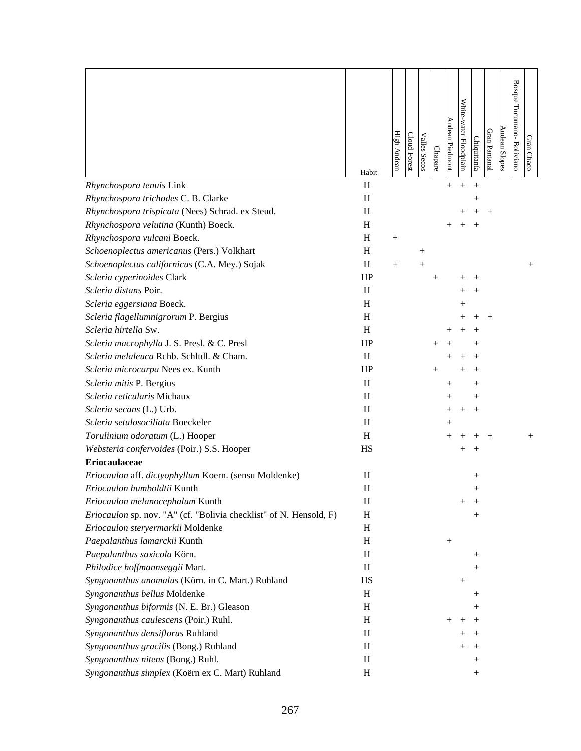|                                                                    | Habit     | High Andean | Cloud Forest | <b>Valles Secos</b> | Chapare | Andean Piedmont    | White-water Floodplain | <u>Chiquitanía</u> | Gran Pantanal | Andean Slopes | <b>Bosque</b><br>Tucumano-Boliviano | Gran Chaco |
|--------------------------------------------------------------------|-----------|-------------|--------------|---------------------|---------|--------------------|------------------------|--------------------|---------------|---------------|-------------------------------------|------------|
| Rhynchospora tenuis Link                                           | H         |             |              |                     |         | $\, +$             | $^{+}$                 | $^{+}$             |               |               |                                     |            |
| Rhynchospora trichodes C. B. Clarke                                | H         |             |              |                     |         |                    |                        | $^+$               |               |               |                                     |            |
| Rhynchospora trispicata (Nees) Schrad. ex Steud.                   | H         |             |              |                     |         |                    |                        |                    |               |               |                                     |            |
| Rhynchospora velutina (Kunth) Boeck.                               | H         |             |              |                     |         |                    |                        |                    |               |               |                                     |            |
| Rhynchospora vulcani Boeck.                                        | H         | $^{+}$      |              |                     |         |                    |                        |                    |               |               |                                     |            |
| Schoenoplectus americanus (Pers.) Volkhart                         | H         |             |              | $\hspace{0.1mm} +$  |         |                    |                        |                    |               |               |                                     |            |
| Schoenoplectus californicus (C.A. Mey.) Sojak                      | H         | $^{+}$      |              | $^{+}$              |         |                    |                        |                    |               |               |                                     | $^{+}$     |
| Scleria cyperinoides Clark                                         | HP        |             |              |                     | $^{+}$  |                    |                        |                    |               |               |                                     |            |
| Scleria distans Poir.                                              | H         |             |              |                     |         |                    |                        |                    |               |               |                                     |            |
| Scleria eggersiana Boeck.                                          | H         |             |              |                     |         |                    |                        |                    |               |               |                                     |            |
| Scleria flagellumnigrorum P. Bergius                               | H         |             |              |                     |         |                    |                        |                    |               |               |                                     |            |
| Scleria hirtella Sw.                                               | H         |             |              |                     |         |                    |                        |                    |               |               |                                     |            |
| Scleria macrophylla J. S. Presl. & C. Presl                        | HP        |             |              |                     |         |                    |                        |                    |               |               |                                     |            |
| Scleria melaleuca Rchb. Schltdl. & Cham.                           | H         |             |              |                     |         |                    |                        |                    |               |               |                                     |            |
| Scleria microcarpa Nees ex. Kunth                                  | HP        |             |              |                     |         |                    |                        |                    |               |               |                                     |            |
| Scleria mitis P. Bergius                                           | H         |             |              |                     |         | $\hspace{0.1mm} +$ |                        | $^+$               |               |               |                                     |            |
| Scleria reticularis Michaux                                        | H         |             |              |                     |         |                    |                        |                    |               |               |                                     |            |
| Scleria secans (L.) Urb.                                           | H         |             |              |                     |         | $\! +$             |                        |                    |               |               |                                     |            |
| Scleria setulosociliata Boeckeler                                  | H         |             |              |                     |         | $^+$               |                        |                    |               |               |                                     |            |
| Torulinium odoratum (L.) Hooper                                    | H         |             |              |                     |         | $^+$               |                        |                    |               |               |                                     | $^+$       |
| Websteria confervoides (Poir.) S.S. Hooper                         | <b>HS</b> |             |              |                     |         |                    |                        |                    |               |               |                                     |            |
| <b>Eriocaulaceae</b>                                               |           |             |              |                     |         |                    |                        |                    |               |               |                                     |            |
| Eriocaulon aff. dictyophyllum Koern. (sensu Moldenke)              | H         |             |              |                     |         |                    |                        | $\hspace{0.1mm} +$ |               |               |                                     |            |
| Eriocaulon humboldtii Kunth                                        | H         |             |              |                     |         |                    |                        |                    |               |               |                                     |            |
| Eriocaulon melanocephalum Kunth                                    | H         |             |              |                     |         |                    |                        |                    |               |               |                                     |            |
| Eriocaulon sp. nov. "A" (cf. "Bolivia checklist" of N. Hensold, F) | H         |             |              |                     |         |                    |                        | $^+$               |               |               |                                     |            |
| Eriocaulon steryermarkii Moldenke                                  | H         |             |              |                     |         |                    |                        |                    |               |               |                                     |            |
| Paepalanthus lamarckii Kunth                                       | H         |             |              |                     |         | $^{+}$             |                        |                    |               |               |                                     |            |
| Paepalanthus saxicola Körn.                                        | H         |             |              |                     |         |                    |                        | $^{+}$             |               |               |                                     |            |
| Philodice hoffmannseggii Mart.                                     | H         |             |              |                     |         |                    |                        | $^+$               |               |               |                                     |            |
| Syngonanthus anomalus (Körn. in C. Mart.) Ruhland                  | HS        |             |              |                     |         |                    | $^+$                   |                    |               |               |                                     |            |
| Syngonanthus bellus Moldenke                                       | H         |             |              |                     |         |                    |                        | $\hspace{0.1mm} +$ |               |               |                                     |            |
| Syngonanthus biformis (N. E. Br.) Gleason                          | H         |             |              |                     |         |                    |                        | $\, +$             |               |               |                                     |            |
| Syngonanthus caulescens (Poir.) Ruhl.                              | H         |             |              |                     |         |                    |                        |                    |               |               |                                     |            |
| Syngonanthus densiflorus Ruhland                                   | H         |             |              |                     |         |                    |                        |                    |               |               |                                     |            |
| Syngonanthus gracilis (Bong.) Ruhland                              | H         |             |              |                     |         |                    |                        |                    |               |               |                                     |            |
| Syngonanthus nitens (Bong.) Ruhl.                                  | H         |             |              |                     |         |                    |                        | $^{+}$             |               |               |                                     |            |
| Syngonanthus simplex (Koërn ex C. Mart) Ruhland                    | H         |             |              |                     |         |                    |                        | $^{+}$             |               |               |                                     |            |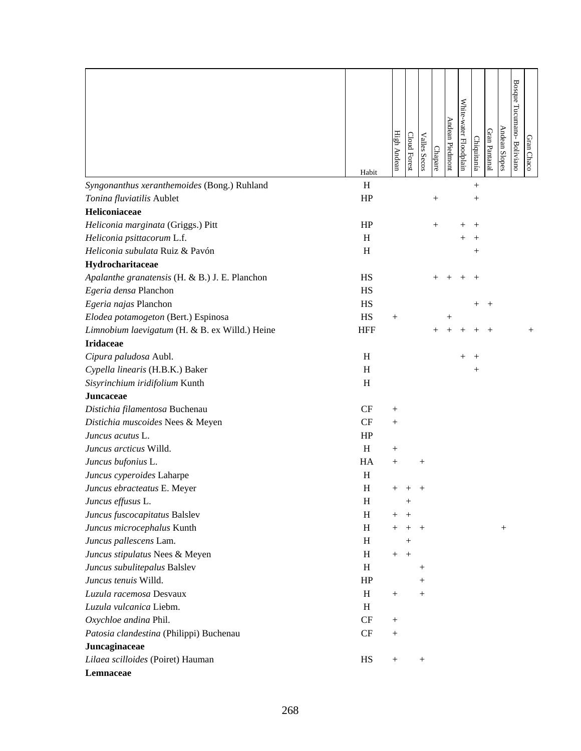|                                                | Habit      | <b>High Andean</b> | <b>Cloud Forest</b> | <b>Valles Secos</b> | Chapare | Andean Piedmont | White-water Floodplain | Chiquitanía        | Gran Pantanal      | Andean Slopes | Bosque Tucumano-Boliviano | Gran Chaco |
|------------------------------------------------|------------|--------------------|---------------------|---------------------|---------|-----------------|------------------------|--------------------|--------------------|---------------|---------------------------|------------|
| Syngonanthus xeranthemoides (Bong.) Ruhland    | H          |                    |                     |                     |         |                 |                        | $^{+}$             |                    |               |                           |            |
| Tonina fluviatilis Aublet                      | HP         |                    |                     |                     | $^+$    |                 |                        |                    |                    |               |                           |            |
| Heliconiaceae                                  |            |                    |                     |                     |         |                 |                        |                    |                    |               |                           |            |
| Heliconia marginata (Griggs.) Pitt             | HP         |                    |                     |                     | $^{+}$  |                 |                        |                    |                    |               |                           |            |
| Heliconia psittacorum L.f.                     | H          |                    |                     |                     |         |                 |                        |                    |                    |               |                           |            |
| Heliconia subulata Ruiz & Pavón                | H          |                    |                     |                     |         |                 |                        | $\hspace{.01in} +$ |                    |               |                           |            |
| Hydrocharitaceae                               |            |                    |                     |                     |         |                 |                        |                    |                    |               |                           |            |
| Apalanthe granatensis (H. & B.) J. E. Planchon | <b>HS</b>  |                    |                     |                     |         |                 |                        |                    |                    |               |                           |            |
| Egeria densa Planchon                          | <b>HS</b>  |                    |                     |                     |         |                 |                        |                    |                    |               |                           |            |
| Egeria najas Planchon                          | <b>HS</b>  |                    |                     |                     |         |                 |                        | $^+$               | $\hspace{0.1mm} +$ |               |                           |            |
| Elodea potamogeton (Bert.) Espinosa            | HS         | $^{+}$             |                     |                     |         | $^{+}$          |                        |                    |                    |               |                           |            |
| Limnobium laevigatum (H. & B. ex Willd.) Heine | <b>HFF</b> |                    |                     |                     |         | $+$             |                        |                    | $^{+}$             |               |                           | $^{+}$     |
| <b>Iridaceae</b>                               |            |                    |                     |                     |         |                 |                        |                    |                    |               |                           |            |
| Cipura paludosa Aubl.                          | H          |                    |                     |                     |         |                 |                        |                    |                    |               |                           |            |
| Cypella linearis (H.B.K.) Baker                | H          |                    |                     |                     |         |                 |                        | $^+$               |                    |               |                           |            |
| Sisyrinchium iridifolium Kunth                 | H          |                    |                     |                     |         |                 |                        |                    |                    |               |                           |            |
| <b>Juncaceae</b>                               |            |                    |                     |                     |         |                 |                        |                    |                    |               |                           |            |
| Distichia filamentosa Buchenau                 | CF         | $^{+}$             |                     |                     |         |                 |                        |                    |                    |               |                           |            |
| Distichia muscoides Nees & Meyen               | CF         | $^{+}$             |                     |                     |         |                 |                        |                    |                    |               |                           |            |
| Juncus acutus L.                               | HP         |                    |                     |                     |         |                 |                        |                    |                    |               |                           |            |
| Juncus arcticus Willd.                         | H          | $^{+}$             |                     |                     |         |                 |                        |                    |                    |               |                           |            |
| Juncus bufonius L.                             | HA         | $^+$               |                     | $^{+}$              |         |                 |                        |                    |                    |               |                           |            |
| Juncus cyperoides Laharpe                      | H          |                    |                     |                     |         |                 |                        |                    |                    |               |                           |            |
| Juncus ebracteatus E. Meyer                    | H          |                    |                     |                     |         |                 |                        |                    |                    |               |                           |            |
| Juncus effusus L.                              | H          |                    | $^{+}$              |                     |         |                 |                        |                    |                    |               |                           |            |
| Juncus fuscocapitatus Balslev                  | H          | $^+$               | $\hspace{0.1mm} +$  |                     |         |                 |                        |                    |                    |               |                           |            |
| Juncus microcephalus Kunth                     | H          | $^{+}$             | $^{+}$              | $+$                 |         |                 |                        |                    |                    | $^{+}$        |                           |            |
| Juncus pallescens Lam.                         | H          |                    | $^{+}$              |                     |         |                 |                        |                    |                    |               |                           |            |
| Juncus stipulatus Nees & Meyen                 | H          | $^{+}$             | $^{+}$              |                     |         |                 |                        |                    |                    |               |                           |            |
| Juncus subulitepalus Balslev                   | H          |                    |                     | $\hspace{0.1mm} +$  |         |                 |                        |                    |                    |               |                           |            |
| Juncus tenuis Willd.                           | HP         |                    |                     | $\hspace{0.1mm} +$  |         |                 |                        |                    |                    |               |                           |            |
| Luzula racemosa Desvaux                        | H          | $^{+}$             |                     | $^{+}$              |         |                 |                        |                    |                    |               |                           |            |
| Luzula vulcanica Liebm.                        | H          |                    |                     |                     |         |                 |                        |                    |                    |               |                           |            |
| Oxychloe andina Phil.                          | CF         |                    |                     |                     |         |                 |                        |                    |                    |               |                           |            |
| Patosia clandestina (Philippi) Buchenau        | CF         | $^{+}$             |                     |                     |         |                 |                        |                    |                    |               |                           |            |
| Juncaginaceae                                  |            |                    |                     |                     |         |                 |                        |                    |                    |               |                           |            |
| Lilaea scilloides (Poiret) Hauman              | HS         | $^{+}$             |                     | $^{+}$              |         |                 |                        |                    |                    |               |                           |            |
| Lemnaceae                                      |            |                    |                     |                     |         |                 |                        |                    |                    |               |                           |            |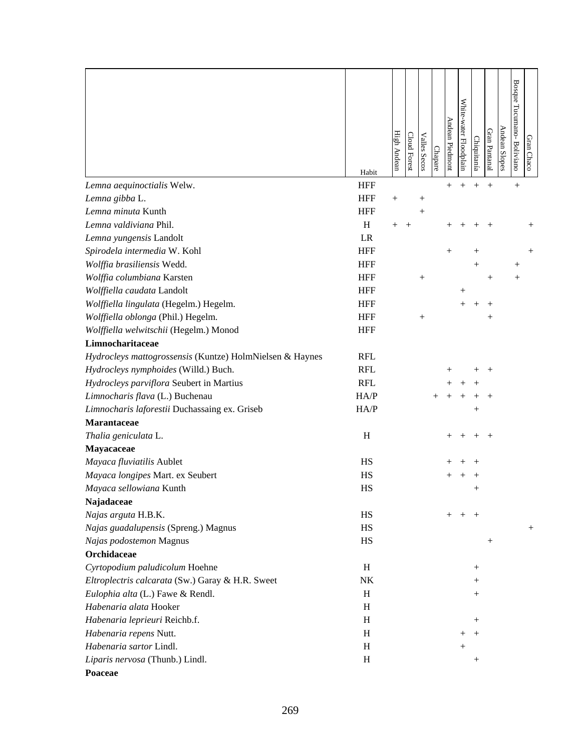|                                                          | Habit                     | High Andean | Cloud Forest | <b>Valles Secos</b> | Chapare | Andean Piedmont    | White-water Floodplain | Chiquitanía | Gran Pantanal      | Andean Slopes | <b>Bosque</b><br>Tucumano-Boliviano | Gran Chaco         |
|----------------------------------------------------------|---------------------------|-------------|--------------|---------------------|---------|--------------------|------------------------|-------------|--------------------|---------------|-------------------------------------|--------------------|
| Lemna aequinoctialis Welw.                               | <b>HFF</b>                |             |              |                     |         | $\hspace{0.1mm} +$ | $\hspace{0.1mm} +$     |             | $^{+}$             |               | $^{+}$                              |                    |
| Lemna gibba L.                                           | <b>HFF</b>                | $^{+}$      |              | $\hspace{0.1mm} +$  |         |                    |                        |             |                    |               |                                     |                    |
| Lemna minuta Kunth                                       | <b>HFF</b>                |             |              | $\overline{+}$      |         |                    |                        |             |                    |               |                                     |                    |
| Lemna valdiviana Phil.                                   | $\boldsymbol{\mathrm{H}}$ | $^{+}$      | $^{+}$       |                     |         |                    |                        |             |                    |               |                                     |                    |
| Lemna yungensis Landolt                                  | LR                        |             |              |                     |         |                    |                        |             |                    |               |                                     |                    |
| Spirodela intermedia W. Kohl                             | <b>HFF</b>                |             |              |                     |         | $^{+}$             |                        |             |                    |               |                                     | $\hspace{0.1mm} +$ |
| Wolffia brasiliensis Wedd.                               | <b>HFF</b>                |             |              |                     |         |                    |                        | $^{+}$      |                    |               | $\hspace{0.1mm} +$                  |                    |
| Wolffia columbiana Karsten                               | <b>HFF</b>                |             |              | $^{+}$              |         |                    |                        |             | $\hspace{0.1mm} +$ |               | $^+$                                |                    |
| Wolffiella caudata Landolt                               | <b>HFF</b>                |             |              |                     |         |                    | $\hspace{0.1mm} +$     |             |                    |               |                                     |                    |
| Wolffiella lingulata (Hegelm.) Hegelm.                   | <b>HFF</b>                |             |              |                     |         |                    | $^+$                   | $^{+}$      | $\hspace{0.1mm} +$ |               |                                     |                    |
| Wolffiella oblonga (Phil.) Hegelm.                       | <b>HFF</b>                |             |              | $^{+}$              |         |                    |                        |             | $^{+}$             |               |                                     |                    |
| Wolffiella welwitschii (Hegelm.) Monod                   | <b>HFF</b>                |             |              |                     |         |                    |                        |             |                    |               |                                     |                    |
| Limnocharitaceae                                         |                           |             |              |                     |         |                    |                        |             |                    |               |                                     |                    |
| Hydrocleys mattogrossensis (Kuntze) HolmNielsen & Haynes | <b>RFL</b>                |             |              |                     |         |                    |                        |             |                    |               |                                     |                    |
| Hydrocleys nymphoides (Willd.) Buch.                     | <b>RFL</b>                |             |              |                     |         |                    |                        |             | $\, + \,$          |               |                                     |                    |
| Hydrocleys parviflora Seubert in Martius                 | <b>RFL</b>                |             |              |                     |         |                    |                        |             |                    |               |                                     |                    |
| Limnocharis flava (L.) Buchenau                          | HA/P                      |             |              |                     |         |                    |                        |             |                    |               |                                     |                    |
| Limnocharis laforestii Duchassaing ex. Griseb            | HA/P                      |             |              |                     |         |                    |                        | $^+$        |                    |               |                                     |                    |
| Marantaceae                                              |                           |             |              |                     |         |                    |                        |             |                    |               |                                     |                    |
| Thalia geniculata L.                                     | H                         |             |              |                     |         |                    |                        |             |                    |               |                                     |                    |
| Mayacaceae                                               |                           |             |              |                     |         |                    |                        |             |                    |               |                                     |                    |
| Mayaca fluviatilis Aublet                                | HS                        |             |              |                     |         |                    |                        |             |                    |               |                                     |                    |
| Mayaca longipes Mart. ex Seubert                         | HS                        |             |              |                     |         |                    |                        |             |                    |               |                                     |                    |
| Mayaca sellowiana Kunth                                  | HS                        |             |              |                     |         |                    |                        |             |                    |               |                                     |                    |
| Najadaceae                                               |                           |             |              |                     |         |                    |                        |             |                    |               |                                     |                    |
| Najas arguta H.B.K.                                      | HS                        |             |              |                     |         | $+$                | $^{+}$                 | $^{+}$      |                    |               |                                     |                    |
| Najas guadalupensis (Spreng.) Magnus                     | HS                        |             |              |                     |         |                    |                        |             |                    |               |                                     | $^{+}$             |
| Najas podostemon Magnus                                  | HS                        |             |              |                     |         |                    |                        |             | $^{+}$             |               |                                     |                    |
| Orchidaceae                                              |                           |             |              |                     |         |                    |                        |             |                    |               |                                     |                    |
| Cyrtopodium paludicolum Hoehne                           | H                         |             |              |                     |         |                    |                        | $^{+}$      |                    |               |                                     |                    |
| Eltroplectris calcarata (Sw.) Garay & H.R. Sweet         | NK                        |             |              |                     |         |                    |                        | $^{+}$      |                    |               |                                     |                    |
| Eulophia alta (L.) Fawe & Rendl.                         | H                         |             |              |                     |         |                    |                        | $^{+}$      |                    |               |                                     |                    |
| Habenaria alata Hooker                                   | H                         |             |              |                     |         |                    |                        |             |                    |               |                                     |                    |
| Habenaria leprieuri Reichb.f.                            | H                         |             |              |                     |         |                    |                        | $^{+}$      |                    |               |                                     |                    |
| Habenaria repens Nutt.                                   | H                         |             |              |                     |         |                    | $\hspace{0.1mm} +$     | $^{+}$      |                    |               |                                     |                    |
| Habenaria sartor Lindl.                                  | H                         |             |              |                     |         |                    | $^{+}$                 |             |                    |               |                                     |                    |
| Liparis nervosa (Thunb.) Lindl.                          | H                         |             |              |                     |         |                    |                        | $^{+}$      |                    |               |                                     |                    |
| Poaceae                                                  |                           |             |              |                     |         |                    |                        |             |                    |               |                                     |                    |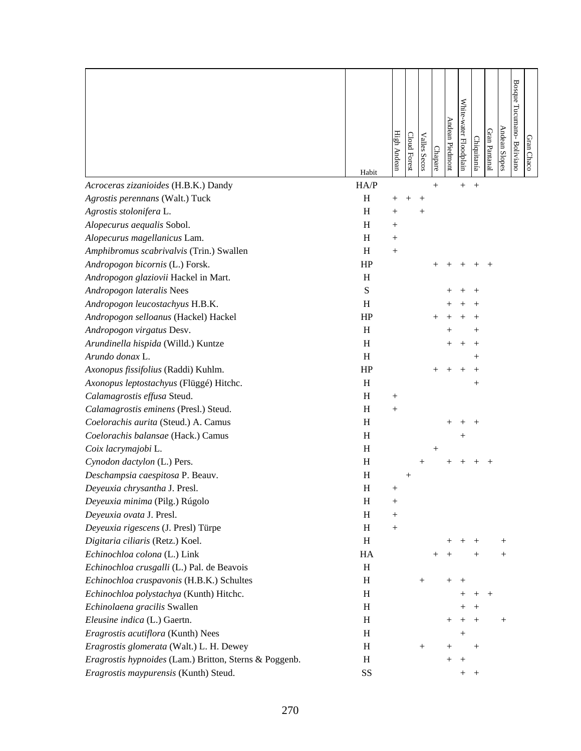|                                                        | Habit     | High Andean        | Cloud Forest       | <b>Valles Secos</b> | Chapare             | Andean Piedmont    | White-water Floodplain           | Chiquitanía | Gran Pantanal | Andean Slopes | Bosque Tucumano- Boliviano | Gran Chaco |
|--------------------------------------------------------|-----------|--------------------|--------------------|---------------------|---------------------|--------------------|----------------------------------|-------------|---------------|---------------|----------------------------|------------|
| Acroceras zizanioides (H.B.K.) Dandy                   | HA/P      |                    |                    |                     | $+$                 |                    | $^{+}$                           | $^{+}$      |               |               |                            |            |
| Agrostis perennans (Walt.) Tuck                        | H         |                    |                    | $\, + \,$           |                     |                    |                                  |             |               |               |                            |            |
| Agrostis stolonifera L.                                | H         | $\hspace{0.1mm} +$ |                    | $\hspace{0.1mm} +$  |                     |                    |                                  |             |               |               |                            |            |
| Alopecurus aequalis Sobol.                             | H         | $+$                |                    |                     |                     |                    |                                  |             |               |               |                            |            |
| Alopecurus magellanicus Lam.                           | H         | $^{+}$             |                    |                     |                     |                    |                                  |             |               |               |                            |            |
| Amphibromus scabrivalvis (Trin.) Swallen               | H         | $^{+}$             |                    |                     |                     |                    |                                  |             |               |               |                            |            |
| Andropogon bicornis (L.) Forsk.                        | HP        |                    |                    |                     |                     |                    |                                  |             | $^{+}$        |               |                            |            |
| Andropogon glaziovii Hackel in Mart.                   | H         |                    |                    |                     |                     |                    |                                  |             |               |               |                            |            |
| Andropogon lateralis Nees                              | ${\bf S}$ |                    |                    |                     |                     |                    |                                  |             |               |               |                            |            |
| Andropogon leucostachyus H.B.K.                        | H         |                    |                    |                     |                     |                    |                                  |             |               |               |                            |            |
| Andropogon selloanus (Hackel) Hackel                   | HP        |                    |                    |                     |                     |                    |                                  |             |               |               |                            |            |
| Andropogon virgatus Desv.                              | H         |                    |                    |                     |                     |                    |                                  |             |               |               |                            |            |
| Arundinella hispida (Willd.) Kuntze                    | H         |                    |                    |                     |                     |                    |                                  |             |               |               |                            |            |
| Arundo donax L.                                        | H         |                    |                    |                     |                     |                    |                                  |             |               |               |                            |            |
| Axonopus fissifolius (Raddi) Kuhlm.                    | HP        |                    |                    |                     | $^+$                | $^{+}$             | $^+$                             | ┿           |               |               |                            |            |
| Axonopus leptostachyus (Flüggé) Hitchc.                | H         |                    |                    |                     |                     |                    |                                  | $^{+}$      |               |               |                            |            |
| Calamagrostis effusa Steud.                            | H         | $^{+}$             |                    |                     |                     |                    |                                  |             |               |               |                            |            |
| Calamagrostis eminens (Presl.) Steud.                  | H         | $^{+}$             |                    |                     |                     |                    |                                  |             |               |               |                            |            |
| Coelorachis aurita (Steud.) A. Camus                   | H         |                    |                    |                     |                     |                    |                                  |             |               |               |                            |            |
| Coelorachis balansae (Hack.) Camus                     | H         |                    |                    |                     |                     |                    | $^+$                             |             |               |               |                            |            |
| Coix lacrymajobi L.                                    | H         |                    |                    |                     | $\hspace{.011cm} +$ |                    |                                  |             |               |               |                            |            |
| Cynodon dactylon (L.) Pers.                            | H         |                    |                    | $^{+}$              |                     |                    |                                  |             | $^{+}$        |               |                            |            |
| Deschampsia caespitosa P. Beauv.                       | $H_{\rm}$ |                    | $\hspace{0.1mm} +$ |                     |                     |                    |                                  |             |               |               |                            |            |
| Deyeuxia chrysantha J. Presl.                          | H         | $^{+}$             |                    |                     |                     |                    |                                  |             |               |               |                            |            |
| Deyeuxia minima (Pilg.) Rúgolo                         | H         | $^{+}$             |                    |                     |                     |                    |                                  |             |               |               |                            |            |
| Deyeuxia ovata J. Presl.                               | H         | $^{+}$             |                    |                     |                     |                    |                                  |             |               |               |                            |            |
| Deyeuxia rigescens (J. Presl) Türpe                    | H         | $^{+}$             |                    |                     |                     |                    |                                  |             |               |               |                            |            |
| Digitaria ciliaris (Retz.) Koel.                       | H         |                    |                    |                     |                     | $^+$               | $^+$                             |             |               | $^+$          |                            |            |
| Echinochloa colona (L.) Link                           | HA        |                    |                    |                     | $^{+}$              | $^{+}$             |                                  | $^{+}$      |               | $^{+}$        |                            |            |
| Echinochloa crusgalli (L.) Pal. de Beavois             | H         |                    |                    |                     |                     |                    |                                  |             |               |               |                            |            |
| Echinochloa cruspavonis (H.B.K.) Schultes              | H         |                    |                    | $^{+}$              |                     | $^{+}$             | $^{+}$                           |             |               |               |                            |            |
| Echinochloa polystachya (Kunth) Hitchc.                | H         |                    |                    |                     |                     |                    | $\hspace{0.1mm} +\hspace{0.1mm}$ | $^{+}$      | $^{+}$        |               |                            |            |
| Echinolaena gracilis Swallen                           | H         |                    |                    |                     |                     |                    | $^+$                             | $^{+}$      |               |               |                            |            |
| Eleusine indica (L.) Gaertn.                           | H         |                    |                    |                     |                     | $^+$               | $^+$                             |             |               | $^{+}$        |                            |            |
| Eragrostis acutiflora (Kunth) Nees                     | H         |                    |                    |                     |                     |                    | $\hspace{0.1mm} +$               |             |               |               |                            |            |
| Eragrostis glomerata (Walt.) L. H. Dewey               | $H_{\rm}$ |                    |                    | $^{+}$              |                     | $\hspace{0.1mm} +$ |                                  | $^{+}$      |               |               |                            |            |
| Eragrostis hypnoides (Lam.) Britton, Sterns & Poggenb. | H         |                    |                    |                     |                     |                    | $\hspace{0.1mm} +$               |             |               |               |                            |            |
| Eragrostis maypurensis (Kunth) Steud.                  | SS        |                    |                    |                     |                     |                    | $^+$                             | $^{+}$      |               |               |                            |            |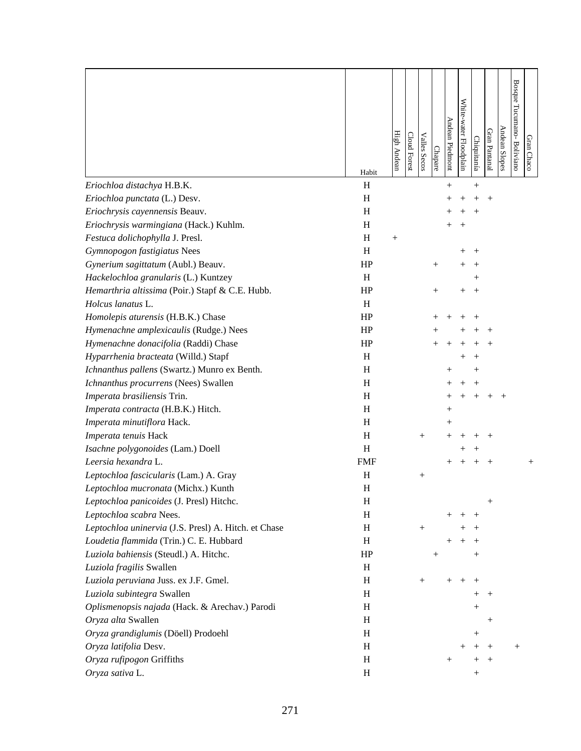|                                                      | Habit                     | High Andean | Cloud Forest | <b>Valles Secos</b> | Chapare            | Andean Piedmont    | White-water Floodplain | Chiquitanía        | Gran Pantanal      | Andean Slopes | Bosque Tucumano-Boliviano | Gran<br>Chaco |
|------------------------------------------------------|---------------------------|-------------|--------------|---------------------|--------------------|--------------------|------------------------|--------------------|--------------------|---------------|---------------------------|---------------|
| Eriochloa distachya H.B.K.                           | H                         |             |              |                     |                    | $^{+}$             |                        | $^{+}$             |                    |               |                           |               |
| Eriochloa punctata (L.) Desv.                        | H                         |             |              |                     |                    |                    |                        |                    | $^{+}$             |               |                           |               |
| Eriochrysis cayennensis Beauv.                       | H                         |             |              |                     |                    |                    |                        | $^+$               |                    |               |                           |               |
| Eriochrysis warmingiana (Hack.) Kuhlm.               | $\boldsymbol{\mathrm{H}}$ |             |              |                     |                    |                    | $^{+}$                 |                    |                    |               |                           |               |
| Festuca dolichophylla J. Presl.                      | H                         | $^{+}$      |              |                     |                    |                    |                        |                    |                    |               |                           |               |
| Gymnopogon fastigiatus Nees                          | H                         |             |              |                     |                    |                    | $^+$                   | $^{+}$             |                    |               |                           |               |
| Gynerium sagittatum (Aubl.) Beauv.                   | HP                        |             |              |                     | $^{+}$             |                    |                        | $^{+}$             |                    |               |                           |               |
| Hackelochloa granularis (L.) Kuntzey                 | H                         |             |              |                     |                    |                    |                        | $\hspace{0.1mm} +$ |                    |               |                           |               |
| Hemarthria altissima (Poir.) Stapf & C.E. Hubb.      | HP                        |             |              |                     | $\hspace{0.1mm} +$ |                    | $^+$                   | $^{+}$             |                    |               |                           |               |
| Holcus lanatus L.                                    | H                         |             |              |                     |                    |                    |                        |                    |                    |               |                           |               |
| Homolepis aturensis (H.B.K.) Chase                   | HP                        |             |              |                     |                    |                    |                        |                    |                    |               |                           |               |
| Hymenachne amplexicaulis (Rudge.) Nees               | HP                        |             |              |                     | $^+$               |                    |                        |                    |                    |               |                           |               |
| Hymenachne donacifolia (Raddi) Chase                 | HP                        |             |              |                     |                    |                    |                        |                    |                    |               |                           |               |
| Hyparrhenia bracteata (Willd.) Stapf                 | H                         |             |              |                     |                    |                    |                        |                    |                    |               |                           |               |
| Ichnanthus pallens (Swartz.) Munro ex Benth.         | H                         |             |              |                     |                    |                    |                        |                    |                    |               |                           |               |
| Ichnanthus procurrens (Nees) Swallen                 | H                         |             |              |                     |                    |                    |                        |                    |                    |               |                           |               |
| Imperata brasiliensis Trin.                          | H                         |             |              |                     |                    |                    |                        |                    |                    |               |                           |               |
| Imperata contracta (H.B.K.) Hitch.                   | $\boldsymbol{\mathrm{H}}$ |             |              |                     |                    | $\hspace{0.1mm} +$ |                        |                    |                    |               |                           |               |
| Imperata minutiflora Hack.                           | H                         |             |              |                     |                    | $^{+}$             |                        |                    |                    |               |                           |               |
| Imperata tenuis Hack                                 | H                         |             |              | $^{+}$              |                    |                    |                        |                    |                    |               |                           |               |
| Isachne polygonoides (Lam.) Doell                    | H                         |             |              |                     |                    |                    |                        |                    |                    |               |                           |               |
| Leersia hexandra L.                                  | <b>FMF</b>                |             |              |                     |                    | $^{+}$             | $^{+}$                 |                    | $^{+}$             |               |                           | $^{+}$        |
| Leptochloa fascicularis (Lam.) A. Gray               | H                         |             |              | $^{+}$              |                    |                    |                        |                    |                    |               |                           |               |
| Leptochloa mucronata (Michx.) Kunth                  | H                         |             |              |                     |                    |                    |                        |                    |                    |               |                           |               |
| Leptochloa panicoides (J. Presl) Hitchc.             | H                         |             |              |                     |                    |                    |                        |                    |                    |               |                           |               |
| Leptochloa scabra Nees.                              | H                         |             |              |                     |                    |                    |                        | $^{+}$             |                    |               |                           |               |
| Leptochloa uninervia (J.S. Presl) A. Hitch. et Chase | H                         |             |              |                     |                    |                    |                        |                    |                    |               |                           |               |
| Loudetia flammida (Trin.) C. E. Hubbard              | H                         |             |              |                     |                    |                    |                        | $^+$               |                    |               |                           |               |
| Luziola bahiensis (Steudl.) A. Hitchc.               | HP                        |             |              |                     | $\hspace{0.1mm} +$ |                    |                        | $^{+}$             |                    |               |                           |               |
| Luziola fragilis Swallen                             | H                         |             |              |                     |                    |                    |                        |                    |                    |               |                           |               |
| Luziola peruviana Juss. ex J.F. Gmel.                | H                         |             |              | $^{+}$              |                    | $^{+}$             | $^{+}$                 | $^{+}$             |                    |               |                           |               |
| Luziola subintegra Swallen                           | H                         |             |              |                     |                    |                    |                        | $\hspace{0.1mm} +$ |                    |               |                           |               |
| Oplismenopsis najada (Hack. & Arechav.) Parodi       | H                         |             |              |                     |                    |                    |                        | $^{+}$             |                    |               |                           |               |
| Oryza alta Swallen                                   | H                         |             |              |                     |                    |                    |                        |                    | $^{+}$             |               |                           |               |
| Oryza grandiglumis (Döell) Prodoehl                  | H                         |             |              |                     |                    |                    |                        | $^+$               |                    |               |                           |               |
| Oryza latifolia Desv.                                | H                         |             |              |                     |                    |                    |                        |                    |                    |               | $^{+}$                    |               |
| Oryza rufipogon Griffiths                            | H                         |             |              |                     |                    |                    |                        |                    | $\hspace{0.1mm} +$ |               |                           |               |
| Oryza sativa L.                                      | H                         |             |              |                     |                    |                    |                        | $\hspace{0.1mm} +$ |                    |               |                           |               |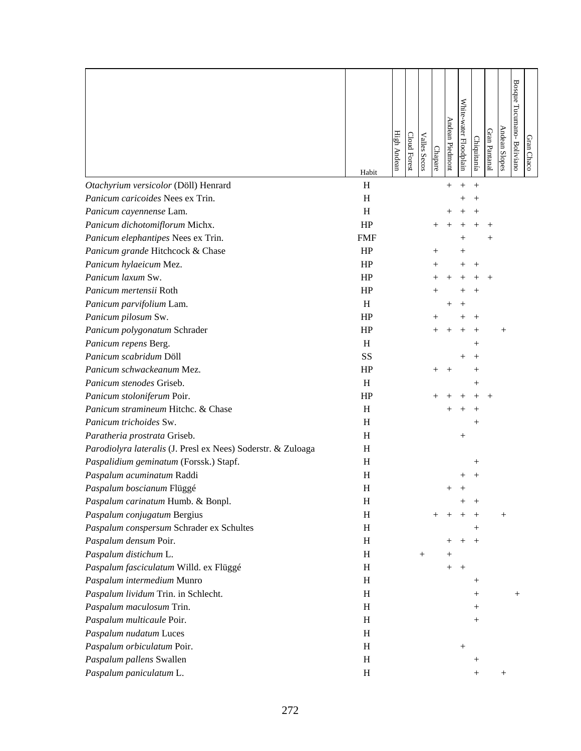|                                                              | Habit      | High Andean | Cloud Forest | <b>Valles Secos</b> | Chapare            | Andean Piedmont    | White-water Floodplain | Chiquitanía        | Gran Pantanal      | <b>Andean Slopes</b> | Bosque Tucumano- Boliviano | Gran Chaco |
|--------------------------------------------------------------|------------|-------------|--------------|---------------------|--------------------|--------------------|------------------------|--------------------|--------------------|----------------------|----------------------------|------------|
| Otachyrium versicolor (Döll) Henrard                         | H          |             |              |                     |                    | $^{+}$             | $^{+}$                 | $^{+}$             |                    |                      |                            |            |
| Panicum caricoides Nees ex Trin.                             | H          |             |              |                     |                    |                    |                        |                    |                    |                      |                            |            |
| Panicum cayennense Lam.                                      | H          |             |              |                     |                    |                    |                        |                    |                    |                      |                            |            |
| Panicum dichotomiflorum Michx.                               | HP         |             |              |                     |                    |                    |                        |                    |                    |                      |                            |            |
| Panicum elephantipes Nees ex Trin.                           | <b>FMF</b> |             |              |                     |                    |                    | $^+$                   |                    | $\hspace{0.1mm} +$ |                      |                            |            |
| Panicum grande Hitchcock & Chase                             | HP         |             |              |                     | $\hspace{0.1mm} +$ |                    | $^+$                   |                    |                    |                      |                            |            |
| Panicum hylaeicum Mez.                                       | HP         |             |              |                     |                    |                    |                        | $^{+}$             |                    |                      |                            |            |
| Panicum laxum Sw.                                            | HP         |             |              |                     |                    |                    |                        |                    |                    |                      |                            |            |
| Panicum mertensii Roth                                       | HP         |             |              |                     |                    |                    |                        |                    |                    |                      |                            |            |
| Panicum parvifolium Lam.                                     | H          |             |              |                     |                    | $\hspace{0.1mm} +$ | $^+$                   |                    |                    |                      |                            |            |
| Panicum pilosum Sw.                                          | HP         |             |              |                     |                    |                    |                        |                    |                    |                      |                            |            |
| Panicum polygonatum Schrader                                 | HP         |             |              |                     |                    | $^+$               |                        |                    |                    | $^{+}$               |                            |            |
| Panicum repens Berg.                                         | H          |             |              |                     |                    |                    |                        | $\hspace{0.1mm} +$ |                    |                      |                            |            |
| Panicum scabridum Döll                                       | SS         |             |              |                     |                    |                    |                        |                    |                    |                      |                            |            |
| Panicum schwackeanum Mez.                                    | HP         |             |              |                     | $^+$               |                    |                        |                    |                    |                      |                            |            |
| Panicum stenodes Griseb.                                     | H          |             |              |                     |                    |                    |                        | $\hspace{0.1mm} +$ |                    |                      |                            |            |
| Panicum stoloniferum Poir.                                   | HP         |             |              |                     |                    |                    |                        |                    |                    |                      |                            |            |
| Panicum stramineum Hitchc. & Chase                           | H          |             |              |                     |                    |                    |                        |                    |                    |                      |                            |            |
| Panicum trichoides Sw.                                       | H          |             |              |                     |                    |                    |                        |                    |                    |                      |                            |            |
| Paratheria prostrata Griseb.                                 | H          |             |              |                     |                    |                    | $^{+}$                 |                    |                    |                      |                            |            |
| Parodiolyra lateralis (J. Presl ex Nees) Soderstr. & Zuloaga | H          |             |              |                     |                    |                    |                        |                    |                    |                      |                            |            |
| Paspalidium geminatum (Forssk.) Stapf.                       | H          |             |              |                     |                    |                    |                        | $^+$               |                    |                      |                            |            |
| Paspalum acuminatum Raddi                                    | H          |             |              |                     |                    |                    |                        |                    |                    |                      |                            |            |
| Paspalum boscianum Flüggé                                    | H          |             |              |                     |                    | $\hspace{0.1mm} +$ |                        |                    |                    |                      |                            |            |
| Paspalum carinatum Humb. & Bonpl.                            | H          |             |              |                     |                    |                    | $^+$                   |                    |                    |                      |                            |            |
| Paspalum conjugatum Bergius                                  | H          |             |              |                     | $^{+}$             | $^{+}$             |                        |                    |                    | $^{+}$               |                            |            |
| Paspalum conspersum Schrader ex Schultes                     | H          |             |              |                     |                    |                    |                        | $^{+}$             |                    |                      |                            |            |
| Paspalum densum Poir.                                        | $H_{\rm}$  |             |              |                     |                    | $^+$               | $^{+}$                 | $^{+}$             |                    |                      |                            |            |
| Paspalum distichum L.                                        | H          |             |              | $^{+}$              |                    | $^+$               |                        |                    |                    |                      |                            |            |
| Paspalum fasciculatum Willd. ex Flüggé                       | H          |             |              |                     |                    | $^{+}$             | $+$                    |                    |                    |                      |                            |            |
| Paspalum intermedium Munro                                   | H          |             |              |                     |                    |                    |                        | $^+$               |                    |                      |                            |            |
| Paspalum lividum Trin. in Schlecht.                          | H          |             |              |                     |                    |                    |                        | $\hspace{0.1mm} +$ |                    |                      | $^{+}$                     |            |
| Paspalum maculosum Trin.                                     | $H_{\rm}$  |             |              |                     |                    |                    |                        | $\hspace{0.1mm} +$ |                    |                      |                            |            |
| Paspalum multicaule Poir.                                    | $H_{\rm}$  |             |              |                     |                    |                    |                        | $^+$               |                    |                      |                            |            |
| Paspalum nudatum Luces                                       | $H_{\rm}$  |             |              |                     |                    |                    |                        |                    |                    |                      |                            |            |
| Paspalum orbiculatum Poir.                                   | H          |             |              |                     |                    |                    | $\! +$                 |                    |                    |                      |                            |            |
| Paspalum pallens Swallen                                     | $H_{\rm}$  |             |              |                     |                    |                    |                        | $^+$               |                    |                      |                            |            |
| Paspalum paniculatum L.                                      | $H_{\rm}$  |             |              |                     |                    |                    |                        | $\hspace{0.1mm} +$ |                    | $^{+}$               |                            |            |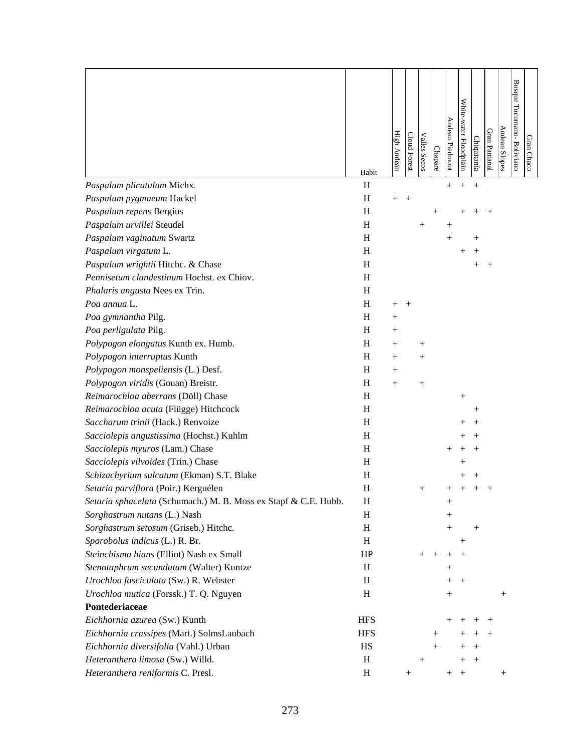|                                                                 | Habit      | High Andean | Cloud Forest | <b>Valles Secos</b> | Chapare            | Andean Piedmont    | White-water Floodplain | Chiquitanía        | Gran Pantanal | Andean Slopes | <b>Bosque</b><br>Tucumano-Boliviano | Gran Chaco |
|-----------------------------------------------------------------|------------|-------------|--------------|---------------------|--------------------|--------------------|------------------------|--------------------|---------------|---------------|-------------------------------------|------------|
| Paspalum plicatulum Michx.                                      | H          |             |              |                     |                    |                    | $^{+}$                 | $^{+}$             |               |               |                                     |            |
| Paspalum pygmaeum Hackel                                        | H          | $^{+}$      | $^{+}$       |                     |                    |                    |                        |                    |               |               |                                     |            |
| Paspalum repens Bergius                                         | H          |             |              |                     | $\hspace{0.1mm} +$ |                    |                        |                    |               |               |                                     |            |
| Paspalum urvillei Steudel                                       | H          |             |              |                     |                    | $^+$               |                        |                    |               |               |                                     |            |
| Paspalum vaginatum Swartz                                       | H          |             |              |                     |                    | $^{+}$             |                        |                    |               |               |                                     |            |
| Paspalum virgatum L.                                            | H          |             |              |                     |                    |                    | $^+$                   |                    |               |               |                                     |            |
| Paspalum wrightii Hitchc. & Chase                               | H          |             |              |                     |                    |                    |                        | $\, +$             | $^{+}$        |               |                                     |            |
| Pennisetum clandestinum Hochst. ex Chiov.                       | H          |             |              |                     |                    |                    |                        |                    |               |               |                                     |            |
| Phalaris angusta Nees ex Trin.                                  | H          |             |              |                     |                    |                    |                        |                    |               |               |                                     |            |
| Poa annua L.                                                    | H          | $^{+}$      | $^{+}$       |                     |                    |                    |                        |                    |               |               |                                     |            |
| Poa gymnantha Pilg.                                             | H          | $^{+}$      |              |                     |                    |                    |                        |                    |               |               |                                     |            |
| Poa perligulata Pilg.                                           | H          | $^{+}$      |              |                     |                    |                    |                        |                    |               |               |                                     |            |
| Polypogon elongatus Kunth ex. Humb.                             | H          | $^{+}$      |              | $^{+}$              |                    |                    |                        |                    |               |               |                                     |            |
| Polypogon interruptus Kunth                                     | H          | $^{+}$      |              | $^{+}$              |                    |                    |                        |                    |               |               |                                     |            |
| Polypogon monspeliensis (L.) Desf.                              | H          | $^{+}$      |              |                     |                    |                    |                        |                    |               |               |                                     |            |
| Polypogon viridis (Gouan) Breistr.                              | H          | $^{+}$      |              | $^{+}$              |                    |                    |                        |                    |               |               |                                     |            |
| Reimarochloa aberrans (Döll) Chase                              | H          |             |              |                     |                    |                    | $^{+}$                 |                    |               |               |                                     |            |
| Reimarochloa acuta (Flügge) Hitchcock                           | H          |             |              |                     |                    |                    |                        |                    |               |               |                                     |            |
| Saccharum trinii (Hack.) Renvoize                               | H          |             |              |                     |                    |                    |                        |                    |               |               |                                     |            |
| Sacciolepis angustissima (Hochst.) Kuhlm                        | H          |             |              |                     |                    |                    |                        |                    |               |               |                                     |            |
| Sacciolepis myuros (Lam.) Chase                                 | H          |             |              |                     |                    |                    |                        |                    |               |               |                                     |            |
| Sacciolepis vilvoides (Trin.) Chase                             | H          |             |              |                     |                    |                    |                        |                    |               |               |                                     |            |
| Schizachyrium sulcatum (Ekman) S.T. Blake                       | H          |             |              |                     |                    |                    |                        |                    |               |               |                                     |            |
| Setaria parviflora (Poir.) Kerguélen                            | $H_{\rm}$  |             |              |                     |                    |                    |                        |                    |               |               |                                     |            |
| Setaria sphacelata (Schumach.) M. B. Moss ex Stapf & C.E. Hubb. | H          |             |              |                     |                    | $^{+}$             |                        |                    |               |               |                                     |            |
| Sorghastrum nutans (L.) Nash                                    | H          |             |              |                     |                    | $\! +$             |                        |                    |               |               |                                     |            |
| Sorghastrum setosum (Griseb.) Hitchc.                           | H          |             |              |                     |                    |                    |                        | $^{+}$             |               |               |                                     |            |
| Sporobolus indicus (L.) R. Br.                                  | H          |             |              |                     |                    |                    | $^{+}$                 |                    |               |               |                                     |            |
| Steinchisma hians (Elliot) Nash ex Small                        | HP         |             |              | $^{+}$              | $^+$               | $\hspace{0.1mm} +$ | $^{+}$                 |                    |               |               |                                     |            |
| Stenotaphrum secundatum (Walter) Kuntze                         | H          |             |              |                     |                    | $\hspace{0.1mm} +$ |                        |                    |               |               |                                     |            |
| Urochloa fasciculata (Sw.) R. Webster                           | H          |             |              |                     |                    | $^{+}$             | $^{+}$                 |                    |               |               |                                     |            |
| Urochloa mutica (Forssk.) T. Q. Nguyen                          | H          |             |              |                     |                    | $^{+}$             |                        |                    |               |               |                                     |            |
| Pontederiaceae                                                  |            |             |              |                     |                    |                    |                        |                    |               |               |                                     |            |
| Eichhornia azurea (Sw.) Kunth                                   | <b>HFS</b> |             |              |                     |                    |                    |                        |                    | $^+$          |               |                                     |            |
| Eichhornia crassipes (Mart.) SolmsLaubach                       | <b>HFS</b> |             |              |                     | $\hspace{0.1mm} +$ |                    |                        |                    | $^{+}$        |               |                                     |            |
| Eichhornia diversifolia (Vahl.) Urban                           | HS         |             |              |                     | $^{+}$             |                    |                        | $^+$               |               |               |                                     |            |
| Heteranthera limosa (Sw.) Willd.                                | H          |             |              | $\hspace{0.1mm} +$  |                    |                    | $\hspace{0.1mm} +$     | $\hspace{0.1mm} +$ |               |               |                                     |            |
| Heteranthera reniformis C. Presl.                               | H          |             | $^{+}$       |                     |                    | $^+$               | $^{+}$                 |                    |               | $^{+}$        |                                     |            |